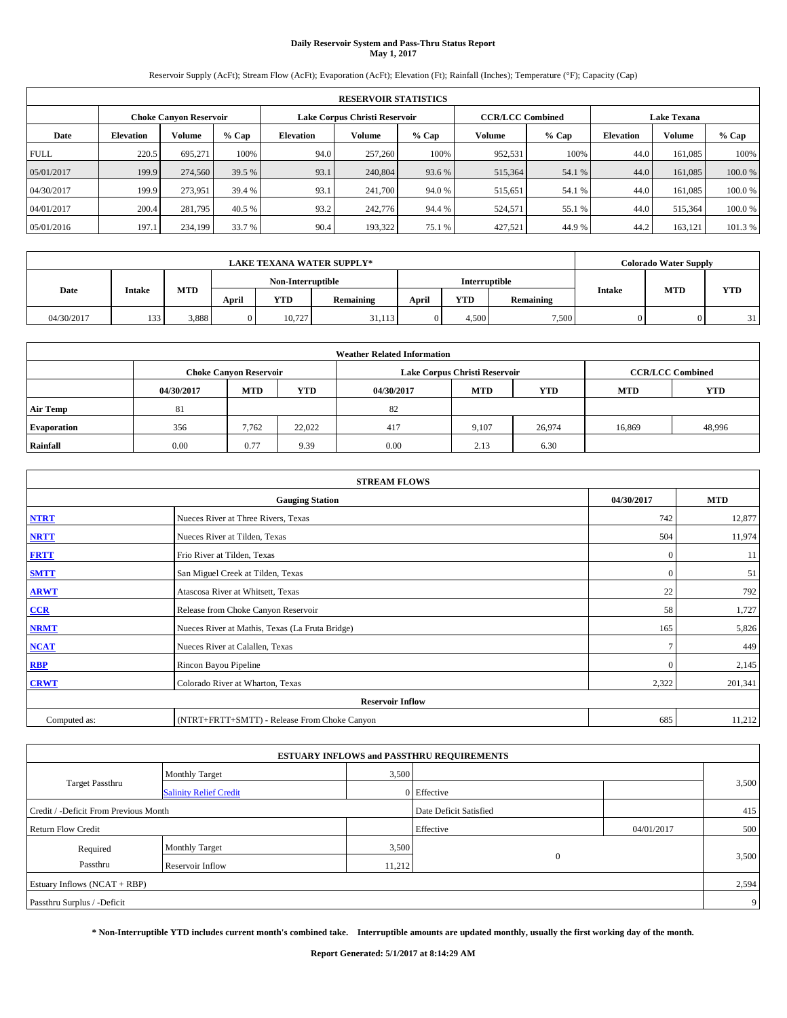# **Daily Reservoir System and Pass-Thru Status Report May 1, 2017**

Reservoir Supply (AcFt); Stream Flow (AcFt); Evaporation (AcFt); Elevation (Ft); Rainfall (Inches); Temperature (°F); Capacity (Cap)

|             | <b>RESERVOIR STATISTICS</b> |                               |         |                  |                                                          |         |         |         |                  |                    |        |  |
|-------------|-----------------------------|-------------------------------|---------|------------------|----------------------------------------------------------|---------|---------|---------|------------------|--------------------|--------|--|
|             |                             | <b>Choke Canvon Reservoir</b> |         |                  | Lake Corpus Christi Reservoir<br><b>CCR/LCC Combined</b> |         |         |         |                  | <b>Lake Texana</b> |        |  |
| Date        | <b>Elevation</b>            | Volume                        | $%$ Cap | <b>Elevation</b> | <b>Volume</b>                                            | $%$ Cap | Volume  | $%$ Cap | <b>Elevation</b> | Volume             | % Cap  |  |
| <b>FULL</b> | 220.5                       | 695.271                       | 100%    | 94.0             | 257,260                                                  | 100%    | 952,531 | 100%    | 44.0             | 161,085            | 100%   |  |
| 05/01/2017  | 199.9                       | 274,560                       | 39.5 %  | 93.1             | 240,804                                                  | 93.6 %  | 515,364 | 54.1 %  | 44.0             | 161,085            | 100.0% |  |
| 04/30/2017  | 199.9                       | 273.951                       | 39.4 %  | 93.1             | 241,700                                                  | 94.0 %  | 515,651 | 54.1 %  | 44.0             | 161,085            | 100.0% |  |
| 04/01/2017  | 200.4                       | 281.795                       | 40.5 %  | 93.2             | 242,776                                                  | 94.4 %  | 524,571 | 55.1 %  | 44.0             | 515,364            | 100.0% |  |
| 05/01/2016  | 197.1                       | 234,199                       | 33.7 %  | 90.4             | 193,322                                                  | 75.1 %  | 427,521 | 44.9%   | 44.2             | 163,121            | 101.3% |  |

|            | <b>LAKE TEXANA WATER SUPPLY*</b> |            |                                           |            |           |       |            |           |        | <b>Colorado Water Supply</b> |            |  |
|------------|----------------------------------|------------|-------------------------------------------|------------|-----------|-------|------------|-----------|--------|------------------------------|------------|--|
|            |                                  |            | Non-Interruptible<br><b>Interruptible</b> |            |           |       |            |           |        |                              |            |  |
| Date       | <b>Intake</b>                    | <b>MTD</b> | April                                     | <b>YTD</b> | Remaining | April | <b>YTD</b> | Remaining | Intake | <b>MTD</b>                   | <b>YTD</b> |  |
| 04/30/2017 | 133                              | 3,888      |                                           | 10.727     | 31,113    |       | 4.500      | 7,500     |        |                              | 31         |  |

| <b>Weather Related Information</b> |            |                               |            |            |                               |                         |                          |        |  |  |  |
|------------------------------------|------------|-------------------------------|------------|------------|-------------------------------|-------------------------|--------------------------|--------|--|--|--|
|                                    |            | <b>Choke Canyon Reservoir</b> |            |            | Lake Corpus Christi Reservoir | <b>CCR/LCC Combined</b> |                          |        |  |  |  |
|                                    | 04/30/2017 | <b>MTD</b>                    | <b>YTD</b> | 04/30/2017 | <b>MTD</b>                    | <b>YTD</b>              | <b>YTD</b><br><b>MTD</b> |        |  |  |  |
| <b>Air Temp</b>                    | 81         |                               |            | 82         |                               |                         |                          |        |  |  |  |
| <b>Evaporation</b>                 | 356        | 7,762                         | 22.022     | 417        | 9,107                         | 26,974                  | 16,869                   | 48,996 |  |  |  |
| Rainfall                           | 0.00       | 0.77                          | 9.39       | 0.00       | 2.13                          | 6.30                    |                          |        |  |  |  |

| <b>STREAM FLOWS</b> |                                                 |               |            |  |  |  |  |  |  |
|---------------------|-------------------------------------------------|---------------|------------|--|--|--|--|--|--|
|                     | <b>Gauging Station</b>                          | 04/30/2017    | <b>MTD</b> |  |  |  |  |  |  |
| <b>NTRT</b>         | Nueces River at Three Rivers, Texas             | 742           | 12,877     |  |  |  |  |  |  |
| <b>NRTT</b>         | Nueces River at Tilden, Texas                   | 504           | 11,974     |  |  |  |  |  |  |
| <b>FRTT</b>         | Frio River at Tilden, Texas                     | $\mathbf{0}$  | 11         |  |  |  |  |  |  |
| <b>SMTT</b>         | San Miguel Creek at Tilden, Texas               | $\mathbf{0}$  | 51         |  |  |  |  |  |  |
| <b>ARWT</b>         | Atascosa River at Whitsett, Texas               | 22            | 792        |  |  |  |  |  |  |
| $CCR$               | Release from Choke Canyon Reservoir             | 58            | 1,727      |  |  |  |  |  |  |
| <b>NRMT</b>         | Nueces River at Mathis, Texas (La Fruta Bridge) | 165           | 5,826      |  |  |  |  |  |  |
| <b>NCAT</b>         | Nueces River at Calallen, Texas                 | $\mathcal{I}$ | 449        |  |  |  |  |  |  |
| RBP                 | Rincon Bayou Pipeline                           | $\Omega$      | 2,145      |  |  |  |  |  |  |
| <b>CRWT</b>         | Colorado River at Wharton, Texas                | 2,322         | 201,341    |  |  |  |  |  |  |
|                     | <b>Reservoir Inflow</b>                         |               |            |  |  |  |  |  |  |
| Computed as:        | (NTRT+FRTT+SMTT) - Release From Choke Canyon    | 685           | 11,212     |  |  |  |  |  |  |

| <b>ESTUARY INFLOWS and PASSTHRU REQUIREMENTS</b> |                               |                        |             |            |       |  |  |  |  |  |
|--------------------------------------------------|-------------------------------|------------------------|-------------|------------|-------|--|--|--|--|--|
|                                                  | <b>Monthly Target</b>         | 3,500                  |             |            |       |  |  |  |  |  |
| <b>Target Passthru</b>                           | <b>Salinity Relief Credit</b> |                        | 0 Effective |            | 3,500 |  |  |  |  |  |
| Credit / -Deficit From Previous Month            |                               | Date Deficit Satisfied |             | 415        |       |  |  |  |  |  |
| <b>Return Flow Credit</b>                        |                               |                        | Effective   | 04/01/2017 | 500   |  |  |  |  |  |
| Required                                         | <b>Monthly Target</b>         | 3,500                  |             |            |       |  |  |  |  |  |
| Passthru                                         | Reservoir Inflow              | 11,212                 | $\theta$    |            | 3,500 |  |  |  |  |  |
| Estuary Inflows (NCAT + RBP)                     |                               |                        |             |            |       |  |  |  |  |  |
| Passthru Surplus / -Deficit                      |                               |                        |             |            |       |  |  |  |  |  |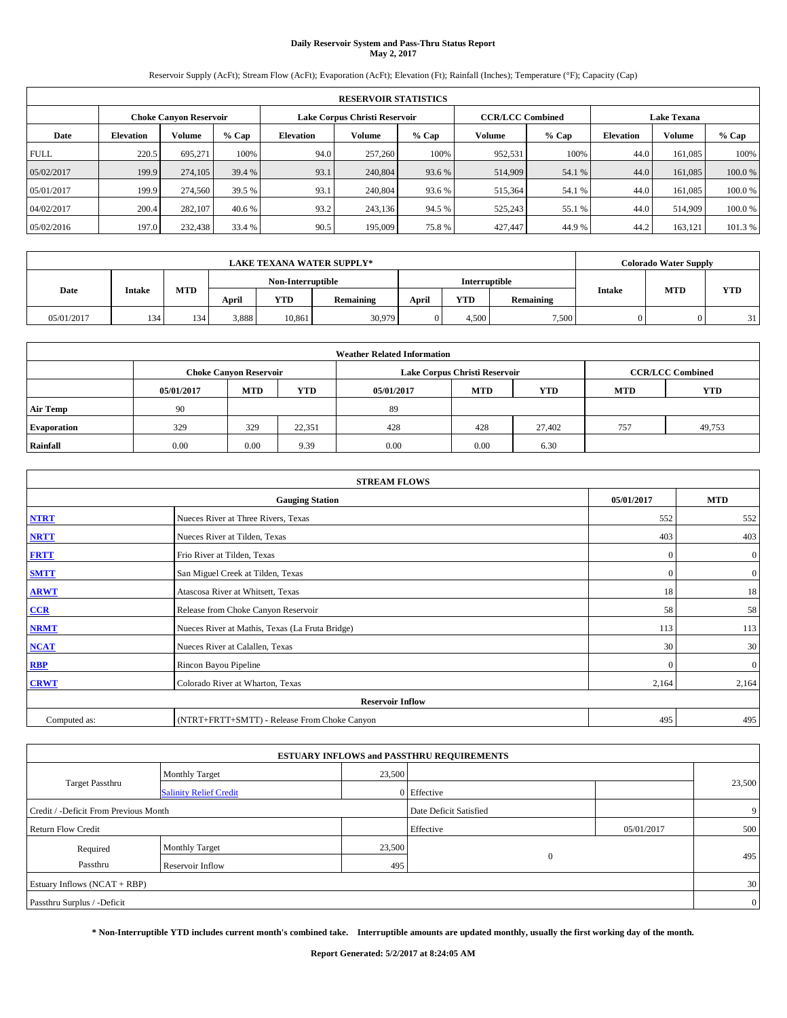# **Daily Reservoir System and Pass-Thru Status Report May 2, 2017**

Reservoir Supply (AcFt); Stream Flow (AcFt); Evaporation (AcFt); Elevation (Ft); Rainfall (Inches); Temperature (°F); Capacity (Cap)

|             | <b>RESERVOIR STATISTICS</b> |                        |         |                  |                                                          |         |               |         |                  |                    |         |  |
|-------------|-----------------------------|------------------------|---------|------------------|----------------------------------------------------------|---------|---------------|---------|------------------|--------------------|---------|--|
|             |                             | Choke Canvon Reservoir |         |                  | <b>CCR/LCC Combined</b><br>Lake Corpus Christi Reservoir |         |               |         |                  | <b>Lake Texana</b> |         |  |
| Date        | <b>Elevation</b>            | Volume                 | $%$ Cap | <b>Elevation</b> | Volume                                                   | $%$ Cap | <b>Volume</b> | $%$ Cap | <b>Elevation</b> | <b>Volume</b>      | % Cap   |  |
| <b>FULL</b> | 220.5                       | 695.271                | 100%    | 94.0             | 257,260                                                  | 100%    | 952,531       | 100%    | 44.0             | 161.085            | 100%    |  |
| 05/02/2017  | 199.9                       | 274,105                | 39.4 %  | 93.1             | 240,804                                                  | 93.6 %  | 514,909       | 54.1 %  | 44.0             | 161,085            | 100.0%  |  |
| 05/01/2017  | 199.9                       | 274,560                | 39.5 %  | 93.1             | 240,804                                                  | 93.6 %  | 515,364       | 54.1 %  | 44.0             | 161.085            | 100.0%  |  |
| 04/02/2017  | 200.4                       | 282,107                | 40.6 %  | 93.2             | 243.136                                                  | 94.5 %  | 525,243       | 55.1 %  | 44.0             | 514,909            | 100.0%  |  |
| 05/02/2016  | 197.0                       | 232,438                | 33.4 %  | 90.5             | 195,009                                                  | 75.8%   | 427,447       | 44.9%   | 44.2             | 163,121            | 101.3 % |  |

|            | <b>LAKE TEXANA WATER SUPPLY*</b>                                                                    |     |       |                   |        |  |               |            |            |  | <b>Colorado Water Supply</b> |
|------------|-----------------------------------------------------------------------------------------------------|-----|-------|-------------------|--------|--|---------------|------------|------------|--|------------------------------|
|            |                                                                                                     |     |       | Non-Interruptible |        |  | Interruptible |            |            |  |                              |
| Date       | <b>MTD</b><br><b>Intake</b><br><b>YTD</b><br><b>YTD</b><br>April<br>April<br>Remaining<br>Remaining |     |       |                   |        |  | Intake        | <b>MTD</b> | <b>YTD</b> |  |                              |
| 05/01/2017 | 134                                                                                                 | 134 | 3,888 | 10,861            | 30,979 |  | 4.500         | 7,500      |            |  | 31                           |

| <b>Weather Related Information</b> |            |                               |            |            |                               |                         |                          |        |  |  |  |
|------------------------------------|------------|-------------------------------|------------|------------|-------------------------------|-------------------------|--------------------------|--------|--|--|--|
|                                    |            | <b>Choke Canyon Reservoir</b> |            |            | Lake Corpus Christi Reservoir | <b>CCR/LCC Combined</b> |                          |        |  |  |  |
|                                    | 05/01/2017 | <b>MTD</b>                    | <b>YTD</b> | 05/01/2017 | <b>MTD</b>                    | <b>YTD</b>              | <b>YTD</b><br><b>MTD</b> |        |  |  |  |
| <b>Air Temp</b>                    | 90         |                               |            | 89         |                               |                         |                          |        |  |  |  |
| <b>Evaporation</b>                 | 329        | 329                           | 22,351     | 428        | 428                           | 27,402                  | 757                      | 49,753 |  |  |  |
| Rainfall                           | 0.00       | 0.00                          | 9.39       | 0.00       | 0.00                          | 6.30                    |                          |        |  |  |  |

|              | <b>STREAM FLOWS</b>                             |              |                  |  |  |  |  |  |  |  |  |
|--------------|-------------------------------------------------|--------------|------------------|--|--|--|--|--|--|--|--|
|              | 05/01/2017                                      | <b>MTD</b>   |                  |  |  |  |  |  |  |  |  |
| <b>NTRT</b>  | Nueces River at Three Rivers, Texas             | 552          | 552              |  |  |  |  |  |  |  |  |
| <b>NRTT</b>  | Nueces River at Tilden, Texas                   | 403          | 403              |  |  |  |  |  |  |  |  |
| <b>FRTT</b>  | Frio River at Tilden, Texas                     | $\mathbf{0}$ | $\boldsymbol{0}$ |  |  |  |  |  |  |  |  |
| <b>SMTT</b>  | San Miguel Creek at Tilden, Texas               | $\mathbf{0}$ | $\overline{0}$   |  |  |  |  |  |  |  |  |
| <b>ARWT</b>  | Atascosa River at Whitsett, Texas               | 18           | 18               |  |  |  |  |  |  |  |  |
| CCR          | Release from Choke Canyon Reservoir             | 58           | 58               |  |  |  |  |  |  |  |  |
| <b>NRMT</b>  | Nueces River at Mathis, Texas (La Fruta Bridge) | 113          | 113              |  |  |  |  |  |  |  |  |
| <b>NCAT</b>  | Nueces River at Calallen, Texas                 | 30           | 30               |  |  |  |  |  |  |  |  |
| <b>RBP</b>   | Rincon Bayou Pipeline                           | $\Omega$     | $\mathbf{0}$     |  |  |  |  |  |  |  |  |
| <b>CRWT</b>  | Colorado River at Wharton, Texas                | 2,164        | 2,164            |  |  |  |  |  |  |  |  |
|              | <b>Reservoir Inflow</b>                         |              |                  |  |  |  |  |  |  |  |  |
| Computed as: | (NTRT+FRTT+SMTT) - Release From Choke Canyon    | 495          | 495              |  |  |  |  |  |  |  |  |

| <b>ESTUARY INFLOWS and PASSTHRU REQUIREMENTS</b> |                               |                        |             |     |        |  |  |  |  |  |
|--------------------------------------------------|-------------------------------|------------------------|-------------|-----|--------|--|--|--|--|--|
|                                                  | <b>Monthly Target</b>         | 23,500                 |             |     |        |  |  |  |  |  |
| Target Passthru                                  | <b>Salinity Relief Credit</b> |                        | 0 Effective |     | 23,500 |  |  |  |  |  |
| Credit / -Deficit From Previous Month            |                               | Date Deficit Satisfied |             | 9   |        |  |  |  |  |  |
| <b>Return Flow Credit</b>                        |                               | Effective              | 05/01/2017  | 500 |        |  |  |  |  |  |
| Required                                         | <b>Monthly Target</b>         | 23,500                 |             |     |        |  |  |  |  |  |
| Passthru                                         | Reservoir Inflow              | 495                    | $\Omega$    |     | 495    |  |  |  |  |  |
| Estuary Inflows (NCAT + RBP)                     |                               |                        |             |     |        |  |  |  |  |  |
| Passthru Surplus / -Deficit                      |                               |                        |             |     |        |  |  |  |  |  |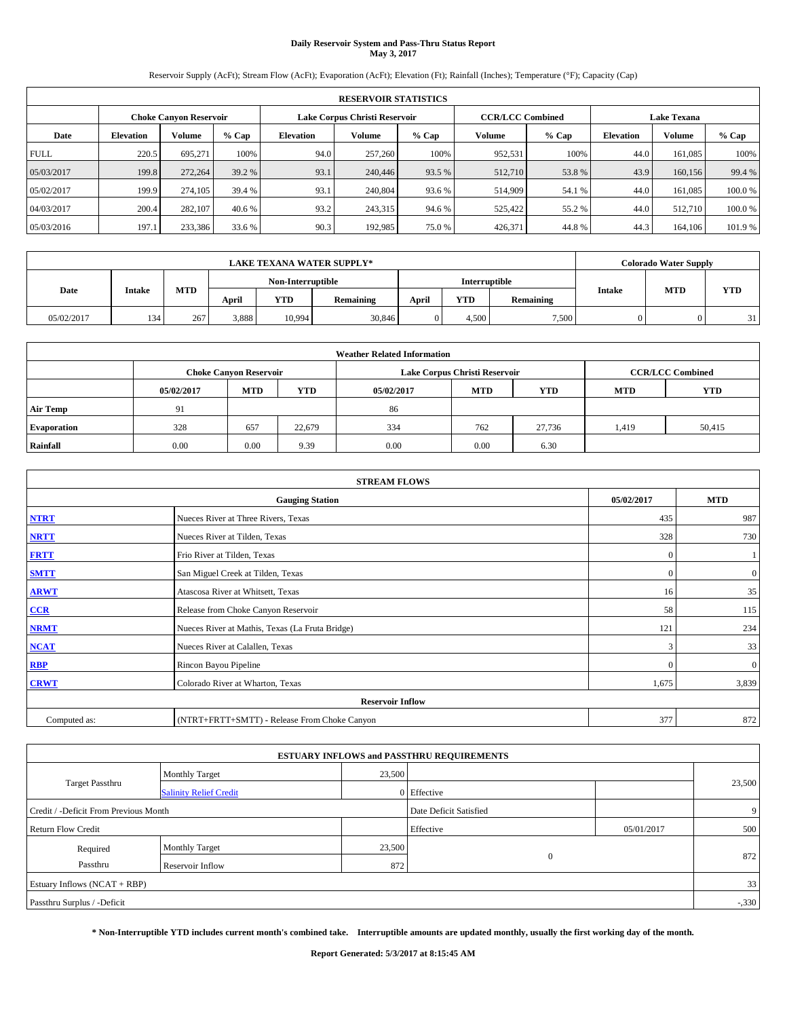# **Daily Reservoir System and Pass-Thru Status Report May 3, 2017**

Reservoir Supply (AcFt); Stream Flow (AcFt); Evaporation (AcFt); Elevation (Ft); Rainfall (Inches); Temperature (°F); Capacity (Cap)

|             | <b>RESERVOIR STATISTICS</b> |                        |         |                  |                                                          |         |               |         |                  |                    |         |  |
|-------------|-----------------------------|------------------------|---------|------------------|----------------------------------------------------------|---------|---------------|---------|------------------|--------------------|---------|--|
|             |                             | Choke Canvon Reservoir |         |                  | <b>CCR/LCC Combined</b><br>Lake Corpus Christi Reservoir |         |               |         |                  | <b>Lake Texana</b> |         |  |
| Date        | <b>Elevation</b>            | Volume                 | $%$ Cap | <b>Elevation</b> | Volume                                                   | $%$ Cap | <b>Volume</b> | $%$ Cap | <b>Elevation</b> | <b>Volume</b>      | % Cap   |  |
| <b>FULL</b> | 220.5                       | 695.271                | 100%    | 94.0             | 257,260                                                  | 100%    | 952,531       | 100%    | 44.0             | 161.085            | 100%    |  |
| 05/03/2017  | 199.8                       | 272,264                | 39.2 %  | 93.1             | 240,446                                                  | 93.5 %  | 512,710       | 53.8%   | 43.9             | 160,156            | 99.4 %  |  |
| 05/02/2017  | 199.9                       | 274,105                | 39.4 %  | 93.1             | 240,804                                                  | 93.6 %  | 514,909       | 54.1 %  | 44.0             | 161.085            | 100.0%  |  |
| 04/03/2017  | 200.4                       | 282,107                | 40.6 %  | 93.2             | 243.315                                                  | 94.6 %  | 525,422       | 55.2 %  | 44.0             | 512,710            | 100.0%  |  |
| 05/03/2016  | 197.1                       | 233,386                | 33.6 %  | 90.3             | 192.985                                                  | 75.0%   | 426,371       | 44.8%   | 44.3             | 164,106            | 101.9 % |  |

|            | <b>LAKE TEXANA WATER SUPPLY*</b> |            |       |                   |           |       |               |           |        |            | <b>Colorado Water Supply</b> |  |  |
|------------|----------------------------------|------------|-------|-------------------|-----------|-------|---------------|-----------|--------|------------|------------------------------|--|--|
|            |                                  |            |       | Non-Interruptible |           |       | Interruptible |           |        |            |                              |  |  |
| Date       | <b>Intake</b>                    | <b>MTD</b> | April | <b>YTD</b>        | Remaining | April | <b>YTD</b>    | Remaining | Intake | <b>MTD</b> | <b>YTD</b>                   |  |  |
| 05/02/2017 | 134                              | 267        | 3,888 | 10.994            | 30,846    |       | 4.500         | 7,500     |        |            | 31                           |  |  |

| <b>Weather Related Information</b> |            |                               |            |            |                               |                         |            |            |  |
|------------------------------------|------------|-------------------------------|------------|------------|-------------------------------|-------------------------|------------|------------|--|
|                                    |            | <b>Choke Canyon Reservoir</b> |            |            | Lake Corpus Christi Reservoir | <b>CCR/LCC Combined</b> |            |            |  |
|                                    | 05/02/2017 | <b>MTD</b>                    | <b>YTD</b> | 05/02/2017 | <b>MTD</b>                    | <b>YTD</b>              | <b>MTD</b> | <b>YTD</b> |  |
| <b>Air Temp</b>                    | 91         |                               |            | 86         |                               |                         |            |            |  |
| <b>Evaporation</b>                 | 328        | 657                           | 22,679     | 334        | 762                           | 27.736                  | 1,419      | 50,415     |  |
| Rainfall                           | 0.00       | 0.00                          | 9.39       | 0.00       | 0.00                          | 6.30                    |            |            |  |

| <b>STREAM FLOWS</b> |                                                 |            |                |  |  |  |  |  |
|---------------------|-------------------------------------------------|------------|----------------|--|--|--|--|--|
|                     | 05/02/2017                                      | <b>MTD</b> |                |  |  |  |  |  |
| <b>NTRT</b>         | Nueces River at Three Rivers, Texas             | 435        | 987            |  |  |  |  |  |
| <b>NRTT</b>         | Nueces River at Tilden, Texas                   | 328        | 730            |  |  |  |  |  |
| <b>FRTT</b>         | Frio River at Tilden, Texas                     | $\Omega$   |                |  |  |  |  |  |
| <b>SMTT</b>         | San Miguel Creek at Tilden, Texas               | $\Omega$   | $\overline{0}$ |  |  |  |  |  |
| <b>ARWT</b>         | Atascosa River at Whitsett, Texas               | 16         | 35             |  |  |  |  |  |
| $CCR$               | Release from Choke Canyon Reservoir             | 58         | 115            |  |  |  |  |  |
| <b>NRMT</b>         | Nueces River at Mathis, Texas (La Fruta Bridge) | 121        | 234            |  |  |  |  |  |
| <b>NCAT</b>         | Nueces River at Calallen, Texas                 | 3          | 33             |  |  |  |  |  |
| RBP                 | Rincon Bayou Pipeline                           | $\Omega$   | $\overline{0}$ |  |  |  |  |  |
| <b>CRWT</b>         | Colorado River at Wharton, Texas                | 1,675      | 3,839          |  |  |  |  |  |
|                     |                                                 |            |                |  |  |  |  |  |
| Computed as:        | (NTRT+FRTT+SMTT) - Release From Choke Canyon    | 377        | 872            |  |  |  |  |  |

|                                       |                               |        | <b>ESTUARY INFLOWS and PASSTHRU REQUIREMENTS</b> |            |        |  |  |  |
|---------------------------------------|-------------------------------|--------|--------------------------------------------------|------------|--------|--|--|--|
|                                       | <b>Monthly Target</b>         | 23,500 |                                                  |            |        |  |  |  |
| Target Passthru                       | <b>Salinity Relief Credit</b> |        | 0 Effective                                      |            | 23,500 |  |  |  |
| Credit / -Deficit From Previous Month |                               |        | Date Deficit Satisfied                           |            | 9      |  |  |  |
| <b>Return Flow Credit</b>             |                               |        | Effective                                        | 05/01/2017 | 500    |  |  |  |
| Required                              | Monthly Target                | 23,500 |                                                  |            |        |  |  |  |
| Passthru                              | <b>Reservoir Inflow</b>       | 872    | $\Omega$                                         |            | 872    |  |  |  |
| Estuary Inflows (NCAT + RBP)          |                               |        |                                                  |            |        |  |  |  |
| Passthru Surplus / -Deficit           |                               |        |                                                  |            |        |  |  |  |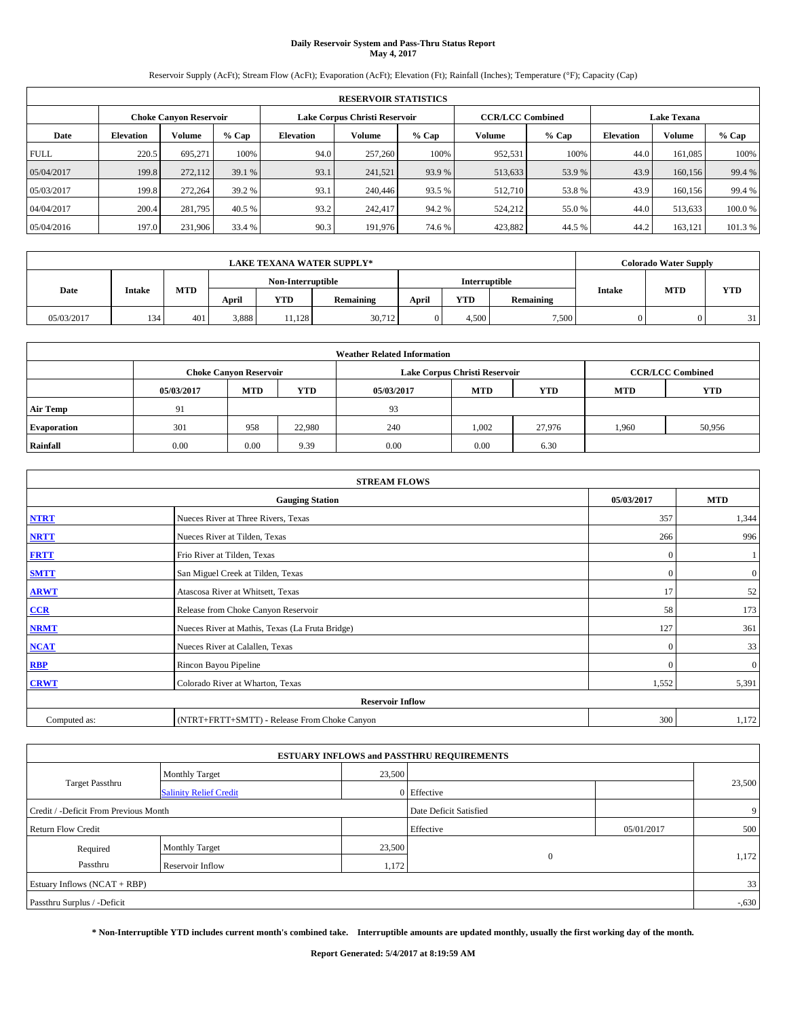# **Daily Reservoir System and Pass-Thru Status Report May 4, 2017**

Reservoir Supply (AcFt); Stream Flow (AcFt); Evaporation (AcFt); Elevation (Ft); Rainfall (Inches); Temperature (°F); Capacity (Cap)

|             | <b>RESERVOIR STATISTICS</b> |                               |         |           |                               |         |                         |         |                  |                    |         |
|-------------|-----------------------------|-------------------------------|---------|-----------|-------------------------------|---------|-------------------------|---------|------------------|--------------------|---------|
|             |                             | <b>Choke Canyon Reservoir</b> |         |           | Lake Corpus Christi Reservoir |         | <b>CCR/LCC Combined</b> |         |                  | <b>Lake Texana</b> |         |
| Date        | <b>Elevation</b>            | Volume                        | $%$ Cap | Elevation | Volume                        | $%$ Cap | Volume                  | $%$ Cap | <b>Elevation</b> | <b>Volume</b>      | % Cap   |
| <b>FULL</b> | 220.5                       | 695.271                       | 100%    | 94.0      | 257,260                       | 100%    | 952,531                 | 100%    | 44.0             | 161.085            | 100%    |
| 05/04/2017  | 199.8                       | 272,112                       | 39.1 %  | 93.1      | 241,521                       | 93.9 %  | 513,633                 | 53.9 %  | 43.9             | 160,156            | 99.4 %  |
| 05/03/2017  | 199.8                       | 272,264                       | 39.2 %  | 93.1      | 240,446                       | 93.5 %  | 512,710                 | 53.8%   | 43.9             | 160,156            | 99.4 %  |
| 04/04/2017  | 200.4                       | 281,795                       | 40.5 %  | 93.2      | 242,417                       | 94.2%   | 524,212                 | 55.0 %  | 44.0             | 513,633            | 100.0%  |
| 05/04/2016  | 197.0                       | 231,906                       | 33.4 %  | 90.3      | 191,976                       | 74.6 %  | 423,882                 | 44.5 %  | 44.2             | 163,121            | 101.3 % |

| <b>LAKE TEXANA WATER SUPPLY*</b> |               |            |       |                   |           |       |               |           |        | <b>Colorado Water Supply</b> |            |
|----------------------------------|---------------|------------|-------|-------------------|-----------|-------|---------------|-----------|--------|------------------------------|------------|
|                                  |               |            |       | Non-Interruptible |           |       | Interruptible |           |        |                              |            |
| Date                             | <b>Intake</b> | <b>MTD</b> | April | <b>YTD</b>        | Remaining | April | <b>YTD</b>    | Remaining | Intake | <b>MTD</b>                   | <b>YTD</b> |
| 05/03/2017                       | 134           | 401        | 3,888 | 11.128            | 30,712    |       | 4.500         | 7,500     |        |                              | 31         |

| <b>Weather Related Information</b> |            |                               |            |            |                               |                         |            |        |  |
|------------------------------------|------------|-------------------------------|------------|------------|-------------------------------|-------------------------|------------|--------|--|
|                                    |            | <b>Choke Canyon Reservoir</b> |            |            | Lake Corpus Christi Reservoir | <b>CCR/LCC Combined</b> |            |        |  |
|                                    | 05/03/2017 | <b>MTD</b>                    | <b>YTD</b> | 05/03/2017 | <b>MTD</b>                    | <b>MTD</b>              | <b>YTD</b> |        |  |
| <b>Air Temp</b>                    | 91         |                               |            | 93         |                               |                         |            |        |  |
| <b>Evaporation</b>                 | 301        | 958                           | 22.980     | 240        | 1,002                         | 27.976                  | 1,960      | 50,956 |  |
| Rainfall                           | 0.00       | 0.00                          | 9.39       | 0.00       | 0.00                          | 6.30                    |            |        |  |

| <b>STREAM FLOWS</b> |                                                 |              |                |  |  |  |  |  |
|---------------------|-------------------------------------------------|--------------|----------------|--|--|--|--|--|
|                     | 05/03/2017                                      | <b>MTD</b>   |                |  |  |  |  |  |
| <b>NTRT</b>         | Nueces River at Three Rivers, Texas             | 357          | 1,344          |  |  |  |  |  |
| <b>NRTT</b>         | Nueces River at Tilden, Texas                   | 266          | 996            |  |  |  |  |  |
| <b>FRTT</b>         | Frio River at Tilden, Texas                     | $\mathbf{0}$ |                |  |  |  |  |  |
| <b>SMTT</b>         | San Miguel Creek at Tilden, Texas               | $\mathbf{0}$ | $\overline{0}$ |  |  |  |  |  |
| <b>ARWT</b>         | Atascosa River at Whitsett, Texas               | 17           | 52             |  |  |  |  |  |
| $CCR$               | Release from Choke Canyon Reservoir             | 58           | 173            |  |  |  |  |  |
| <b>NRMT</b>         | Nueces River at Mathis, Texas (La Fruta Bridge) | 127          | 361            |  |  |  |  |  |
| <b>NCAT</b>         | Nueces River at Calallen, Texas                 | $\Omega$     | 33             |  |  |  |  |  |
| <b>RBP</b>          | Rincon Bayou Pipeline                           | $\Omega$     | $\mathbf{0}$   |  |  |  |  |  |
| <b>CRWT</b>         | Colorado River at Wharton, Texas                | 1,552        | 5,391          |  |  |  |  |  |
|                     |                                                 |              |                |  |  |  |  |  |
| Computed as:        | (NTRT+FRTT+SMTT) - Release From Choke Canyon    | 300          | 1,172          |  |  |  |  |  |

|                                       |                               |                        | <b>ESTUARY INFLOWS and PASSTHRU REQUIREMENTS</b> |            |          |
|---------------------------------------|-------------------------------|------------------------|--------------------------------------------------|------------|----------|
|                                       | <b>Monthly Target</b>         | 23,500                 |                                                  |            |          |
| <b>Target Passthru</b>                | <b>Salinity Relief Credit</b> |                        | 0 Effective                                      |            | 23,500   |
| Credit / -Deficit From Previous Month |                               | Date Deficit Satisfied |                                                  | 9          |          |
| <b>Return Flow Credit</b>             |                               |                        | Effective                                        | 05/01/2017 | 500      |
| Required                              | <b>Monthly Target</b>         | 23,500                 |                                                  |            |          |
| Passthru                              | <b>Reservoir Inflow</b>       | 1,172                  | $\Omega$                                         |            | 1,172    |
| Estuary Inflows (NCAT + RBP)          |                               |                        |                                                  |            | 33       |
| Passthru Surplus / -Deficit           |                               |                        |                                                  |            | $-0.630$ |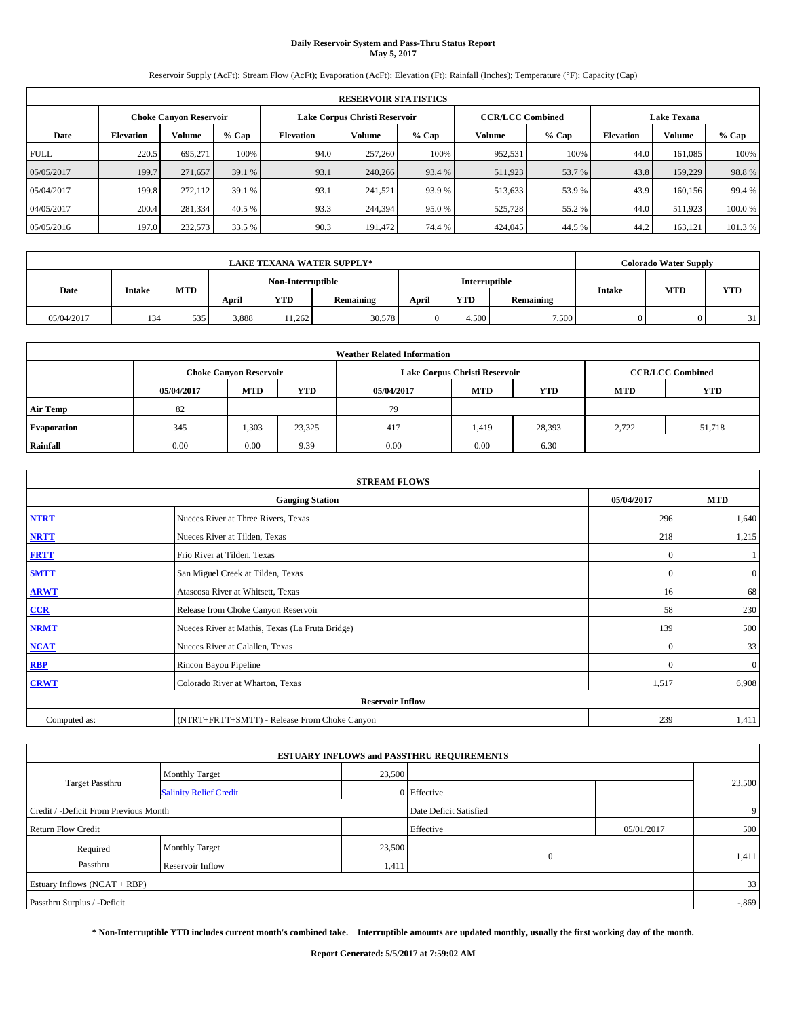# **Daily Reservoir System and Pass-Thru Status Report May 5, 2017**

Reservoir Supply (AcFt); Stream Flow (AcFt); Evaporation (AcFt); Elevation (Ft); Rainfall (Inches); Temperature (°F); Capacity (Cap)

|             | <b>RESERVOIR STATISTICS</b> |                               |         |           |                               |         |                         |         |                  |                    |         |
|-------------|-----------------------------|-------------------------------|---------|-----------|-------------------------------|---------|-------------------------|---------|------------------|--------------------|---------|
|             |                             | <b>Choke Canyon Reservoir</b> |         |           | Lake Corpus Christi Reservoir |         | <b>CCR/LCC Combined</b> |         |                  | <b>Lake Texana</b> |         |
| Date        | <b>Elevation</b>            | Volume                        | $%$ Cap | Elevation | Volume                        | $%$ Cap | Volume                  | $%$ Cap | <b>Elevation</b> | <b>Volume</b>      | % Cap   |
| <b>FULL</b> | 220.5                       | 695.271                       | 100%    | 94.0      | 257,260                       | 100%    | 952,531                 | 100%    | 44.0             | 161.085            | 100%    |
| 05/05/2017  | 199.7                       | 271,657                       | 39.1 %  | 93.1      | 240,266                       | 93.4 %  | 511,923                 | 53.7 %  | 43.8             | 159,229            | 98.8%   |
| 05/04/2017  | 199.8                       | 272,112                       | 39.1 %  | 93.1      | 241,521                       | 93.9 %  | 513,633                 | 53.9 %  | 43.9             | 160,156            | 99.4 %  |
| 04/05/2017  | 200.4                       | 281,334                       | 40.5 %  | 93.3      | 244,394                       | 95.0%   | 525,728                 | 55.2 %  | 44.0             | 511.923            | 100.0%  |
| 05/05/2016  | 197.0                       | 232,573                       | 33.5 %  | 90.3      | 191.472                       | 74.4 %  | 424,045                 | 44.5 %  | 44.2             | 163,121            | 101.3 % |

| <b>LAKE TEXANA WATER SUPPLY*</b> |               |            |       |                   |           |       |               |           |        | <b>Colorado Water Supply</b> |            |
|----------------------------------|---------------|------------|-------|-------------------|-----------|-------|---------------|-----------|--------|------------------------------|------------|
|                                  |               |            |       | Non-Interruptible |           |       | Interruptible |           |        |                              |            |
| Date                             | <b>Intake</b> | <b>MTD</b> | April | <b>YTD</b>        | Remaining | April | <b>YTD</b>    | Remaining | Intake | <b>MTD</b>                   | <b>YTD</b> |
| 05/04/2017                       | 134           | 535        | 3,888 | 11,262            | 30,578    |       | 4.500         | 7,500     |        |                              | 31         |

| <b>Weather Related Information</b> |            |                               |            |            |                               |                         |            |            |  |
|------------------------------------|------------|-------------------------------|------------|------------|-------------------------------|-------------------------|------------|------------|--|
|                                    |            | <b>Choke Canyon Reservoir</b> |            |            | Lake Corpus Christi Reservoir | <b>CCR/LCC Combined</b> |            |            |  |
|                                    | 05/04/2017 | <b>MTD</b>                    | <b>YTD</b> | 05/04/2017 | <b>MTD</b>                    | <b>YTD</b>              | <b>MTD</b> | <b>YTD</b> |  |
| <b>Air Temp</b>                    | 82         |                               |            | 79         |                               |                         |            |            |  |
| <b>Evaporation</b>                 | 345        | 1,303                         | 23,325     | 417        | 1,419                         | 28,393                  | 2.722      | 51,718     |  |
| Rainfall                           | 0.00       | 0.00                          | 9.39       | 0.00       | 0.00                          | 6.30                    |            |            |  |

| <b>STREAM FLOWS</b> |                                                 |              |                |  |  |  |  |  |
|---------------------|-------------------------------------------------|--------------|----------------|--|--|--|--|--|
|                     | 05/04/2017                                      | <b>MTD</b>   |                |  |  |  |  |  |
| <b>NTRT</b>         | Nueces River at Three Rivers, Texas             | 296          | 1,640          |  |  |  |  |  |
| <b>NRTT</b>         | Nueces River at Tilden, Texas                   | 218          | 1,215          |  |  |  |  |  |
| <b>FRTT</b>         | Frio River at Tilden, Texas                     | $\mathbf{0}$ |                |  |  |  |  |  |
| <b>SMTT</b>         | San Miguel Creek at Tilden, Texas               | $\mathbf{0}$ | $\overline{0}$ |  |  |  |  |  |
| <b>ARWT</b>         | Atascosa River at Whitsett, Texas               | 16           | 68             |  |  |  |  |  |
| $CCR$               | Release from Choke Canyon Reservoir             | 58           | 230            |  |  |  |  |  |
| <b>NRMT</b>         | Nueces River at Mathis, Texas (La Fruta Bridge) | 139          | 500            |  |  |  |  |  |
| <b>NCAT</b>         | Nueces River at Calallen, Texas                 | $\mathbf{0}$ | 33             |  |  |  |  |  |
| RBP                 | Rincon Bayou Pipeline                           | $\Omega$     | $\mathbf{0}$   |  |  |  |  |  |
| <b>CRWT</b>         | Colorado River at Wharton, Texas                | 1,517        | 6,908          |  |  |  |  |  |
|                     |                                                 |              |                |  |  |  |  |  |
| Computed as:        | (NTRT+FRTT+SMTT) - Release From Choke Canyon    | 239          | 1,411          |  |  |  |  |  |

| <b>ESTUARY INFLOWS and PASSTHRU REQUIREMENTS</b> |                               |        |                        |            |                |  |  |  |  |  |
|--------------------------------------------------|-------------------------------|--------|------------------------|------------|----------------|--|--|--|--|--|
|                                                  | <b>Monthly Target</b>         | 23,500 |                        |            |                |  |  |  |  |  |
| Target Passthru                                  | <b>Salinity Relief Credit</b> |        | 0 Effective            |            | 23,500         |  |  |  |  |  |
| Credit / -Deficit From Previous Month            |                               |        | Date Deficit Satisfied |            | 9 <sup>1</sup> |  |  |  |  |  |
| <b>Return Flow Credit</b>                        |                               |        | Effective              | 05/01/2017 | 500            |  |  |  |  |  |
| Required                                         | Monthly Target                | 23,500 |                        |            |                |  |  |  |  |  |
| Passthru                                         | <b>Reservoir Inflow</b>       | 1,411  | $\Omega$               |            | 1,411          |  |  |  |  |  |
| Estuary Inflows (NCAT + RBP)                     |                               |        |                        |            |                |  |  |  |  |  |
| Passthru Surplus / -Deficit                      |                               |        |                        |            |                |  |  |  |  |  |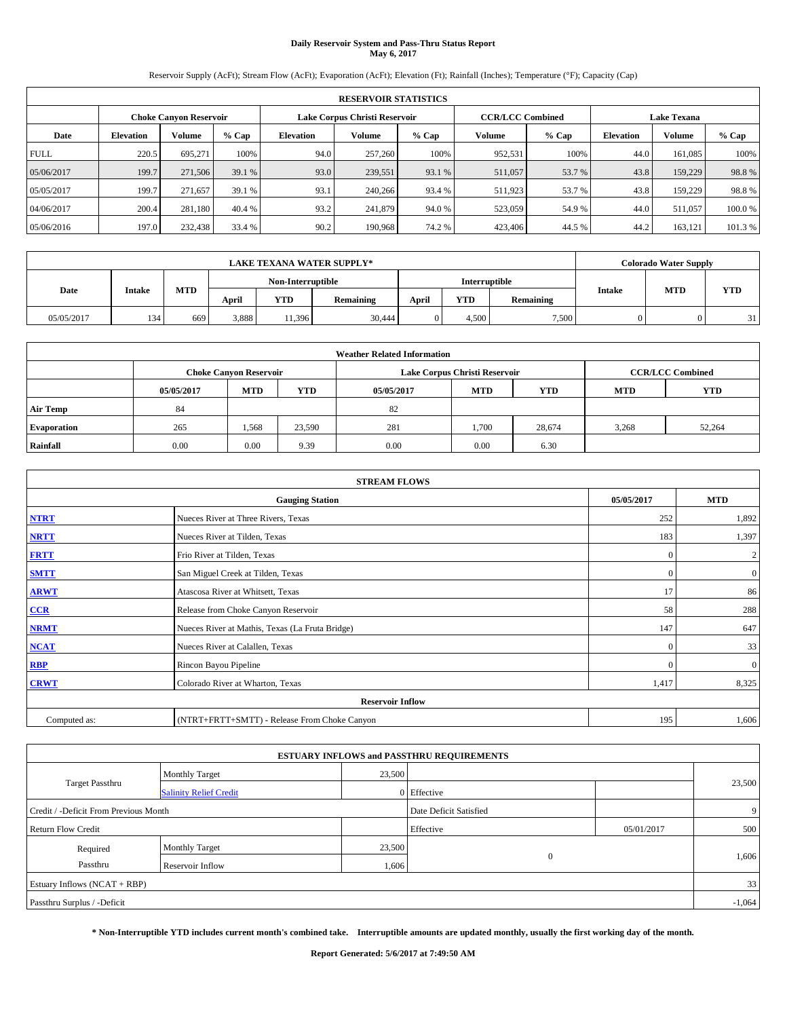# **Daily Reservoir System and Pass-Thru Status Report May 6, 2017**

Reservoir Supply (AcFt); Stream Flow (AcFt); Evaporation (AcFt); Elevation (Ft); Rainfall (Inches); Temperature (°F); Capacity (Cap)

|             | <b>RESERVOIR STATISTICS</b> |                        |         |                  |                               |         |                                               |         |                  |               |         |  |
|-------------|-----------------------------|------------------------|---------|------------------|-------------------------------|---------|-----------------------------------------------|---------|------------------|---------------|---------|--|
|             |                             | Choke Canvon Reservoir |         |                  | Lake Corpus Christi Reservoir |         | <b>CCR/LCC Combined</b><br><b>Lake Texana</b> |         |                  |               |         |  |
| Date        | <b>Elevation</b>            | Volume                 | $%$ Cap | <b>Elevation</b> | Volume                        | $%$ Cap | <b>Volume</b>                                 | $%$ Cap | <b>Elevation</b> | <b>Volume</b> | % Cap   |  |
| <b>FULL</b> | 220.5                       | 695.271                | 100%    | 94.0             | 257,260                       | 100%    | 952,531                                       | 100%    | 44.0             | 161.085       | 100%    |  |
| 05/06/2017  | 199.7                       | 271,506                | 39.1 %  | 93.0             | 239,551                       | 93.1 %  | 511,057                                       | 53.7 %  | 43.8             | 159,229       | 98.8%   |  |
| 05/05/2017  | 199.7                       | 271,657                | 39.1 %  | 93.1             | 240,266                       | 93.4 %  | 511,923                                       | 53.7 %  | 43.8             | 159,229       | 98.8%   |  |
| 04/06/2017  | 200.4                       | 281.180                | 40.4 %  | 93.2             | 241,879                       | 94.0 %  | 523,059                                       | 54.9 %  | 44.0             | 511.057       | 100.0%  |  |
| 05/06/2016  | 197.0                       | 232,438                | 33.4 %  | 90.2             | 190,968                       | 74.2 %  | 423,406                                       | 44.5 %  | 44.2             | 163,121       | 101.3 % |  |

|            | <b>LAKE TEXANA WATER SUPPLY*</b> |            |                   |            |           |       |                                                 |       |            | <b>Colorado Water Supply</b> |    |
|------------|----------------------------------|------------|-------------------|------------|-----------|-------|-------------------------------------------------|-------|------------|------------------------------|----|
|            |                                  |            | Non-Interruptible |            |           |       | Interruptible                                   |       |            |                              |    |
| Date       | <b>Intake</b>                    | <b>MTD</b> | April             | <b>YTD</b> | Remaining | April | <b>MTD</b><br>Intake<br><b>YTD</b><br>Remaining |       | <b>YTD</b> |                              |    |
| 05/05/2017 | 134                              | 669        | 3,888             | 11,396     | 30,444    |       | 4.500                                           | 7,500 |            |                              | 31 |

| <b>Weather Related Information</b> |            |                                                                                  |        |      |                               |        |       |                         |  |  |
|------------------------------------|------------|----------------------------------------------------------------------------------|--------|------|-------------------------------|--------|-------|-------------------------|--|--|
|                                    |            | <b>Choke Canvon Reservoir</b>                                                    |        |      | Lake Corpus Christi Reservoir |        |       | <b>CCR/LCC Combined</b> |  |  |
|                                    | 05/05/2017 | <b>YTD</b><br><b>MTD</b><br><b>MTD</b><br><b>YTD</b><br><b>MTD</b><br>05/05/2017 |        |      |                               |        |       |                         |  |  |
| <b>Air Temp</b>                    | 84         |                                                                                  |        | 82   |                               |        |       |                         |  |  |
| <b>Evaporation</b>                 | 265        | 1,568                                                                            | 23,590 | 281  | l.700                         | 28,674 | 3,268 | 52,264                  |  |  |
| Rainfall                           | 0.00       | 0.00                                                                             | 9.39   | 0.00 | 0.00                          | 6.30   |       |                         |  |  |

|              | <b>STREAM FLOWS</b>                             |              |                  |
|--------------|-------------------------------------------------|--------------|------------------|
|              | <b>Gauging Station</b>                          | 05/05/2017   | <b>MTD</b>       |
| <b>NTRT</b>  | Nueces River at Three Rivers, Texas             | 252          | 1,892            |
| <b>NRTT</b>  | Nueces River at Tilden, Texas                   | 183          | 1,397            |
| <b>FRTT</b>  | Frio River at Tilden, Texas                     | $\mathbf{0}$ | $\boldsymbol{2}$ |
| <b>SMTT</b>  | San Miguel Creek at Tilden, Texas               | $\mathbf{0}$ | $\overline{0}$   |
| <b>ARWT</b>  | Atascosa River at Whitsett, Texas               | 17           | 86               |
| $CCR$        | Release from Choke Canyon Reservoir             | 58           | 288              |
| <b>NRMT</b>  | Nueces River at Mathis, Texas (La Fruta Bridge) | 147          | 647              |
| <b>NCAT</b>  | Nueces River at Calallen, Texas                 | $\Omega$     | 33               |
| <b>RBP</b>   | Rincon Bayou Pipeline                           | $\Omega$     | $\mathbf{0}$     |
| <b>CRWT</b>  | Colorado River at Wharton, Texas                | 1,417        | 8,325            |
|              | <b>Reservoir Inflow</b>                         |              |                  |
| Computed as: | (NTRT+FRTT+SMTT) - Release From Choke Canyon    | 195          | 1,606            |

| <b>ESTUARY INFLOWS and PASSTHRU REQUIREMENTS</b> |                               |           |                        |     |        |  |  |  |  |  |
|--------------------------------------------------|-------------------------------|-----------|------------------------|-----|--------|--|--|--|--|--|
|                                                  | <b>Monthly Target</b>         | 23,500    |                        |     |        |  |  |  |  |  |
| <b>Target Passthru</b>                           | <b>Salinity Relief Credit</b> |           | 0 Effective            |     | 23,500 |  |  |  |  |  |
| Credit / -Deficit From Previous Month            |                               |           | Date Deficit Satisfied |     | 9      |  |  |  |  |  |
| <b>Return Flow Credit</b>                        |                               | Effective | 05/01/2017             | 500 |        |  |  |  |  |  |
| Required                                         | <b>Monthly Target</b>         | 23,500    |                        |     |        |  |  |  |  |  |
| Passthru                                         | <b>Reservoir Inflow</b>       | 1,606     | $\mathbf{0}$           |     | 1,606  |  |  |  |  |  |
| Estuary Inflows (NCAT + RBP)                     |                               |           |                        |     |        |  |  |  |  |  |
| Passthru Surplus / -Deficit                      |                               |           |                        |     |        |  |  |  |  |  |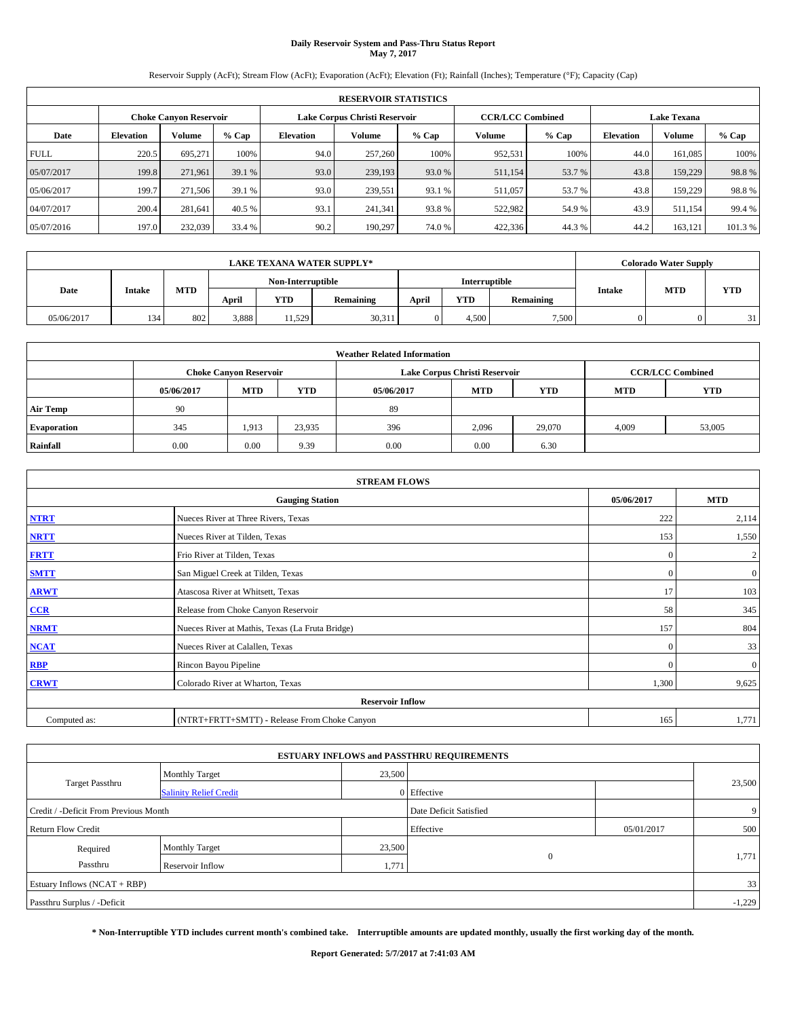# **Daily Reservoir System and Pass-Thru Status Report May 7, 2017**

Reservoir Supply (AcFt); Stream Flow (AcFt); Evaporation (AcFt); Elevation (Ft); Rainfall (Inches); Temperature (°F); Capacity (Cap)

|             | <b>RESERVOIR STATISTICS</b> |                        |         |                  |                               |         |                         |         |                    |               |         |  |
|-------------|-----------------------------|------------------------|---------|------------------|-------------------------------|---------|-------------------------|---------|--------------------|---------------|---------|--|
|             |                             | Choke Canvon Reservoir |         |                  | Lake Corpus Christi Reservoir |         | <b>CCR/LCC Combined</b> |         | <b>Lake Texana</b> |               |         |  |
| Date        | <b>Elevation</b>            | Volume                 | $%$ Cap | <b>Elevation</b> | Volume                        | $%$ Cap | Volume                  | $%$ Cap | <b>Elevation</b>   | <b>Volume</b> | % Cap   |  |
| <b>FULL</b> | 220.5                       | 695.271                | 100%    | 94.0             | 257,260                       | 100%    | 952,531                 | 100%    | 44.0               | 161.085       | 100%    |  |
| 05/07/2017  | 199.8                       | 271.961                | 39.1 %  | 93.0             | 239,193                       | 93.0 %  | 511,154                 | 53.7 %  | 43.8               | 159,229       | 98.8%   |  |
| 05/06/2017  | 199.7                       | 271,506                | 39.1 %  | 93.0             | 239,551                       | 93.1 %  | 511,057                 | 53.7 %  | 43.8               | 159,229       | 98.8%   |  |
| 04/07/2017  | 200.4                       | 281.641                | 40.5 %  | 93.1             | 241,341                       | 93.8%   | 522.982                 | 54.9 %  | 43.9               | 511.154       | 99.4 %  |  |
| 05/07/2016  | 197.0                       | 232,039                | 33.4 %  | 90.2             | 190.297                       | 74.0%   | 422,336                 | 44.3%   | 44.2               | 163,121       | 101.3 % |  |

|            | <b>LAKE TEXANA WATER SUPPLY*</b> |            |                                    |            |                                                         |            |            |       |  | <b>Colorado Water Supply</b> |    |
|------------|----------------------------------|------------|------------------------------------|------------|---------------------------------------------------------|------------|------------|-------|--|------------------------------|----|
|            |                                  |            | Non-Interruptible<br>Interruptible |            |                                                         |            |            |       |  |                              |    |
| Date       | <b>Intake</b>                    | <b>MTD</b> | April                              | <b>YTD</b> | Intake<br><b>YTD</b><br>April<br>Remaining<br>Remaining | <b>MTD</b> | <b>YTD</b> |       |  |                              |    |
| 05/06/2017 | 134                              | 802        | 3,888                              | 11,529     | 30,311                                                  |            | 4.500      | 7,500 |  |                              | 31 |

| <b>Weather Related Information</b> |            |                                                                                  |        |      |                               |                         |       |        |  |  |
|------------------------------------|------------|----------------------------------------------------------------------------------|--------|------|-------------------------------|-------------------------|-------|--------|--|--|
|                                    |            | <b>Choke Canyon Reservoir</b>                                                    |        |      | Lake Corpus Christi Reservoir | <b>CCR/LCC Combined</b> |       |        |  |  |
|                                    | 05/06/2017 | <b>YTD</b><br><b>MTD</b><br><b>MTD</b><br>05/06/2017<br><b>YTD</b><br><b>MTD</b> |        |      |                               |                         |       |        |  |  |
| <b>Air Temp</b>                    | 90         |                                                                                  |        | 89   |                               |                         |       |        |  |  |
| <b>Evaporation</b>                 | 345        | 1,913                                                                            | 23,935 | 396  | 2,096                         | 29,070                  | 4,009 | 53,005 |  |  |
| Rainfall                           | 0.00       | 0.00                                                                             | 9.39   | 0.00 | 0.00                          | 6.30                    |       |        |  |  |

|              | <b>STREAM FLOWS</b>                             |              |                |
|--------------|-------------------------------------------------|--------------|----------------|
|              | <b>Gauging Station</b>                          | 05/06/2017   | <b>MTD</b>     |
| <b>NTRT</b>  | Nueces River at Three Rivers, Texas             | 222          | 2,114          |
| <b>NRTT</b>  | Nueces River at Tilden, Texas                   | 153          | 1,550          |
| <b>FRTT</b>  | Frio River at Tilden, Texas                     | $\mathbf{0}$ | $\overline{c}$ |
| <b>SMTT</b>  | San Miguel Creek at Tilden, Texas               | $\mathbf{0}$ | $\overline{0}$ |
| <b>ARWT</b>  | Atascosa River at Whitsett, Texas               | 17           | 103            |
| CCR          | Release from Choke Canyon Reservoir             | 58           | 345            |
| <b>NRMT</b>  | Nueces River at Mathis, Texas (La Fruta Bridge) | 157          | 804            |
| <b>NCAT</b>  | Nueces River at Calallen, Texas                 | $\Omega$     | 33             |
| <b>RBP</b>   | Rincon Bayou Pipeline                           | $\Omega$     | $\mathbf{0}$   |
| <b>CRWT</b>  | Colorado River at Wharton, Texas                | 1,300        | 9,625          |
|              | <b>Reservoir Inflow</b>                         |              |                |
| Computed as: | (NTRT+FRTT+SMTT) - Release From Choke Canyon    | 165          | 1,771          |

| <b>ESTUARY INFLOWS and PASSTHRU REQUIREMENTS</b> |                               |        |                        |            |        |  |  |  |  |  |
|--------------------------------------------------|-------------------------------|--------|------------------------|------------|--------|--|--|--|--|--|
|                                                  | <b>Monthly Target</b>         | 23,500 |                        |            |        |  |  |  |  |  |
| <b>Target Passthru</b>                           | <b>Salinity Relief Credit</b> |        | 0 Effective            |            | 23,500 |  |  |  |  |  |
| Credit / -Deficit From Previous Month            |                               |        | Date Deficit Satisfied |            | 9      |  |  |  |  |  |
| <b>Return Flow Credit</b>                        |                               |        | Effective              | 05/01/2017 | 500    |  |  |  |  |  |
| Required                                         | <b>Monthly Target</b>         | 23,500 |                        |            |        |  |  |  |  |  |
| Passthru                                         | <b>Reservoir Inflow</b>       | 1,771  | $\mathbf{0}$           |            | 1,771  |  |  |  |  |  |
| Estuary Inflows (NCAT + RBP)                     |                               |        |                        |            |        |  |  |  |  |  |
| Passthru Surplus / -Deficit                      |                               |        |                        |            |        |  |  |  |  |  |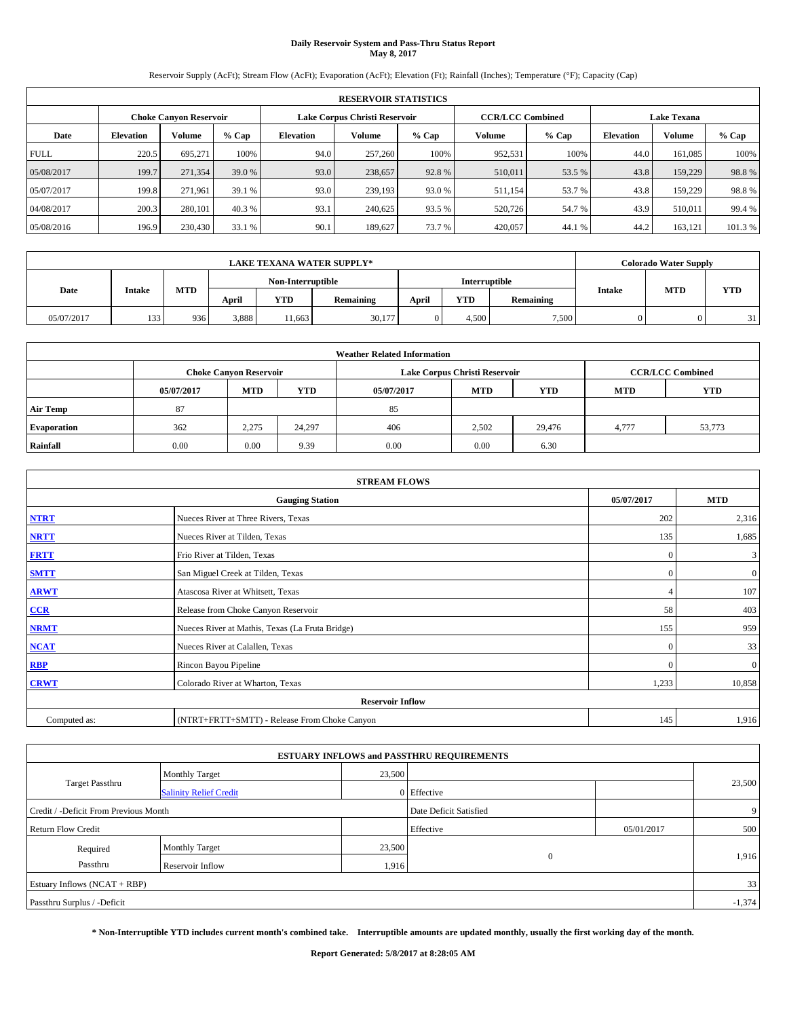# **Daily Reservoir System and Pass-Thru Status Report May 8, 2017**

Reservoir Supply (AcFt); Stream Flow (AcFt); Evaporation (AcFt); Elevation (Ft); Rainfall (Inches); Temperature (°F); Capacity (Cap)

|             | <b>RESERVOIR STATISTICS</b> |                        |         |                  |                               |         |                         |         |                  |                    |         |  |
|-------------|-----------------------------|------------------------|---------|------------------|-------------------------------|---------|-------------------------|---------|------------------|--------------------|---------|--|
|             |                             | Choke Canvon Reservoir |         |                  | Lake Corpus Christi Reservoir |         | <b>CCR/LCC Combined</b> |         |                  | <b>Lake Texana</b> |         |  |
| Date        | <b>Elevation</b>            | Volume                 | $%$ Cap | <b>Elevation</b> | Volume                        | $%$ Cap | Volume                  | $%$ Cap | <b>Elevation</b> | <b>Volume</b>      | % Cap   |  |
| <b>FULL</b> | 220.5                       | 695.271                | 100%    | 94.0             | 257,260                       | 100%    | 952,531                 | 100%    | 44.0             | 161.085            | 100%    |  |
| 05/08/2017  | 199.7                       | 271,354                | 39.0 %  | 93.0             | 238,657                       | 92.8%   | 510,011                 | 53.5 %  | 43.8             | 159,229            | 98.8%   |  |
| 05/07/2017  | 199.8                       | 271,961                | 39.1 %  | 93.0             | 239,193                       | 93.0 %  | 511,154                 | 53.7 %  | 43.8             | 159,229            | 98.8%   |  |
| 04/08/2017  | 200.3                       | 280,101                | 40.3 %  | 93.1             | 240,625                       | 93.5 %  | 520,726                 | 54.7 %  | 43.9             | 510,011            | 99.4 %  |  |
| 05/08/2016  | 196.9                       | 230,430                | 33.1 %  | 90.1             | 189,627                       | 73.7 %  | 420,057                 | 44.1 %  | 44.2             | 163,121            | 101.3 % |  |

|            | <b>LAKE TEXANA WATER SUPPLY*</b> |            |       |                   |           |                      |            |                  |        | <b>Colorado Water Supply</b> |            |
|------------|----------------------------------|------------|-------|-------------------|-----------|----------------------|------------|------------------|--------|------------------------------|------------|
|            |                                  |            |       | Non-Interruptible |           | <b>Interruptible</b> |            |                  |        |                              |            |
| Date       | <b>Intake</b>                    | <b>MTD</b> | April | YTD               | Remaining | April                | <b>YTD</b> | <b>Remaining</b> | Intake | <b>MTD</b>                   | <b>YTD</b> |
| 05/07/2017 | 133                              | 936        | 3,888 | 11.663            | 30,177    |                      | 4.500      | 7,500            |        |                              | 31         |

|                    | <b>Weather Related Information</b> |                               |            |            |                               |                         |       |        |  |  |  |  |
|--------------------|------------------------------------|-------------------------------|------------|------------|-------------------------------|-------------------------|-------|--------|--|--|--|--|
|                    |                                    | <b>Choke Canyon Reservoir</b> |            |            | Lake Corpus Christi Reservoir | <b>CCR/LCC Combined</b> |       |        |  |  |  |  |
|                    | 05/07/2017                         | <b>MTD</b>                    | <b>YTD</b> | 05/07/2017 | <b>MTD</b>                    | <b>YTD</b>              |       |        |  |  |  |  |
| <b>Air Temp</b>    | 87                                 |                               |            | 85         |                               |                         |       |        |  |  |  |  |
| <b>Evaporation</b> | 362                                | 2,275                         | 24,297     | 406        | 2,502                         | 29.476                  | 4.777 | 53,773 |  |  |  |  |
| Rainfall           | 0.00                               | 0.00                          | 9.39       | 0.00       | 0.00                          | 6.30                    |       |        |  |  |  |  |

| <b>STREAM FLOWS</b>                  |                                                 |                |              |  |  |  |  |  |
|--------------------------------------|-------------------------------------------------|----------------|--------------|--|--|--|--|--|
| <b>Gauging Station</b><br>05/07/2017 |                                                 |                |              |  |  |  |  |  |
| <b>NTRT</b>                          | Nueces River at Three Rivers, Texas             | 202            | 2,316        |  |  |  |  |  |
| <b>NRTT</b>                          | Nueces River at Tilden, Texas                   | 135            | 1,685        |  |  |  |  |  |
| <b>FRTT</b>                          | Frio River at Tilden, Texas                     | $\mathbf{0}$   | 3            |  |  |  |  |  |
| <b>SMTT</b>                          | San Miguel Creek at Tilden, Texas               | $\mathbf{0}$   | $\mathbf{0}$ |  |  |  |  |  |
| <b>ARWT</b>                          | Atascosa River at Whitsett, Texas               | $\overline{4}$ | 107          |  |  |  |  |  |
| $CCR$                                | Release from Choke Canyon Reservoir             | 58             | 403          |  |  |  |  |  |
| <b>NRMT</b>                          | Nueces River at Mathis, Texas (La Fruta Bridge) | 155            | 959          |  |  |  |  |  |
| <b>NCAT</b>                          | Nueces River at Calallen, Texas                 | $\Omega$       | 33           |  |  |  |  |  |
| RBP                                  | Rincon Bayou Pipeline                           | $\Omega$       | $\mathbf{0}$ |  |  |  |  |  |
| <b>CRWT</b>                          | Colorado River at Wharton, Texas                | 1,233          | 10,858       |  |  |  |  |  |
|                                      | <b>Reservoir Inflow</b>                         |                |              |  |  |  |  |  |
| Computed as:                         | (NTRT+FRTT+SMTT) - Release From Choke Canyon    |                |              |  |  |  |  |  |

|                                       |                               |                        | <b>ESTUARY INFLOWS and PASSTHRU REQUIREMENTS</b> |            |          |
|---------------------------------------|-------------------------------|------------------------|--------------------------------------------------|------------|----------|
|                                       | <b>Monthly Target</b>         | 23,500                 |                                                  |            |          |
| Target Passthru                       | <b>Salinity Relief Credit</b> |                        | 0 Effective                                      |            | 23,500   |
| Credit / -Deficit From Previous Month |                               | Date Deficit Satisfied |                                                  | 9          |          |
| <b>Return Flow Credit</b>             |                               |                        | Effective                                        | 05/01/2017 | 500      |
| Required                              | Monthly Target                | 23,500                 |                                                  |            |          |
| Passthru                              | <b>Reservoir Inflow</b>       | 1,916                  | $\Omega$                                         |            | 1,916    |
| Estuary Inflows (NCAT + RBP)          |                               |                        |                                                  |            | 33       |
| Passthru Surplus / -Deficit           |                               |                        |                                                  |            | $-1,374$ |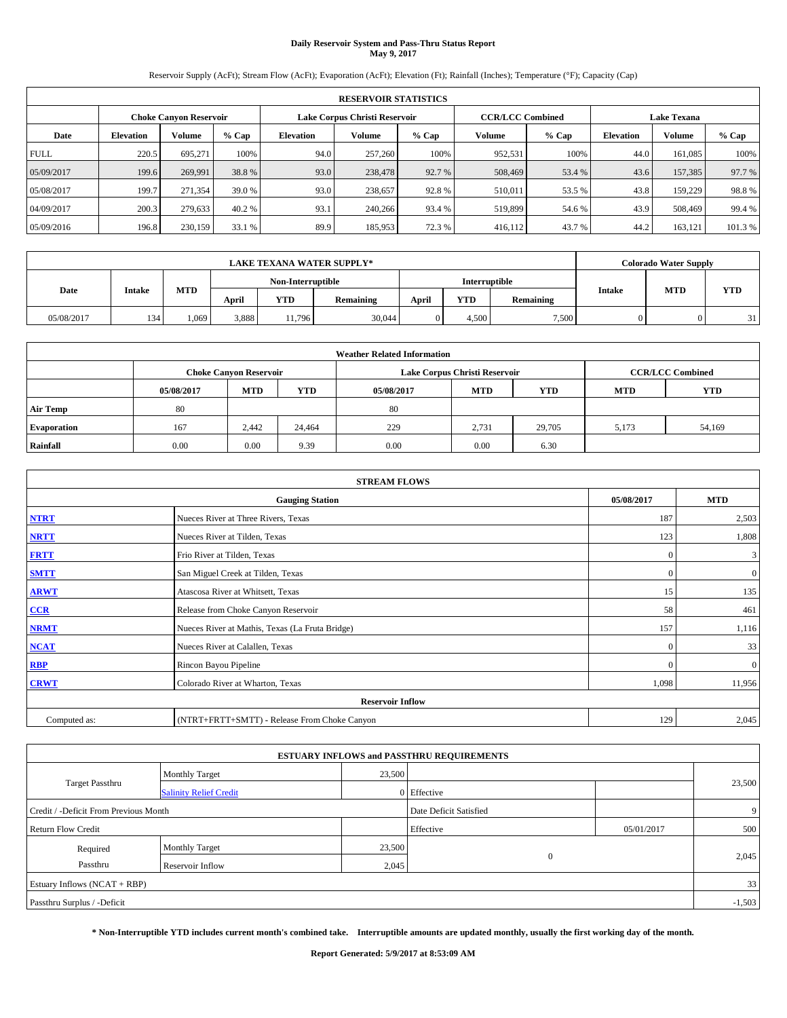# **Daily Reservoir System and Pass-Thru Status Report May 9, 2017**

Reservoir Supply (AcFt); Stream Flow (AcFt); Evaporation (AcFt); Elevation (Ft); Rainfall (Inches); Temperature (°F); Capacity (Cap)

|             | <b>RESERVOIR STATISTICS</b> |                               |         |                               |         |         |                         |         |                    |               |         |  |  |
|-------------|-----------------------------|-------------------------------|---------|-------------------------------|---------|---------|-------------------------|---------|--------------------|---------------|---------|--|--|
|             |                             | <b>Choke Canyon Reservoir</b> |         | Lake Corpus Christi Reservoir |         |         | <b>CCR/LCC Combined</b> |         | <b>Lake Texana</b> |               |         |  |  |
| Date        | <b>Elevation</b>            | Volume                        | $%$ Cap | Elevation                     | Volume  | $%$ Cap | Volume                  | $%$ Cap | <b>Elevation</b>   | <b>Volume</b> | % Cap   |  |  |
| <b>FULL</b> | 220.5                       | 695.271                       | 100%    | 94.0                          | 257,260 | 100%    | 952,531                 | 100%    | 44.0               | 161.085       | 100%    |  |  |
| 05/09/2017  | 199.6                       | 269,991                       | 38.8%   | 93.0                          | 238,478 | 92.7 %  | 508,469                 | 53.4 %  | 43.6               | 157,385       | 97.7 %  |  |  |
| 05/08/2017  | 199.7                       | 271,354                       | 39.0 %  | 93.0                          | 238,657 | 92.8%   | 510,011                 | 53.5 %  | 43.8               | 159,229       | 98.8%   |  |  |
| 04/09/2017  | 200.3                       | 279,633                       | 40.2 %  | 93.1                          | 240,266 | 93.4 %  | 519,899                 | 54.6 %  | 43.9               | 508,469       | 99.4 %  |  |  |
| 05/09/2016  | 196.8                       | 230,159                       | 33.1 %  | 89.9                          | 185,953 | 72.3 %  | 416,112                 | 43.7 %  | 44.2               | 163,121       | 101.3 % |  |  |

|            | <b>LAKE TEXANA WATER SUPPLY*</b> |            |       |                   |           |       |               |           |               | <b>Colorado Water Supply</b> |            |
|------------|----------------------------------|------------|-------|-------------------|-----------|-------|---------------|-----------|---------------|------------------------------|------------|
|            |                                  |            |       | Non-Interruptible |           |       | Interruptible |           |               |                              |            |
| Date       | <b>Intake</b>                    | <b>MTD</b> | April | YTD               | Remaining | April | <b>YTD</b>    | Remaining | <b>Intake</b> | <b>MTD</b>                   | <b>YTD</b> |
| 05/08/2017 | 134                              | .069       | 3,888 | 11,796            | 30,044    |       | 4.500         | 7.500     |               |                              | 31         |

|                    | <b>Weather Related Information</b> |                                                                                  |        |      |                               |                         |       |            |  |  |  |  |
|--------------------|------------------------------------|----------------------------------------------------------------------------------|--------|------|-------------------------------|-------------------------|-------|------------|--|--|--|--|
|                    |                                    | <b>Choke Canvon Reservoir</b>                                                    |        |      | Lake Corpus Christi Reservoir | <b>CCR/LCC Combined</b> |       |            |  |  |  |  |
|                    | 05/08/2017                         | <b>YTD</b><br><b>MTD</b><br><b>MTD</b><br><b>YTD</b><br>05/08/2017<br><b>MTD</b> |        |      |                               |                         |       | <b>YTD</b> |  |  |  |  |
| <b>Air Temp</b>    | 80                                 |                                                                                  |        | 80   |                               |                         |       |            |  |  |  |  |
| <b>Evaporation</b> | 167                                | 2.442                                                                            | 24,464 | 229  | 2,731                         | 29,705                  | 5,173 | 54,169     |  |  |  |  |
| Rainfall           | 0.00                               | 0.00                                                                             | 9.39   | 0.00 | 0.00                          | 6.30                    |       |            |  |  |  |  |

| <b>STREAM FLOWS</b> |                                                 |              |                |  |  |  |  |  |
|---------------------|-------------------------------------------------|--------------|----------------|--|--|--|--|--|
|                     | <b>Gauging Station</b>                          | 05/08/2017   | <b>MTD</b>     |  |  |  |  |  |
| <b>NTRT</b>         | Nueces River at Three Rivers, Texas             | 187          | 2,503          |  |  |  |  |  |
| <b>NRTT</b>         | Nueces River at Tilden, Texas                   | 123          | 1,808          |  |  |  |  |  |
| <b>FRTT</b>         | Frio River at Tilden, Texas                     | $\mathbf{0}$ | 3              |  |  |  |  |  |
| <b>SMTT</b>         | San Miguel Creek at Tilden, Texas               | $\mathbf{0}$ | $\overline{0}$ |  |  |  |  |  |
| <b>ARWT</b>         | Atascosa River at Whitsett, Texas               | 15           | 135            |  |  |  |  |  |
| $CCR$               | Release from Choke Canyon Reservoir             | 58           | 461            |  |  |  |  |  |
| <b>NRMT</b>         | Nueces River at Mathis, Texas (La Fruta Bridge) | 157          | 1,116          |  |  |  |  |  |
| <b>NCAT</b>         | Nueces River at Calallen, Texas                 | $\Omega$     | 33             |  |  |  |  |  |
| RBP                 | Rincon Bayou Pipeline                           | $\mathbf{0}$ | $\mathbf{0}$   |  |  |  |  |  |
| <b>CRWT</b>         | Colorado River at Wharton, Texas                | 1,098        | 11,956         |  |  |  |  |  |
|                     | <b>Reservoir Inflow</b>                         |              |                |  |  |  |  |  |
| Computed as:        | (NTRT+FRTT+SMTT) - Release From Choke Canyon    |              |                |  |  |  |  |  |

|                                       |                               |        | <b>ESTUARY INFLOWS and PASSTHRU REQUIREMENTS</b> |            |          |
|---------------------------------------|-------------------------------|--------|--------------------------------------------------|------------|----------|
|                                       | <b>Monthly Target</b>         | 23,500 |                                                  |            |          |
| Target Passthru                       | <b>Salinity Relief Credit</b> |        | 0 Effective                                      |            | 23,500   |
| Credit / -Deficit From Previous Month |                               | 9      |                                                  |            |          |
| <b>Return Flow Credit</b>             |                               |        | Effective                                        | 05/01/2017 | 500      |
| Required                              | <b>Monthly Target</b>         | 23,500 |                                                  |            |          |
| Passthru                              | <b>Reservoir Inflow</b>       | 2,045  | $\Omega$                                         |            | 2,045    |
| Estuary Inflows (NCAT + RBP)          |                               |        |                                                  |            | 33       |
| Passthru Surplus / -Deficit           |                               |        |                                                  |            | $-1,503$ |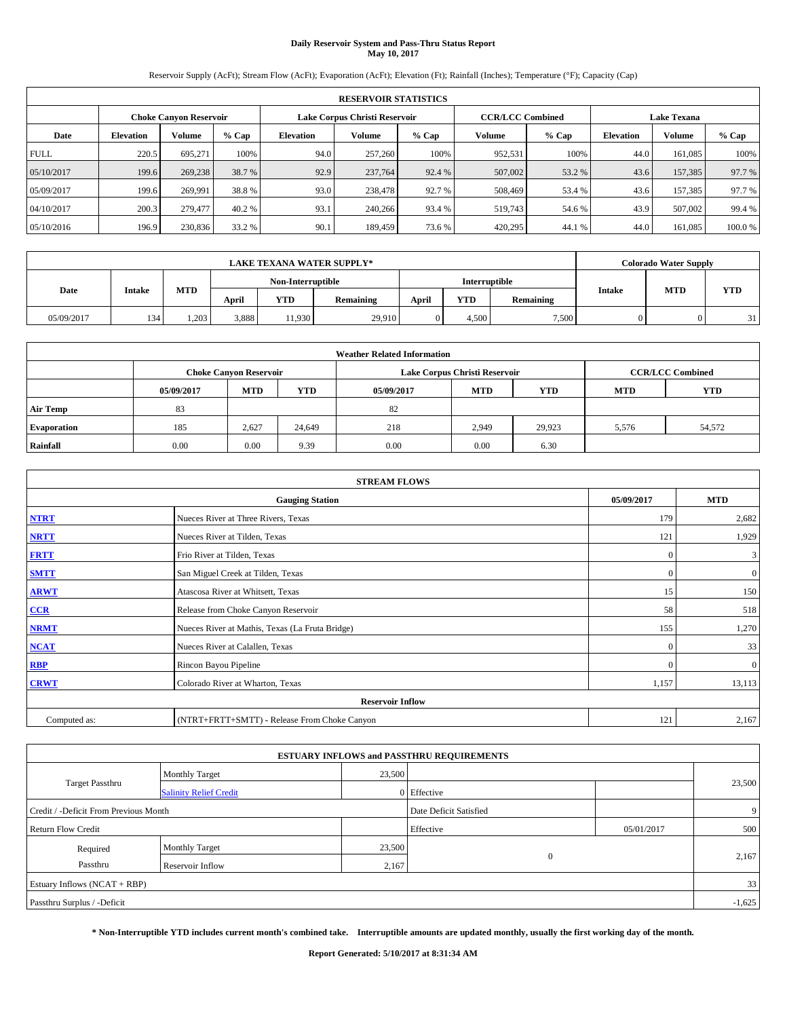# **Daily Reservoir System and Pass-Thru Status Report May 10, 2017**

Reservoir Supply (AcFt); Stream Flow (AcFt); Evaporation (AcFt); Elevation (Ft); Rainfall (Inches); Temperature (°F); Capacity (Cap)

|             | <b>RESERVOIR STATISTICS</b> |                               |         |           |                               |         |                         |         |                    |               |        |  |  |
|-------------|-----------------------------|-------------------------------|---------|-----------|-------------------------------|---------|-------------------------|---------|--------------------|---------------|--------|--|--|
|             |                             | <b>Choke Canyon Reservoir</b> |         |           | Lake Corpus Christi Reservoir |         | <b>CCR/LCC Combined</b> |         | <b>Lake Texana</b> |               |        |  |  |
| Date        | <b>Elevation</b>            | Volume                        | $%$ Cap | Elevation | Volume                        | $%$ Cap | Volume                  | $%$ Cap | <b>Elevation</b>   | <b>Volume</b> | % Cap  |  |  |
| <b>FULL</b> | 220.5                       | 695.271                       | 100%    | 94.0      | 257,260                       | 100%    | 952,531                 | 100%    | 44.0               | 161.085       | 100%   |  |  |
| 05/10/2017  | 199.6                       | 269,238                       | 38.7 %  | 92.9      | 237,764                       | 92.4 %  | 507,002                 | 53.2 %  | 43.6               | 157,385       | 97.7 % |  |  |
| 05/09/2017  | 199.6                       | 269.991                       | 38.8%   | 93.0      | 238,478                       | 92.7 %  | 508,469                 | 53.4 %  | 43.6               | 157.385       | 97.7 % |  |  |
| 04/10/2017  | 200.3                       | 279,477                       | 40.2 %  | 93.1      | 240,266                       | 93.4 %  | 519,743                 | 54.6 %  | 43.9               | 507,002       | 99.4 % |  |  |
| 05/10/2016  | 196.9                       | 230,836                       | 33.2 %  | 90.1      | 189.459                       | 73.6 %  | 420,295                 | 44.1 %  | 44.0               | 161,085       | 100.0% |  |  |

|            | <b>LAKE TEXANA WATER SUPPLY*</b> |            |                   |        |           |               |            |           |               | <b>Colorado Water Supply</b> |            |
|------------|----------------------------------|------------|-------------------|--------|-----------|---------------|------------|-----------|---------------|------------------------------|------------|
|            |                                  |            | Non-Interruptible |        |           | Interruptible |            |           |               |                              |            |
| Date       | <b>Intake</b>                    | <b>MTD</b> | April             | YTD    | Remaining | April         | <b>YTD</b> | Remaining | <b>Intake</b> | <b>MTD</b>                   | <b>YTD</b> |
| 05/09/2017 | 134                              | 1.203      | 3,888             | 11,930 | 29,910    |               | 4.500      | 7.500     |               |                              | 31         |

|                    | <b>Weather Related Information</b> |                                                                                  |        |      |                               |                         |       |        |  |  |  |  |
|--------------------|------------------------------------|----------------------------------------------------------------------------------|--------|------|-------------------------------|-------------------------|-------|--------|--|--|--|--|
|                    |                                    | <b>Choke Canvon Reservoir</b>                                                    |        |      | Lake Corpus Christi Reservoir | <b>CCR/LCC Combined</b> |       |        |  |  |  |  |
|                    | 05/09/2017                         | <b>YTD</b><br><b>MTD</b><br><b>MTD</b><br><b>YTD</b><br><b>MTD</b><br>05/09/2017 |        |      |                               |                         |       |        |  |  |  |  |
| <b>Air Temp</b>    | 83                                 |                                                                                  |        | 82   |                               |                         |       |        |  |  |  |  |
| <b>Evaporation</b> | 185                                | 2,627                                                                            | 24,649 | 218  | 2,949                         | 29.923                  | 5,576 | 54,572 |  |  |  |  |
| Rainfall           | 0.00                               | 0.00                                                                             | 9.39   | 0.00 | 0.00                          | 6.30                    |       |        |  |  |  |  |

| <b>STREAM FLOWS</b> |                                                 |              |                |  |  |  |  |  |  |
|---------------------|-------------------------------------------------|--------------|----------------|--|--|--|--|--|--|
|                     | <b>Gauging Station</b>                          | 05/09/2017   | <b>MTD</b>     |  |  |  |  |  |  |
| <b>NTRT</b>         | Nueces River at Three Rivers, Texas             |              |                |  |  |  |  |  |  |
| <b>NRTT</b>         | Nueces River at Tilden, Texas                   | 121          | 1,929          |  |  |  |  |  |  |
| <b>FRTT</b>         | Frio River at Tilden, Texas                     | $\mathbf{0}$ | 3              |  |  |  |  |  |  |
| <b>SMTT</b>         | San Miguel Creek at Tilden, Texas               | $\mathbf{0}$ | $\overline{0}$ |  |  |  |  |  |  |
| <b>ARWT</b>         | Atascosa River at Whitsett, Texas               | 15           | 150            |  |  |  |  |  |  |
| $CCR$               | Release from Choke Canyon Reservoir             | 58           | 518            |  |  |  |  |  |  |
| <b>NRMT</b>         | Nueces River at Mathis, Texas (La Fruta Bridge) | 155          | 1,270          |  |  |  |  |  |  |
| <b>NCAT</b>         | Nueces River at Calallen, Texas                 | $\mathbf{0}$ | 33             |  |  |  |  |  |  |
| RBP                 | Rincon Bayou Pipeline                           | $\Omega$     | $\mathbf{0}$   |  |  |  |  |  |  |
| <b>CRWT</b>         | Colorado River at Wharton, Texas                | 1,157        | 13,113         |  |  |  |  |  |  |
|                     | <b>Reservoir Inflow</b>                         |              |                |  |  |  |  |  |  |
| Computed as:        | (NTRT+FRTT+SMTT) - Release From Choke Canyon    | 121          | 2,167          |  |  |  |  |  |  |

| <b>ESTUARY INFLOWS and PASSTHRU REQUIREMENTS</b> |                               |        |                        |            |          |  |  |  |  |  |
|--------------------------------------------------|-------------------------------|--------|------------------------|------------|----------|--|--|--|--|--|
|                                                  | <b>Monthly Target</b>         | 23,500 |                        |            |          |  |  |  |  |  |
| Target Passthru                                  | <b>Salinity Relief Credit</b> |        | 0 Effective            |            | 23,500   |  |  |  |  |  |
| Credit / -Deficit From Previous Month            |                               |        | Date Deficit Satisfied |            | 9        |  |  |  |  |  |
| <b>Return Flow Credit</b>                        |                               |        | Effective              | 05/01/2017 | 500      |  |  |  |  |  |
| Required                                         | Monthly Target                | 23,500 |                        |            |          |  |  |  |  |  |
| Passthru<br><b>Reservoir Inflow</b>              |                               | 2,167  | $\Omega$               |            | 2,167    |  |  |  |  |  |
| Estuary Inflows (NCAT + RBP)                     |                               |        |                        |            | 33       |  |  |  |  |  |
| Passthru Surplus / -Deficit                      |                               |        |                        |            | $-1,625$ |  |  |  |  |  |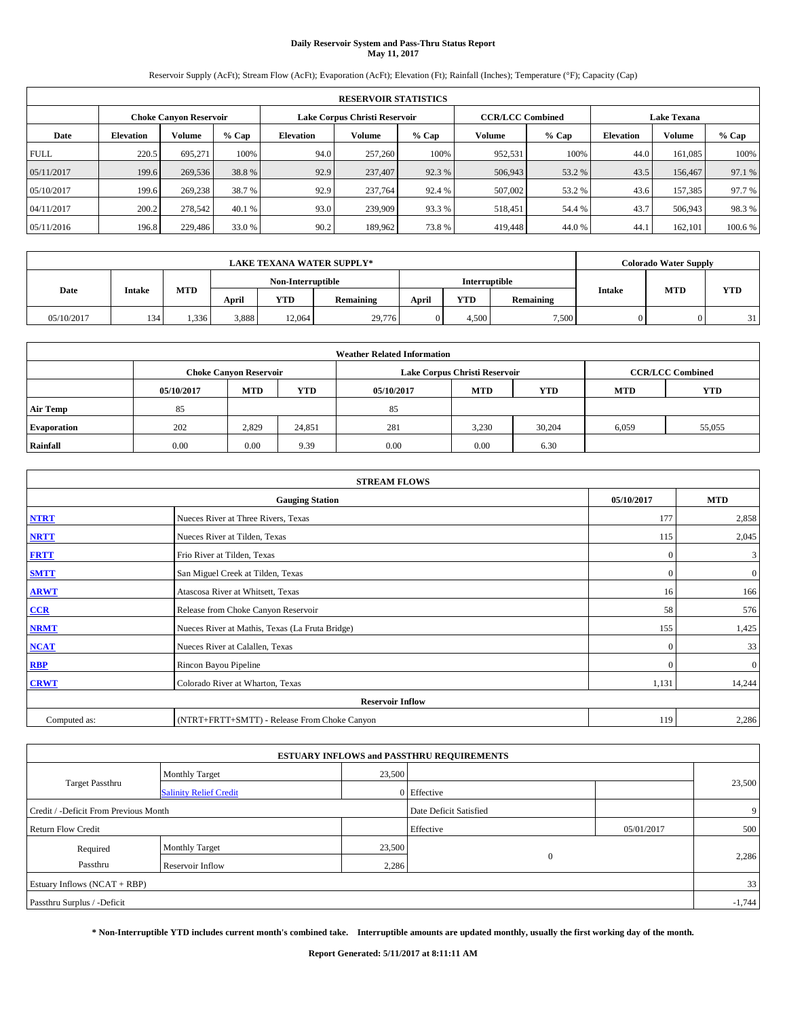# **Daily Reservoir System and Pass-Thru Status Report May 11, 2017**

Reservoir Supply (AcFt); Stream Flow (AcFt); Evaporation (AcFt); Elevation (Ft); Rainfall (Inches); Temperature (°F); Capacity (Cap)

|             | <b>RESERVOIR STATISTICS</b> |                        |         |                  |                               |         |                         |         |                  |                    |        |  |
|-------------|-----------------------------|------------------------|---------|------------------|-------------------------------|---------|-------------------------|---------|------------------|--------------------|--------|--|
|             |                             | Choke Canvon Reservoir |         |                  | Lake Corpus Christi Reservoir |         | <b>CCR/LCC Combined</b> |         |                  | <b>Lake Texana</b> |        |  |
| Date        | <b>Elevation</b>            | Volume                 | $%$ Cap | <b>Elevation</b> | <b>Volume</b>                 | $%$ Cap | Volume                  | $%$ Cap | <b>Elevation</b> | <b>Volume</b>      | % Cap  |  |
| <b>FULL</b> | 220.5                       | 695,271                | 100%    | 94.0             | 257,260                       | 100%    | 952,531                 | 100%    | 44.0             | 161.085            | 100%   |  |
| 05/11/2017  | 199.6                       | 269,536                | 38.8%   | 92.9             | 237,407                       | 92.3 %  | 506,943                 | 53.2 %  | 43.5             | 156,467            | 97.1 % |  |
| 05/10/2017  | 199.6                       | 269,238                | 38.7 %  | 92.9             | 237,764                       | 92.4 %  | 507,002                 | 53.2 %  | 43.6             | 157.385            | 97.7 % |  |
| 04/11/2017  | 200.2                       | 278,542                | 40.1 %  | 93.0             | 239,909                       | 93.3%   | 518.451                 | 54.4 %  | 43.7             | 506,943            | 98.3%  |  |
| 05/11/2016  | 196.8                       | 229,486                | 33.0 %  | 90.2             | 189,962                       | 73.8%   | 419,448                 | 44.0%   | 44.              | 162,101            | 100.6% |  |

|            |               |       |                   |        | <b>LAKE TEXANA WATER SUPPLY*</b> |                      |       |           |       | <b>Colorado Water Supply</b> |                  |        |            |
|------------|---------------|-------|-------------------|--------|----------------------------------|----------------------|-------|-----------|-------|------------------------------|------------------|--------|------------|
| Date       |               |       | Non-Interruptible |        |                                  | <b>Interruptible</b> |       |           |       |                              |                  |        |            |
|            | <b>Intake</b> |       |                   |        | <b>MTD</b>                       | April                | YTD   | Remaining | April | <b>YTD</b>                   | <b>Remaining</b> | Intake | <b>MTD</b> |
| 05/10/2017 | 134           | 1.336 | 3,888             | 12,064 | 29,776                           |                      | 4.500 | 7.500     |       |                              | 311              |        |            |

| <b>Weather Related Information</b> |            |                               |            |            |                               |                         |            |            |  |  |  |
|------------------------------------|------------|-------------------------------|------------|------------|-------------------------------|-------------------------|------------|------------|--|--|--|
|                                    |            | <b>Choke Canvon Reservoir</b> |            |            | Lake Corpus Christi Reservoir | <b>CCR/LCC Combined</b> |            |            |  |  |  |
|                                    | 05/10/2017 | <b>MTD</b>                    | <b>YTD</b> | 05/10/2017 | <b>MTD</b>                    | <b>YTD</b>              | <b>MTD</b> | <b>YTD</b> |  |  |  |
| <b>Air Temp</b>                    | 85         |                               |            | 85         |                               |                         |            |            |  |  |  |
| <b>Evaporation</b>                 | 202        | 2,829                         | 24,851     | 281        | 3,230                         | 30.204                  | 6,059      | 55,055     |  |  |  |
| Rainfall                           | 0.00       | 0.00                          | 9.39       | 0.00       | 0.00                          | 6.30                    |            |            |  |  |  |

| <b>STREAM FLOWS</b> |                                                 |              |                |  |  |  |  |  |  |
|---------------------|-------------------------------------------------|--------------|----------------|--|--|--|--|--|--|
|                     | <b>Gauging Station</b>                          | 05/10/2017   | <b>MTD</b>     |  |  |  |  |  |  |
| <b>NTRT</b>         | Nueces River at Three Rivers, Texas             | 177          | 2,858          |  |  |  |  |  |  |
| <b>NRTT</b>         | Nueces River at Tilden, Texas                   | 115          | 2,045          |  |  |  |  |  |  |
| <b>FRTT</b>         | Frio River at Tilden, Texas                     | $\mathbf{0}$ | 3              |  |  |  |  |  |  |
| <b>SMTT</b>         | San Miguel Creek at Tilden, Texas               | $\mathbf{0}$ | $\overline{0}$ |  |  |  |  |  |  |
| <b>ARWT</b>         | Atascosa River at Whitsett, Texas               | 16           | 166            |  |  |  |  |  |  |
| $CCR$               | Release from Choke Canyon Reservoir             | 58           | 576            |  |  |  |  |  |  |
| <b>NRMT</b>         | Nueces River at Mathis, Texas (La Fruta Bridge) | 155          | 1,425          |  |  |  |  |  |  |
| <b>NCAT</b>         | Nueces River at Calallen, Texas                 | $\mathbf{0}$ | 33             |  |  |  |  |  |  |
| <b>RBP</b>          | Rincon Bayou Pipeline                           | $\Omega$     | $\mathbf{0}$   |  |  |  |  |  |  |
| <b>CRWT</b>         | Colorado River at Wharton, Texas                | 1,131        | 14,244         |  |  |  |  |  |  |
|                     | <b>Reservoir Inflow</b>                         |              |                |  |  |  |  |  |  |
| Computed as:        | (NTRT+FRTT+SMTT) - Release From Choke Canyon    | 119          | 2,286          |  |  |  |  |  |  |

| <b>ESTUARY INFLOWS and PASSTHRU REQUIREMENTS</b> |                               |        |                        |            |          |  |  |  |  |  |
|--------------------------------------------------|-------------------------------|--------|------------------------|------------|----------|--|--|--|--|--|
|                                                  | <b>Monthly Target</b>         | 23,500 |                        |            |          |  |  |  |  |  |
| Target Passthru                                  | <b>Salinity Relief Credit</b> |        | 0 Effective            |            | 23,500   |  |  |  |  |  |
| Credit / -Deficit From Previous Month            |                               |        | Date Deficit Satisfied |            | 9        |  |  |  |  |  |
| <b>Return Flow Credit</b>                        |                               |        | Effective              | 05/01/2017 | 500      |  |  |  |  |  |
| Required                                         | Monthly Target                | 23,500 |                        |            |          |  |  |  |  |  |
| Passthru<br><b>Reservoir Inflow</b>              |                               | 2,286  | $\Omega$               |            | 2,286    |  |  |  |  |  |
| Estuary Inflows (NCAT + RBP)                     |                               |        |                        |            |          |  |  |  |  |  |
| Passthru Surplus / -Deficit                      |                               |        |                        |            | $-1,744$ |  |  |  |  |  |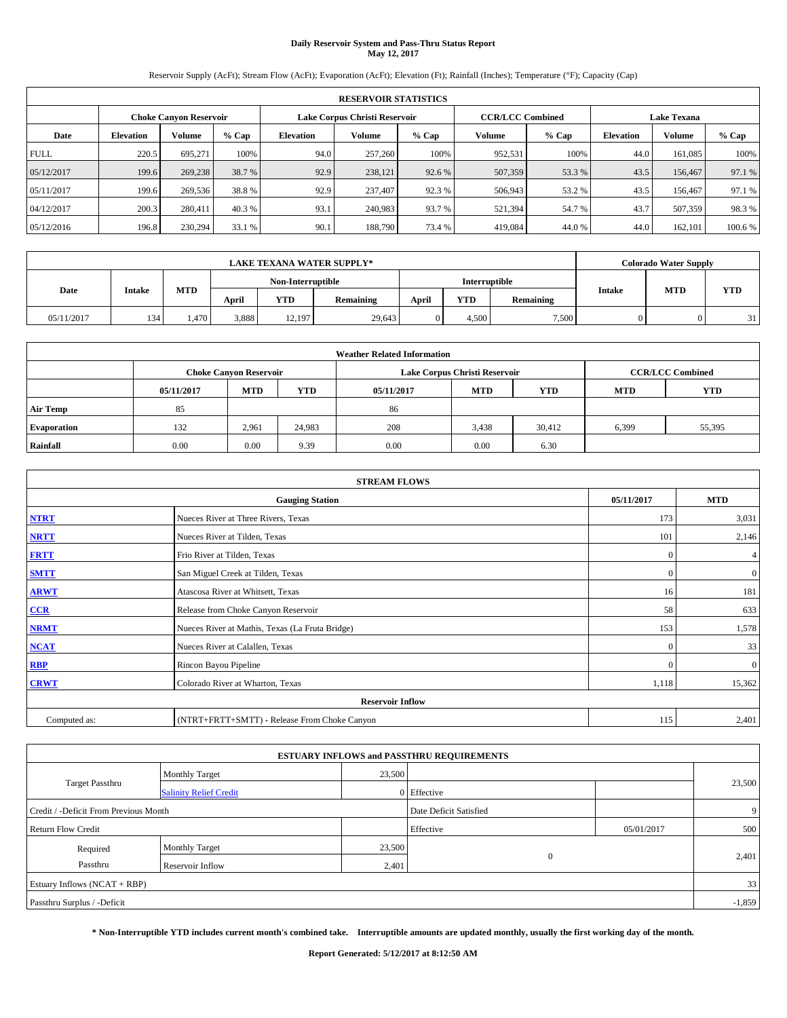# **Daily Reservoir System and Pass-Thru Status Report May 12, 2017**

Reservoir Supply (AcFt); Stream Flow (AcFt); Evaporation (AcFt); Elevation (Ft); Rainfall (Inches); Temperature (°F); Capacity (Cap)

|             | <b>RESERVOIR STATISTICS</b> |                               |         |           |                               |         |                         |         |                  |                    |         |  |
|-------------|-----------------------------|-------------------------------|---------|-----------|-------------------------------|---------|-------------------------|---------|------------------|--------------------|---------|--|
|             |                             | <b>Choke Canyon Reservoir</b> |         |           | Lake Corpus Christi Reservoir |         | <b>CCR/LCC Combined</b> |         |                  | <b>Lake Texana</b> |         |  |
| Date        | <b>Elevation</b>            | Volume                        | $%$ Cap | Elevation | Volume                        | $%$ Cap | Volume                  | $%$ Cap | <b>Elevation</b> | <b>Volume</b>      | % Cap   |  |
| <b>FULL</b> | 220.5                       | 695.271                       | 100%    | 94.0      | 257,260                       | 100%    | 952,531                 | 100%    | 44.0             | 161.085            | 100%    |  |
| 05/12/2017  | 199.6                       | 269,238                       | 38.7 %  | 92.9      | 238,121                       | 92.6 %  | 507,359                 | 53.3 %  | 43.5             | 156,467            | 97.1 %  |  |
| 05/11/2017  | 199.6                       | 269,536                       | 38.8%   | 92.9      | 237,407                       | 92.3 %  | 506,943                 | 53.2 %  | 43.5             | 156,467            | 97.1 %  |  |
| 04/12/2017  | 200.3                       | 280,411                       | 40.3 %  | 93.1      | 240,983                       | 93.7 %  | 521,394                 | 54.7 %  | 43.7             | 507,359            | 98.3%   |  |
| 05/12/2016  | 196.8                       | 230,294                       | 33.1 %  | 90.1      | 188,790                       | 73.4 %  | 419,084                 | 44.0%   | 44.0             | 162,101            | 100.6 % |  |

|            |               |            |                   |        | <b>LAKE TEXANA WATER SUPPLY*</b> |               |            |           |               | <b>Colorado Water Supply</b> |            |
|------------|---------------|------------|-------------------|--------|----------------------------------|---------------|------------|-----------|---------------|------------------------------|------------|
|            |               |            | Non-Interruptible |        |                                  | Interruptible |            |           |               |                              |            |
| Date       | <b>Intake</b> | <b>MTD</b> | April             | YTD    | Remaining                        | April         | <b>YTD</b> | Remaining | <b>Intake</b> | <b>MTD</b>                   | <b>YTD</b> |
| 05/11/2017 | 134           | . 470 .    | 3,888             | 12,197 | 29,643                           |               | 4.500      | 7.500     |               |                              | 31         |

| <b>Weather Related Information</b> |            |                               |            |            |                               |                         |            |            |  |  |  |
|------------------------------------|------------|-------------------------------|------------|------------|-------------------------------|-------------------------|------------|------------|--|--|--|
|                                    |            | <b>Choke Canvon Reservoir</b> |            |            | Lake Corpus Christi Reservoir | <b>CCR/LCC Combined</b> |            |            |  |  |  |
|                                    | 05/11/2017 | <b>MTD</b>                    | <b>YTD</b> | 05/11/2017 | <b>MTD</b>                    | <b>YTD</b>              | <b>MTD</b> | <b>YTD</b> |  |  |  |
| <b>Air Temp</b>                    | 85         |                               |            | 86         |                               |                         |            |            |  |  |  |
| <b>Evaporation</b>                 | 132        | 2,961                         | 24,983     | 208        | 3,438                         | 30.412                  | 6,399      | 55,395     |  |  |  |
| Rainfall                           | 0.00       | 0.00                          | 9.39       | 0.00       | 0.00                          | 6.30                    |            |            |  |  |  |

| <b>STREAM FLOWS</b> |                                                 |              |              |  |  |  |  |  |  |
|---------------------|-------------------------------------------------|--------------|--------------|--|--|--|--|--|--|
|                     | <b>Gauging Station</b>                          | 05/11/2017   | <b>MTD</b>   |  |  |  |  |  |  |
| <b>NTRT</b>         | Nueces River at Three Rivers, Texas             | 173          | 3,031        |  |  |  |  |  |  |
| <b>NRTT</b>         | Nueces River at Tilden, Texas                   | 101          | 2,146        |  |  |  |  |  |  |
| <b>FRTT</b>         | Frio River at Tilden, Texas                     | $\mathbf{0}$ | 4            |  |  |  |  |  |  |
| <b>SMTT</b>         | San Miguel Creek at Tilden, Texas               | $\mathbf{0}$ | $\mathbf{0}$ |  |  |  |  |  |  |
| <b>ARWT</b>         | Atascosa River at Whitsett, Texas               | 16           | 181          |  |  |  |  |  |  |
| $CCR$               | Release from Choke Canyon Reservoir             | 58           | 633          |  |  |  |  |  |  |
| <b>NRMT</b>         | Nueces River at Mathis, Texas (La Fruta Bridge) | 153          | 1,578        |  |  |  |  |  |  |
| <b>NCAT</b>         | Nueces River at Calallen, Texas                 | $\Omega$     | 33           |  |  |  |  |  |  |
| RBP                 | Rincon Bayou Pipeline                           | $\Omega$     | $\mathbf{0}$ |  |  |  |  |  |  |
| <b>CRWT</b>         | Colorado River at Wharton, Texas                | 1,118        | 15,362       |  |  |  |  |  |  |
|                     | <b>Reservoir Inflow</b>                         |              |              |  |  |  |  |  |  |
| Computed as:        | (NTRT+FRTT+SMTT) - Release From Choke Canyon    | 115          | 2,401        |  |  |  |  |  |  |

| <b>ESTUARY INFLOWS and PASSTHRU REQUIREMENTS</b> |                               |        |                        |            |                |  |  |  |  |  |
|--------------------------------------------------|-------------------------------|--------|------------------------|------------|----------------|--|--|--|--|--|
|                                                  | <b>Monthly Target</b>         | 23,500 |                        |            |                |  |  |  |  |  |
| Target Passthru                                  | <b>Salinity Relief Credit</b> |        | 0 Effective            |            | 23,500         |  |  |  |  |  |
| Credit / -Deficit From Previous Month            |                               |        | Date Deficit Satisfied |            | 9 <sup>1</sup> |  |  |  |  |  |
| <b>Return Flow Credit</b>                        |                               |        | Effective              | 05/01/2017 | 500            |  |  |  |  |  |
| Required                                         | Monthly Target                | 23,500 |                        |            |                |  |  |  |  |  |
| Passthru                                         | <b>Reservoir Inflow</b>       | 2,401  | $\Omega$               |            | 2,401          |  |  |  |  |  |
| Estuary Inflows (NCAT + RBP)                     |                               |        |                        |            | 33             |  |  |  |  |  |
| Passthru Surplus / -Deficit                      |                               |        |                        |            | $-1,859$       |  |  |  |  |  |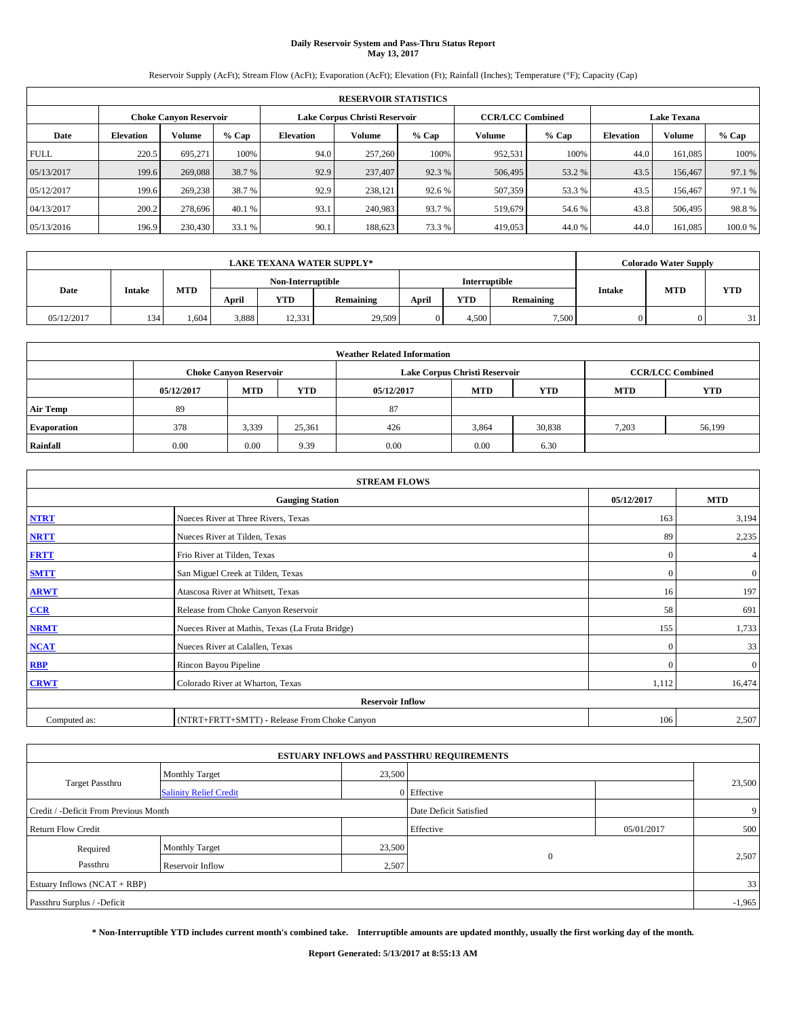# **Daily Reservoir System and Pass-Thru Status Report May 13, 2017**

Reservoir Supply (AcFt); Stream Flow (AcFt); Evaporation (AcFt); Elevation (Ft); Rainfall (Inches); Temperature (°F); Capacity (Cap)

|             | <b>RESERVOIR STATISTICS</b>   |         |         |           |                               |         |                         |         |                    |               |        |
|-------------|-------------------------------|---------|---------|-----------|-------------------------------|---------|-------------------------|---------|--------------------|---------------|--------|
|             | <b>Choke Canyon Reservoir</b> |         |         |           | Lake Corpus Christi Reservoir |         | <b>CCR/LCC Combined</b> |         | <b>Lake Texana</b> |               |        |
| Date        | <b>Elevation</b>              | Volume  | $%$ Cap | Elevation | Volume                        | $%$ Cap | Volume                  | $%$ Cap | <b>Elevation</b>   | <b>Volume</b> | % Cap  |
| <b>FULL</b> | 220.5                         | 695.271 | 100%    | 94.0      | 257,260                       | 100%    | 952,531                 | 100%    | 44.0               | 161.085       | 100%   |
| 05/13/2017  | 199.6                         | 269,088 | 38.7 %  | 92.9      | 237,407                       | 92.3 %  | 506,495                 | 53.2 %  | 43.5               | 156,467       | 97.1 % |
| 05/12/2017  | 199.6                         | 269,238 | 38.7 %  | 92.9      | 238.121                       | 92.6 %  | 507,359                 | 53.3 %  | 43.5               | 156,467       | 97.1 % |
| 04/13/2017  | 200.2                         | 278,696 | 40.1 %  | 93.1      | 240,983                       | 93.7 %  | 519,679                 | 54.6 %  | 43.8               | 506,495       | 98.8%  |
| 05/13/2016  | 196.9                         | 230,430 | 33.1 %  | 90.1      | 188,623                       | 73.3 %  | 419,053                 | 44.0%   | 44.0               | 161,085       | 100.0% |

|            | <b>LAKE TEXANA WATER SUPPLY*</b> |            |       |                   |           |       |               |           |               |            | <b>Colorado Water Supply</b> |
|------------|----------------------------------|------------|-------|-------------------|-----------|-------|---------------|-----------|---------------|------------|------------------------------|
|            |                                  |            |       | Non-Interruptible |           |       | Interruptible |           |               |            |                              |
| Date       | <b>Intake</b>                    | <b>MTD</b> | April | YTD               | Remaining | April | <b>YTD</b>    | Remaining | <b>Intake</b> | <b>MTD</b> | <b>YTD</b>                   |
| 05/12/2017 | 134                              | 1.604      | 3,888 | 12,331            | 29,509    |       | 4.500         | 7.500     |               |            | 31                           |

| <b>Weather Related Information</b> |            |                                                                                  |        |      |                               |                         |       |        |  |  |
|------------------------------------|------------|----------------------------------------------------------------------------------|--------|------|-------------------------------|-------------------------|-------|--------|--|--|
|                                    |            | <b>Choke Canvon Reservoir</b>                                                    |        |      | Lake Corpus Christi Reservoir | <b>CCR/LCC Combined</b> |       |        |  |  |
|                                    | 05/12/2017 | <b>YTD</b><br><b>MTD</b><br><b>MTD</b><br><b>YTD</b><br><b>MTD</b><br>05/12/2017 |        |      |                               |                         |       |        |  |  |
| <b>Air Temp</b>                    | 89         |                                                                                  |        | 87   |                               |                         |       |        |  |  |
| <b>Evaporation</b>                 | 378        | 3,339                                                                            | 25,361 | 426  | 3,864                         | 30,838                  | 7,203 | 56,199 |  |  |
| Rainfall                           | 0.00       | 0.00                                                                             | 9.39   | 0.00 | 0.00                          | 6.30                    |       |        |  |  |

| <b>STREAM FLOWS</b> |                                                 |              |                |  |  |  |  |  |  |
|---------------------|-------------------------------------------------|--------------|----------------|--|--|--|--|--|--|
|                     | <b>Gauging Station</b>                          | 05/12/2017   | <b>MTD</b>     |  |  |  |  |  |  |
| <b>NTRT</b>         | Nueces River at Three Rivers, Texas             | 163          | 3,194          |  |  |  |  |  |  |
| <b>NRTT</b>         | Nueces River at Tilden, Texas                   | 89           | 2,235          |  |  |  |  |  |  |
| <b>FRTT</b>         | Frio River at Tilden, Texas                     | $\mathbf{0}$ | 4              |  |  |  |  |  |  |
| <b>SMTT</b>         | San Miguel Creek at Tilden, Texas               | $\mathbf{0}$ | $\overline{0}$ |  |  |  |  |  |  |
| <b>ARWT</b>         | Atascosa River at Whitsett, Texas               | 16           | 197            |  |  |  |  |  |  |
| CCR                 | Release from Choke Canyon Reservoir             | 58           | 691            |  |  |  |  |  |  |
| <b>NRMT</b>         | Nueces River at Mathis, Texas (La Fruta Bridge) | 155          | 1,733          |  |  |  |  |  |  |
| <b>NCAT</b>         | Nueces River at Calallen, Texas                 | $\Omega$     | 33             |  |  |  |  |  |  |
| RBP                 | Rincon Bayou Pipeline                           | $\Omega$     | $\mathbf{0}$   |  |  |  |  |  |  |
| <b>CRWT</b>         | Colorado River at Wharton, Texas                | 1,112        | 16,474         |  |  |  |  |  |  |
|                     | <b>Reservoir Inflow</b>                         |              |                |  |  |  |  |  |  |
| Computed as:        | (NTRT+FRTT+SMTT) - Release From Choke Canyon    |              |                |  |  |  |  |  |  |

| <b>ESTUARY INFLOWS and PASSTHRU REQUIREMENTS</b> |                               |        |                        |            |        |  |  |  |  |  |
|--------------------------------------------------|-------------------------------|--------|------------------------|------------|--------|--|--|--|--|--|
|                                                  | <b>Monthly Target</b>         | 23,500 |                        |            |        |  |  |  |  |  |
| <b>Target Passthru</b>                           | <b>Salinity Relief Credit</b> |        | 0 Effective            |            | 23,500 |  |  |  |  |  |
| Credit / -Deficit From Previous Month            |                               |        | Date Deficit Satisfied |            | 9      |  |  |  |  |  |
| <b>Return Flow Credit</b>                        |                               |        | Effective              | 05/01/2017 | 500    |  |  |  |  |  |
| Required                                         | <b>Monthly Target</b>         | 23,500 |                        |            |        |  |  |  |  |  |
| Passthru                                         | <b>Reservoir Inflow</b>       | 2,507  | $\Omega$               |            | 2,507  |  |  |  |  |  |
| Estuary Inflows (NCAT + RBP)                     |                               |        |                        |            | 33     |  |  |  |  |  |
| Passthru Surplus / -Deficit                      |                               |        |                        |            |        |  |  |  |  |  |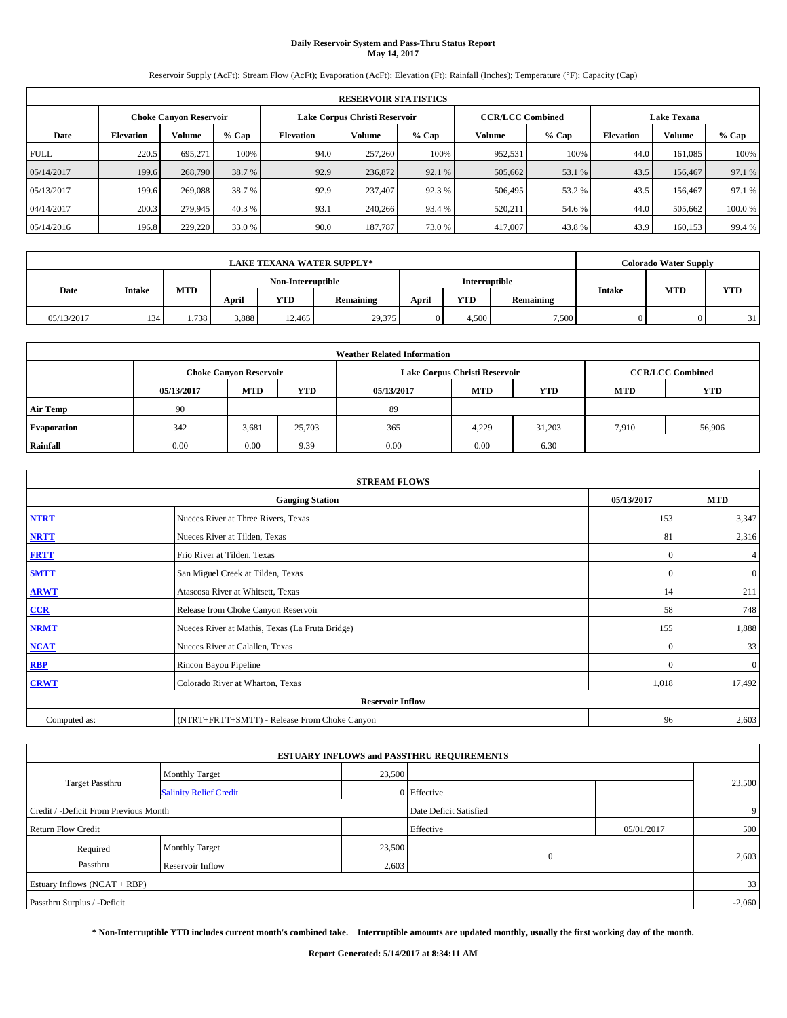# **Daily Reservoir System and Pass-Thru Status Report May 14, 2017**

Reservoir Supply (AcFt); Stream Flow (AcFt); Evaporation (AcFt); Elevation (Ft); Rainfall (Inches); Temperature (°F); Capacity (Cap)

|             | <b>RESERVOIR STATISTICS</b> |         |         |                  |                               |         |                         |         |                  |                    |        |
|-------------|-----------------------------|---------|---------|------------------|-------------------------------|---------|-------------------------|---------|------------------|--------------------|--------|
|             | Choke Canvon Reservoir      |         |         |                  | Lake Corpus Christi Reservoir |         | <b>CCR/LCC Combined</b> |         |                  | <b>Lake Texana</b> |        |
| Date        | <b>Elevation</b>            | Volume  | $%$ Cap | <b>Elevation</b> | Volume                        | $%$ Cap | Volume                  | $%$ Cap | <b>Elevation</b> | <b>Volume</b>      | % Cap  |
| <b>FULL</b> | 220.5                       | 695.271 | 100%    | 94.0             | 257,260                       | 100%    | 952,531                 | 100%    | 44.0             | 161.085            | 100%   |
| 05/14/2017  | 199.6                       | 268,790 | 38.7 %  | 92.9             | 236,872                       | 92.1 %  | 505,662                 | 53.1 %  | 43.5             | 156,467            | 97.1 % |
| 05/13/2017  | 199.6                       | 269,088 | 38.7 %  | 92.9             | 237,407                       | 92.3 %  | 506,495                 | 53.2 %  | 43.5             | 156,467            | 97.1 % |
| 04/14/2017  | 200.3                       | 279,945 | 40.3 %  | 93.1             | 240,266                       | 93.4 %  | 520,211                 | 54.6 %  | 44.0             | 505,662            | 100.0% |
| 05/14/2016  | 196.8                       | 229,220 | 33.0 %  | 90.0             | 187,787                       | 73.0 %  | 417,007                 | 43.8%   | 43.9             | 160.153            | 99.4 % |

|            | <b>LAKE TEXANA WATER SUPPLY*</b> |            |                   |        |           |               |            |           |               |            | <b>Colorado Water Supply</b> |
|------------|----------------------------------|------------|-------------------|--------|-----------|---------------|------------|-----------|---------------|------------|------------------------------|
|            |                                  |            | Non-Interruptible |        |           | Interruptible |            |           |               |            |                              |
| Date       | <b>Intake</b>                    | <b>MTD</b> | April             | YTD    | Remaining | April         | <b>YTD</b> | Remaining | <b>Intake</b> | <b>MTD</b> | <b>YTD</b>                   |
| 05/13/2017 | 134                              | 1.738      | 3,888             | 12.465 | 29,375    |               | 4.500      | 7.500     |               |            | 31                           |

| <b>Weather Related Information</b> |                                                                                                |                               |        |      |                               |                         |       |            |  |  |
|------------------------------------|------------------------------------------------------------------------------------------------|-------------------------------|--------|------|-------------------------------|-------------------------|-------|------------|--|--|
|                                    |                                                                                                | <b>Choke Canyon Reservoir</b> |        |      | Lake Corpus Christi Reservoir | <b>CCR/LCC Combined</b> |       |            |  |  |
|                                    | <b>YTD</b><br><b>MTD</b><br><b>MTD</b><br><b>YTD</b><br>05/13/2017<br>05/13/2017<br><b>MTD</b> |                               |        |      |                               |                         |       | <b>YTD</b> |  |  |
| <b>Air Temp</b>                    | 90                                                                                             |                               |        | 89   |                               |                         |       |            |  |  |
| <b>Evaporation</b>                 | 342                                                                                            | 3,681                         | 25,703 | 365  | 4,229                         | 31,203                  | 7.910 | 56,906     |  |  |
| Rainfall                           | 0.00                                                                                           | 0.00                          | 9.39   | 0.00 | 0.00                          | 6.30                    |       |            |  |  |

| <b>STREAM FLOWS</b> |                                                 |              |                |  |  |  |  |  |  |
|---------------------|-------------------------------------------------|--------------|----------------|--|--|--|--|--|--|
|                     | <b>Gauging Station</b>                          | 05/13/2017   | <b>MTD</b>     |  |  |  |  |  |  |
| <b>NTRT</b>         | Nueces River at Three Rivers, Texas             | 153          | 3,347          |  |  |  |  |  |  |
| <b>NRTT</b>         | Nueces River at Tilden, Texas                   | 81           | 2,316          |  |  |  |  |  |  |
| <b>FRTT</b>         | Frio River at Tilden, Texas                     | $\mathbf{0}$ | $\overline{4}$ |  |  |  |  |  |  |
| <b>SMTT</b>         | San Miguel Creek at Tilden, Texas               | $\mathbf{0}$ | $\overline{0}$ |  |  |  |  |  |  |
| <b>ARWT</b>         | Atascosa River at Whitsett, Texas               | 14           | 211            |  |  |  |  |  |  |
| CCR                 | Release from Choke Canyon Reservoir             | 58           | 748            |  |  |  |  |  |  |
| <b>NRMT</b>         | Nueces River at Mathis, Texas (La Fruta Bridge) | 155          | 1,888          |  |  |  |  |  |  |
| <b>NCAT</b>         | Nueces River at Calallen, Texas                 | $\Omega$     | 33             |  |  |  |  |  |  |
| <b>RBP</b>          | Rincon Bayou Pipeline                           | $\Omega$     | $\mathbf{0}$   |  |  |  |  |  |  |
| <b>CRWT</b>         | Colorado River at Wharton, Texas                | 1,018        | 17,492         |  |  |  |  |  |  |
|                     | <b>Reservoir Inflow</b>                         |              |                |  |  |  |  |  |  |
| Computed as:        | (NTRT+FRTT+SMTT) - Release From Choke Canyon    |              |                |  |  |  |  |  |  |

| <b>ESTUARY INFLOWS and PASSTHRU REQUIREMENTS</b> |                               |        |                        |            |        |  |  |  |  |  |
|--------------------------------------------------|-------------------------------|--------|------------------------|------------|--------|--|--|--|--|--|
|                                                  | <b>Monthly Target</b>         | 23,500 |                        |            |        |  |  |  |  |  |
| <b>Target Passthru</b>                           | <b>Salinity Relief Credit</b> |        | 0 Effective            |            | 23,500 |  |  |  |  |  |
| Credit / -Deficit From Previous Month            |                               |        | Date Deficit Satisfied |            | 9      |  |  |  |  |  |
| <b>Return Flow Credit</b>                        |                               |        | Effective              | 05/01/2017 | 500    |  |  |  |  |  |
| Required                                         | <b>Monthly Target</b>         | 23,500 |                        |            |        |  |  |  |  |  |
| Passthru                                         | <b>Reservoir Inflow</b>       | 2,603  | $\theta$               |            | 2,603  |  |  |  |  |  |
| Estuary Inflows (NCAT + RBP)                     |                               |        |                        |            | 33     |  |  |  |  |  |
| Passthru Surplus / -Deficit                      |                               |        |                        |            |        |  |  |  |  |  |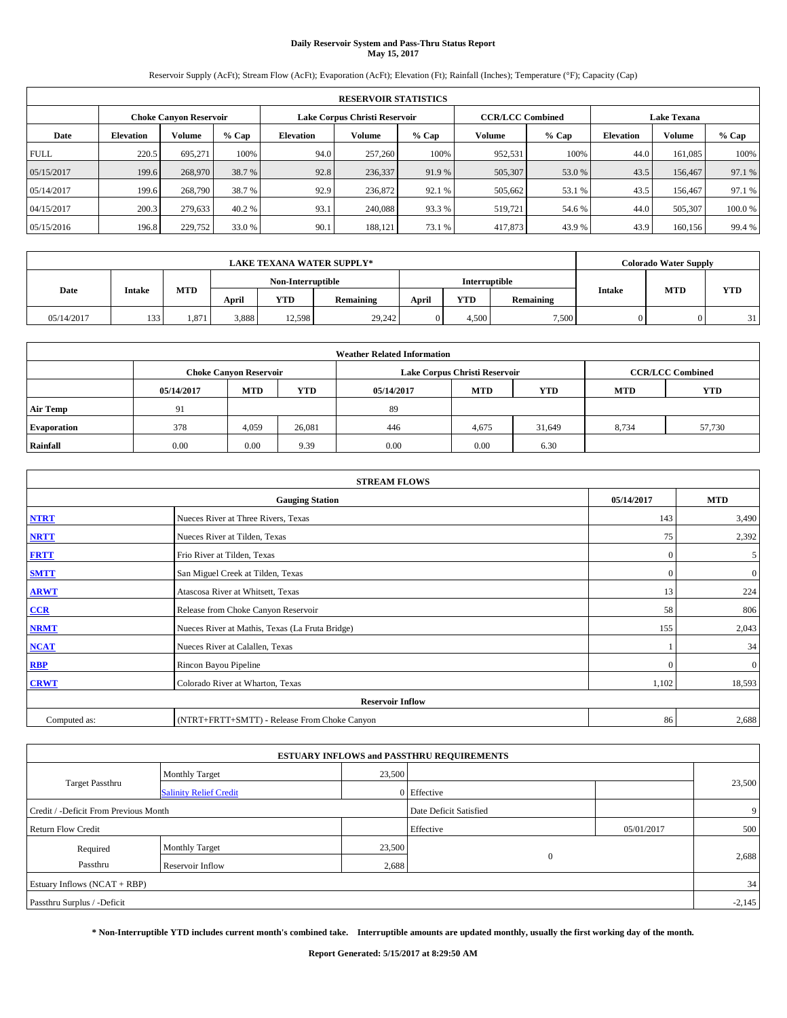# **Daily Reservoir System and Pass-Thru Status Report May 15, 2017**

Reservoir Supply (AcFt); Stream Flow (AcFt); Evaporation (AcFt); Elevation (Ft); Rainfall (Inches); Temperature (°F); Capacity (Cap)

|             | <b>RESERVOIR STATISTICS</b> |         |         |                  |                               |         |                         |         |                    |               |         |
|-------------|-----------------------------|---------|---------|------------------|-------------------------------|---------|-------------------------|---------|--------------------|---------------|---------|
|             | Choke Canvon Reservoir      |         |         |                  | Lake Corpus Christi Reservoir |         | <b>CCR/LCC Combined</b> |         | <b>Lake Texana</b> |               |         |
| Date        | <b>Elevation</b>            | Volume  | $%$ Cap | <b>Elevation</b> | <b>Volume</b>                 | $%$ Cap | Volume                  | $%$ Cap | <b>Elevation</b>   | <b>Volume</b> | $%$ Cap |
| <b>FULL</b> | 220.5                       | 695,271 | 100%    | 94.0             | 257,260                       | 100%    | 952.531                 | 100%    | 44.0               | 161.085       | 100%    |
| 05/15/2017  | 199.6                       | 268,970 | 38.7 %  | 92.8             | 236,337                       | 91.9%   | 505,307                 | 53.0 %  | 43.5               | 156,467       | 97.1 %  |
| 05/14/2017  | 199.6                       | 268,790 | 38.7 %  | 92.9             | 236,872                       | 92.1 %  | 505,662                 | 53.1 %  | 43.5               | 156,467       | 97.1 %  |
| 04/15/2017  | 200.3                       | 279.633 | 40.2 %  | 93.1             | 240,088                       | 93.3 %  | 519,721                 | 54.6 %  | 44.0               | 505,307       | 100.0%  |
| 05/15/2016  | 196.8                       | 229,752 | 33.0 %  | 90.1             | 188,121                       | 73.1 %  | 417,873                 | 43.9%   | 43.9               | 160.156       | 99.4 %  |

|            | <b>LAKE TEXANA WATER SUPPLY*</b> |            |                   |        |           |       |               |           |               | <b>Colorado Water Supply</b> |            |  |
|------------|----------------------------------|------------|-------------------|--------|-----------|-------|---------------|-----------|---------------|------------------------------|------------|--|
|            |                                  |            | Non-Interruptible |        |           |       | Interruptible |           |               |                              |            |  |
| Date       | <b>Intake</b>                    | <b>MTD</b> | April             | YTD    | Remaining | April | <b>YTD</b>    | Remaining | <b>Intake</b> | <b>MTD</b>                   | <b>YTD</b> |  |
| 05/14/2017 | 133                              | 1.87'      | 3,888             | 12,598 | 29,242    |       | 4.500         | 7.500     |               |                              | 31         |  |

| <b>Weather Related Information</b> |            |                               |            |            |                               |                         |            |        |  |
|------------------------------------|------------|-------------------------------|------------|------------|-------------------------------|-------------------------|------------|--------|--|
|                                    |            | <b>Choke Canvon Reservoir</b> |            |            | Lake Corpus Christi Reservoir | <b>CCR/LCC Combined</b> |            |        |  |
|                                    | 05/14/2017 | <b>MTD</b>                    | <b>YTD</b> | 05/14/2017 | <b>MTD</b>                    | <b>MTD</b>              | <b>YTD</b> |        |  |
| <b>Air Temp</b>                    | 91         |                               |            | 89         |                               |                         |            |        |  |
| <b>Evaporation</b>                 | 378        | 4,059                         | 26,081     | 446        | 4,675                         | 31,649                  | 8,734      | 57,730 |  |
| Rainfall                           | 0.00       | 0.00                          | 9.39       | 0.00       | 0.00                          | 6.30                    |            |        |  |

| <b>STREAM FLOWS</b> |                                                 |              |              |  |  |  |  |  |  |
|---------------------|-------------------------------------------------|--------------|--------------|--|--|--|--|--|--|
|                     | <b>Gauging Station</b>                          | 05/14/2017   | <b>MTD</b>   |  |  |  |  |  |  |
| <b>NTRT</b>         | Nueces River at Three Rivers, Texas             | 143          | 3,490        |  |  |  |  |  |  |
| <b>NRTT</b>         | Nueces River at Tilden, Texas                   | 75           | 2,392        |  |  |  |  |  |  |
| <b>FRTT</b>         | Frio River at Tilden, Texas                     | $\mathbf{0}$ | 5            |  |  |  |  |  |  |
| <b>SMTT</b>         | San Miguel Creek at Tilden, Texas               | $\mathbf{0}$ | $\mathbf{0}$ |  |  |  |  |  |  |
| <b>ARWT</b>         | Atascosa River at Whitsett, Texas               | 13           | 224          |  |  |  |  |  |  |
| $CCR$               | Release from Choke Canyon Reservoir             | 58           | 806          |  |  |  |  |  |  |
| <b>NRMT</b>         | Nueces River at Mathis, Texas (La Fruta Bridge) | 155          | 2,043        |  |  |  |  |  |  |
| <b>NCAT</b>         | Nueces River at Calallen, Texas                 |              | 34           |  |  |  |  |  |  |
| <b>RBP</b>          | Rincon Bayou Pipeline                           | $\Omega$     | $\mathbf{0}$ |  |  |  |  |  |  |
| <b>CRWT</b>         | Colorado River at Wharton, Texas                | 1,102        | 18,593       |  |  |  |  |  |  |
|                     | <b>Reservoir Inflow</b>                         |              |              |  |  |  |  |  |  |
| Computed as:        | (NTRT+FRTT+SMTT) - Release From Choke Canyon    | 86           | 2,688        |  |  |  |  |  |  |

|                                       |                               |        | <b>ESTUARY INFLOWS and PASSTHRU REQUIREMENTS</b> |            |        |  |  |  |
|---------------------------------------|-------------------------------|--------|--------------------------------------------------|------------|--------|--|--|--|
|                                       | <b>Monthly Target</b>         | 23,500 |                                                  |            |        |  |  |  |
| <b>Target Passthru</b>                | <b>Salinity Relief Credit</b> |        | 0 Effective                                      |            | 23,500 |  |  |  |
| Credit / -Deficit From Previous Month |                               |        | Date Deficit Satisfied                           |            | 9      |  |  |  |
| <b>Return Flow Credit</b>             |                               |        | Effective                                        | 05/01/2017 | 500    |  |  |  |
| Required                              | <b>Monthly Target</b>         | 23,500 |                                                  |            |        |  |  |  |
| Passthru                              | <b>Reservoir Inflow</b>       | 2,688  | $\theta$                                         |            | 2,688  |  |  |  |
| Estuary Inflows (NCAT + RBP)          |                               |        |                                                  |            | 34     |  |  |  |
| Passthru Surplus / -Deficit           |                               |        |                                                  |            |        |  |  |  |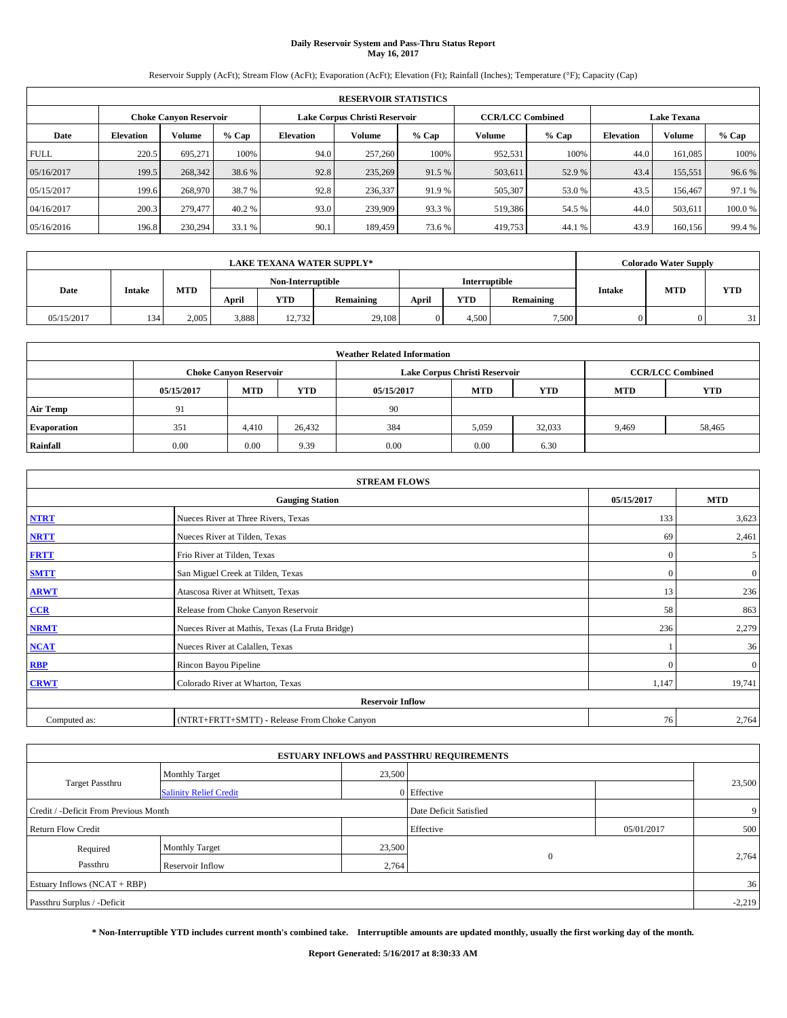# **Daily Reservoir System and Pass-Thru Status Report May 16, 2017**

Reservoir Supply (AcFt); Stream Flow (AcFt); Evaporation (AcFt); Elevation (Ft); Rainfall (Inches); Temperature (°F); Capacity (Cap)

|             | <b>RESERVOIR STATISTICS</b> |                               |         |                  |                               |         |                         |         |                  |                    |         |
|-------------|-----------------------------|-------------------------------|---------|------------------|-------------------------------|---------|-------------------------|---------|------------------|--------------------|---------|
|             |                             | <b>Choke Canyon Reservoir</b> |         |                  | Lake Corpus Christi Reservoir |         | <b>CCR/LCC Combined</b> |         |                  | <b>Lake Texana</b> |         |
| Date        | <b>Elevation</b>            | Volume                        | $%$ Cap | <b>Elevation</b> | Volume                        | $%$ Cap | Volume                  | $%$ Cap | <b>Elevation</b> | <b>Volume</b>      | $%$ Cap |
| <b>FULL</b> | 220.5                       | 695.271                       | 100%    | 94.0             | 257,260                       | 100%    | 952,531                 | 100%    | 44.0             | 161.085            | 100%    |
| 05/16/2017  | 199.5                       | 268,342                       | 38.6 %  | 92.8             | 235,269                       | 91.5 %  | 503,611                 | 52.9 %  | 43.4             | 155,551            | 96.6%   |
| 05/15/2017  | 199.6                       | 268,970                       | 38.7 %  | 92.8             | 236,337                       | 91.9 %  | 505,307                 | 53.0 %  | 43.5             | 156,467            | 97.1 %  |
| 04/16/2017  | 200.3                       | 279,477                       | 40.2 %  | 93.0             | 239,909                       | 93.3 %  | 519,386                 | 54.5 %  | 44.0             | 503.611            | 100.0%  |
| 05/16/2016  | 196.8                       | 230,294                       | 33.1 %  | 90.1             | 189.459                       | 73.6 %  | 419,753                 | 44.1 %  | 43.9             | 160.156            | 99.4 %  |

| <b>LAKE TEXANA WATER SUPPLY*</b> |               |            |                   |            |           |               |            |           |               | <b>Colorado Water Supply</b> |            |
|----------------------------------|---------------|------------|-------------------|------------|-----------|---------------|------------|-----------|---------------|------------------------------|------------|
|                                  |               |            | Non-Interruptible |            |           | Interruptible |            |           |               |                              |            |
| Date                             | <b>Intake</b> | <b>MTD</b> | April             | <b>YTD</b> | Remaining | April         | <b>YTD</b> | Remaining | <b>Intake</b> | <b>MTD</b>                   | <b>YTD</b> |
| 05/15/2017                       | 134           | 2.005      | 3,888             | 12,732     | 29,108    |               | 4.500      | 7.500     |               |                              | 31         |

| <b>Weather Related Information</b> |            |                               |            |            |                                        |                         |       |        |  |  |
|------------------------------------|------------|-------------------------------|------------|------------|----------------------------------------|-------------------------|-------|--------|--|--|
|                                    |            | <b>Choke Canyon Reservoir</b> |            |            | Lake Corpus Christi Reservoir          | <b>CCR/LCC Combined</b> |       |        |  |  |
|                                    | 05/15/2017 | <b>MTD</b>                    | <b>YTD</b> | 05/15/2017 | <b>MTD</b><br><b>YTD</b><br><b>MTD</b> |                         |       |        |  |  |
| <b>Air Temp</b>                    | 91         |                               |            | 90         |                                        |                         |       |        |  |  |
| <b>Evaporation</b>                 | 351        | 4,410                         | 26,432     | 384        | 5,059                                  | 32,033                  | 9,469 | 58,465 |  |  |
| Rainfall                           | 0.00       | 0.00                          | 9.39       | 0.00       | 0.00                                   | 6.30                    |       |        |  |  |

| <b>STREAM FLOWS</b> |                                                 |              |                |  |  |  |  |  |  |
|---------------------|-------------------------------------------------|--------------|----------------|--|--|--|--|--|--|
|                     | 05/15/2017                                      | <b>MTD</b>   |                |  |  |  |  |  |  |
| <b>NTRT</b>         | Nueces River at Three Rivers, Texas             | 133          | 3,623          |  |  |  |  |  |  |
| <b>NRTT</b>         | Nueces River at Tilden, Texas                   | 69           | 2,461          |  |  |  |  |  |  |
| <b>FRTT</b>         | Frio River at Tilden, Texas                     | $\mathbf{0}$ | 5              |  |  |  |  |  |  |
| <b>SMTT</b>         | San Miguel Creek at Tilden, Texas               | $\mathbf{0}$ | $\overline{0}$ |  |  |  |  |  |  |
| <b>ARWT</b>         | Atascosa River at Whitsett, Texas               | 13           | 236            |  |  |  |  |  |  |
| CCR                 | Release from Choke Canyon Reservoir             | 58           | 863            |  |  |  |  |  |  |
| <b>NRMT</b>         | Nueces River at Mathis, Texas (La Fruta Bridge) | 236          | 2,279          |  |  |  |  |  |  |
| <b>NCAT</b>         | Nueces River at Calallen, Texas                 |              | 36             |  |  |  |  |  |  |
| <b>RBP</b>          | Rincon Bayou Pipeline                           | $\Omega$     | $\mathbf{0}$   |  |  |  |  |  |  |
| <b>CRWT</b>         | Colorado River at Wharton, Texas                | 1,147        | 19,741         |  |  |  |  |  |  |
|                     | <b>Reservoir Inflow</b>                         |              |                |  |  |  |  |  |  |
| Computed as:        | (NTRT+FRTT+SMTT) - Release From Choke Canyon    | 76           | 2,764          |  |  |  |  |  |  |

|                                       |                               |        | <b>ESTUARY INFLOWS and PASSTHRU REQUIREMENTS</b> |            |        |  |  |  |
|---------------------------------------|-------------------------------|--------|--------------------------------------------------|------------|--------|--|--|--|
|                                       | <b>Monthly Target</b>         | 23,500 |                                                  |            |        |  |  |  |
| <b>Target Passthru</b>                | <b>Salinity Relief Credit</b> |        | 0 Effective                                      |            | 23,500 |  |  |  |
| Credit / -Deficit From Previous Month |                               |        | Date Deficit Satisfied                           |            | 9      |  |  |  |
| <b>Return Flow Credit</b>             |                               |        | Effective                                        | 05/01/2017 | 500    |  |  |  |
| Required                              | <b>Monthly Target</b>         | 23,500 |                                                  |            |        |  |  |  |
| Passthru                              | <b>Reservoir Inflow</b>       | 2,764  | $\theta$                                         |            | 2,764  |  |  |  |
| Estuary Inflows (NCAT + RBP)          |                               |        |                                                  |            | 36     |  |  |  |
| Passthru Surplus / -Deficit           |                               |        |                                                  |            |        |  |  |  |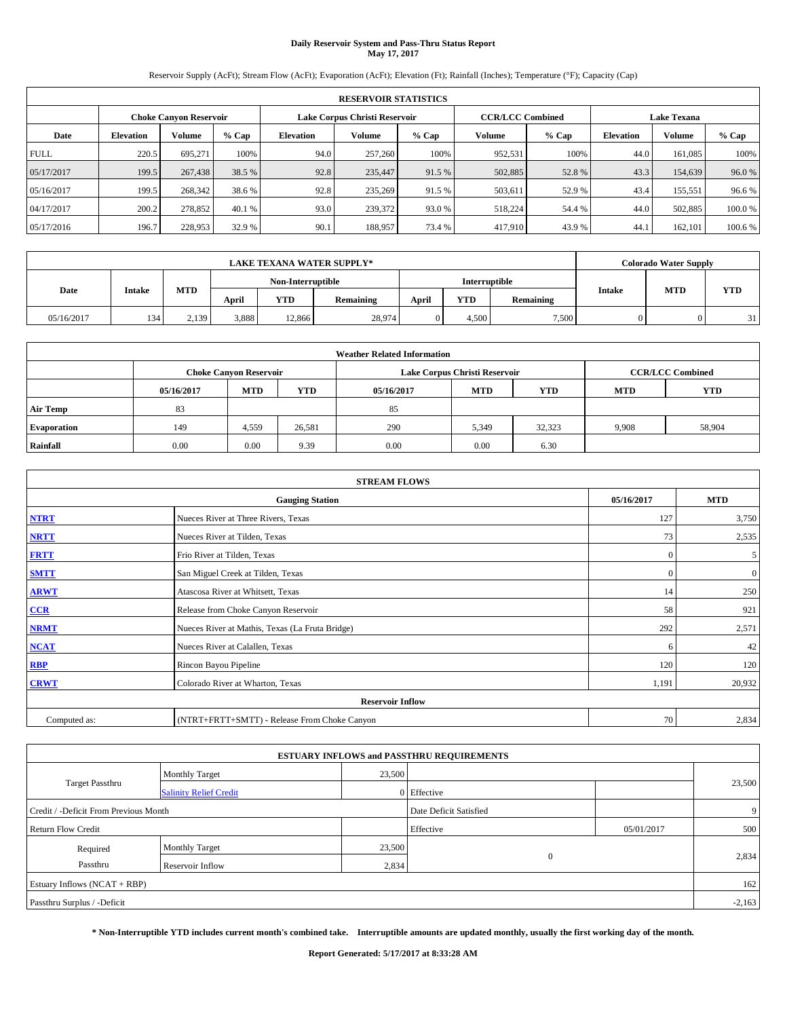# **Daily Reservoir System and Pass-Thru Status Report May 17, 2017**

Reservoir Supply (AcFt); Stream Flow (AcFt); Evaporation (AcFt); Elevation (Ft); Rainfall (Inches); Temperature (°F); Capacity (Cap)

|             | <b>RESERVOIR STATISTICS</b> |                        |         |                  |                               |         |                         |         |                    |               |         |
|-------------|-----------------------------|------------------------|---------|------------------|-------------------------------|---------|-------------------------|---------|--------------------|---------------|---------|
|             |                             | Choke Canvon Reservoir |         |                  | Lake Corpus Christi Reservoir |         | <b>CCR/LCC Combined</b> |         | <b>Lake Texana</b> |               |         |
| Date        | <b>Elevation</b>            | Volume                 | $%$ Cap | <b>Elevation</b> | Volume                        | $%$ Cap | Volume                  | $%$ Cap | <b>Elevation</b>   | <b>Volume</b> | % Cap   |
| <b>FULL</b> | 220.5                       | 695.271                | 100%    | 94.0             | 257,260                       | 100%    | 952,531                 | 100%    | 44.0               | 161.085       | 100%    |
| 05/17/2017  | 199.5                       | 267,438                | 38.5 %  | 92.8             | 235,447                       | 91.5 %  | 502,885                 | 52.8%   | 43.3               | 154,639       | 96.0%   |
| 05/16/2017  | 199.5                       | 268,342                | 38.6 %  | 92.8             | 235,269                       | 91.5 %  | 503,611                 | 52.9 %  | 43.4               | 155,551       | 96.6%   |
| 04/17/2017  | 200.2                       | 278,852                | 40.1 %  | 93.0             | 239,372                       | 93.0 %  | 518.224                 | 54.4 %  | 44.0               | 502.885       | 100.0%  |
| 05/17/2016  | 196.7                       | 228,953                | 32.9 %  | 90.1             | 188,957                       | 73.4 %  | 417,910                 | 43.9%   | 44.                | 162,101       | 100.6 % |

| <b>LAKE TEXANA WATER SUPPLY*</b> |               |       |                   |            |           |               |            |           |        | <b>Colorado Water Supply</b> |            |
|----------------------------------|---------------|-------|-------------------|------------|-----------|---------------|------------|-----------|--------|------------------------------|------------|
|                                  |               |       | Non-Interruptible |            |           | Interruptible |            |           |        |                              |            |
| Date                             | <b>Intake</b> | MTD   | April             | <b>YTD</b> | Remaining | April         | <b>YTD</b> | Remaining | Intake | <b>MTD</b>                   | <b>YTD</b> |
| 05/16/2017                       | 134           | 2.139 | 3,888             | 12.866     | 28,974    |               | 4.500      | 7.500     |        |                              | 31         |

| <b>Weather Related Information</b> |            |                               |            |            |                               |                         |            |            |  |
|------------------------------------|------------|-------------------------------|------------|------------|-------------------------------|-------------------------|------------|------------|--|
|                                    |            | <b>Choke Canyon Reservoir</b> |            |            | Lake Corpus Christi Reservoir | <b>CCR/LCC Combined</b> |            |            |  |
|                                    | 05/16/2017 | <b>MTD</b>                    | <b>YTD</b> | 05/16/2017 | <b>MTD</b>                    | <b>YTD</b>              | <b>MTD</b> | <b>YTD</b> |  |
| <b>Air Temp</b>                    | 83         |                               |            | 85         |                               |                         |            |            |  |
| <b>Evaporation</b>                 | 149        | 4,559                         | 26,581     | 290        | 5,349                         | 32,323                  | 9,908      | 58,904     |  |
| Rainfall                           | 0.00       | 0.00                          | 9.39       | 0.00       | 0.00                          | 6.30                    |            |            |  |

| <b>STREAM FLOWS</b>     |                                                 |              |                |  |  |  |  |  |  |
|-------------------------|-------------------------------------------------|--------------|----------------|--|--|--|--|--|--|
|                         | <b>Gauging Station</b>                          | 05/16/2017   | <b>MTD</b>     |  |  |  |  |  |  |
| <b>NTRT</b>             | Nueces River at Three Rivers, Texas             | 127          | 3,750          |  |  |  |  |  |  |
| <b>NRTT</b>             | Nueces River at Tilden, Texas                   | 73           | 2,535          |  |  |  |  |  |  |
| <b>FRTT</b>             | Frio River at Tilden, Texas                     | $\mathbf{0}$ | 5              |  |  |  |  |  |  |
| <b>SMTT</b>             | San Miguel Creek at Tilden, Texas               | $\mathbf{0}$ | $\overline{0}$ |  |  |  |  |  |  |
| <b>ARWT</b>             | Atascosa River at Whitsett, Texas               | 14           | 250            |  |  |  |  |  |  |
| CCR                     | Release from Choke Canyon Reservoir             | 58           | 921            |  |  |  |  |  |  |
| <b>NRMT</b>             | Nueces River at Mathis, Texas (La Fruta Bridge) | 292          | 2,571          |  |  |  |  |  |  |
| <b>NCAT</b>             | Nueces River at Calallen, Texas                 | 6            | 42             |  |  |  |  |  |  |
| <b>RBP</b>              | Rincon Bayou Pipeline                           | 120          | 120            |  |  |  |  |  |  |
| <b>CRWT</b>             | Colorado River at Wharton, Texas                | 1,191        | 20,932         |  |  |  |  |  |  |
| <b>Reservoir Inflow</b> |                                                 |              |                |  |  |  |  |  |  |
| Computed as:            | (NTRT+FRTT+SMTT) - Release From Choke Canyon    | 70           | 2,834          |  |  |  |  |  |  |

|                                       |                               |        | <b>ESTUARY INFLOWS and PASSTHRU REQUIREMENTS</b> |            |        |  |  |  |
|---------------------------------------|-------------------------------|--------|--------------------------------------------------|------------|--------|--|--|--|
|                                       | <b>Monthly Target</b>         | 23,500 |                                                  |            | 23,500 |  |  |  |
| <b>Target Passthru</b>                | <b>Salinity Relief Credit</b> |        | 0 Effective                                      |            |        |  |  |  |
| Credit / -Deficit From Previous Month |                               |        | Date Deficit Satisfied                           |            | 9      |  |  |  |
| <b>Return Flow Credit</b>             |                               |        | Effective                                        | 05/01/2017 | 500    |  |  |  |
| Required                              | <b>Monthly Target</b>         | 23,500 |                                                  |            |        |  |  |  |
| Passthru                              | Reservoir Inflow              | 2,834  | $\mathbf{0}$                                     |            | 2,834  |  |  |  |
| Estuary Inflows (NCAT + RBP)          |                               |        |                                                  |            |        |  |  |  |
| Passthru Surplus / -Deficit           |                               |        |                                                  |            |        |  |  |  |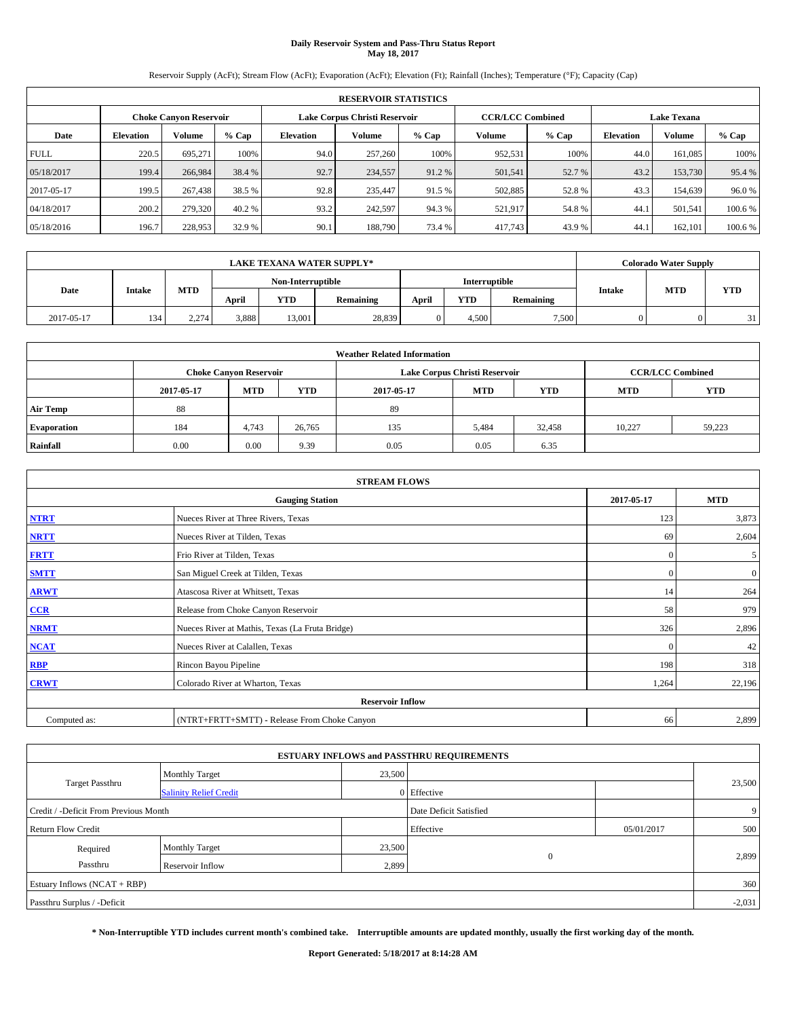# **Daily Reservoir System and Pass-Thru Status Report May 18, 2017**

Reservoir Supply (AcFt); Stream Flow (AcFt); Evaporation (AcFt); Elevation (Ft); Rainfall (Inches); Temperature (°F); Capacity (Cap)

|             | <b>RESERVOIR STATISTICS</b> |                               |         |                  |                                      |         |                                               |         |                  |               |         |  |
|-------------|-----------------------------|-------------------------------|---------|------------------|--------------------------------------|---------|-----------------------------------------------|---------|------------------|---------------|---------|--|
|             |                             | <b>Choke Canvon Reservoir</b> |         |                  | <b>Lake Corpus Christi Reservoir</b> |         | <b>CCR/LCC Combined</b><br><b>Lake Texana</b> |         |                  |               |         |  |
| Date        | <b>Elevation</b>            | Volume                        | $%$ Cap | <b>Elevation</b> | Volume                               | $%$ Cap | <b>Volume</b>                                 | $%$ Cap | <b>Elevation</b> | <b>Volume</b> | % Cap   |  |
| <b>FULL</b> | 220.5                       | 695.271                       | 100%    | 94.0             | 257,260                              | 100%    | 952,531                                       | 100%    | 44.0             | 161.085       | 100%    |  |
| 05/18/2017  | 199.4                       | 266,984                       | 38.4 %  | 92.7             | 234,557                              | 91.2%   | 501,541                                       | 52.7 %  | 43.2             | 153,730       | 95.4 %  |  |
| 2017-05-17  | 199.5                       | 267,438                       | 38.5 %  | 92.8             | 235,447                              | 91.5 %  | 502,885                                       | 52.8%   | 43.3             | 154,639       | 96.0%   |  |
| 04/18/2017  | 200.2                       | 279,320                       | 40.2 %  | 93.2             | 242,597                              | 94.3 %  | 521,917                                       | 54.8%   | 44.1             | 501.541       | 100.6%  |  |
| 05/18/2016  | 196.7                       | 228,953                       | 32.9 %  | 90.1             | 188,790                              | 73.4 %  | 417,743                                       | 43.9%   | 44.1             | 162,101       | 100.6 % |  |

|            |        |       |                   |        | <b>LAKE TEXANA WATER SUPPLY*</b> |               |            |           |               | <b>Colorado Water Supply</b> |            |
|------------|--------|-------|-------------------|--------|----------------------------------|---------------|------------|-----------|---------------|------------------------------|------------|
|            |        |       | Non-Interruptible |        |                                  | Interruptible |            |           |               |                              |            |
| Date       | Intake | MTD   | April             | YTD    | Remaining                        | April         | <b>YTD</b> | Remaining | <b>Intake</b> | <b>MTD</b>                   | <b>YTD</b> |
| 2017-05-17 | 134    | 2.274 | 3,888             | 13.001 | 28,839                           |               | 4,500      | 7,500     |               |                              | 21         |

| <b>Weather Related Information</b> |            |                                                                                  |        |      |                               |        |        |                                       |  |  |
|------------------------------------|------------|----------------------------------------------------------------------------------|--------|------|-------------------------------|--------|--------|---------------------------------------|--|--|
|                                    |            | <b>Choke Canvon Reservoir</b>                                                    |        |      | Lake Corpus Christi Reservoir |        |        | <b>CCR/LCC Combined</b><br><b>YTD</b> |  |  |
|                                    | 2017-05-17 | <b>YTD</b><br><b>YTD</b><br><b>MTD</b><br><b>MTD</b><br><b>MTD</b><br>2017-05-17 |        |      |                               |        |        |                                       |  |  |
| <b>Air Temp</b>                    | 88         |                                                                                  |        | 89   |                               |        |        |                                       |  |  |
| <b>Evaporation</b>                 | 184        | 4.743                                                                            | 26,765 | 135  | 5,484                         | 32,458 | 10.227 | 59,223                                |  |  |
| Rainfall                           | $0.00\,$   | 0.00                                                                             | 9.39   | 0.05 | 0.05                          | 6.35   |        |                                       |  |  |

|              | <b>STREAM FLOWS</b>                                                                                                                                                                                                                                                                                                                                                                                                          |          |                  |
|--------------|------------------------------------------------------------------------------------------------------------------------------------------------------------------------------------------------------------------------------------------------------------------------------------------------------------------------------------------------------------------------------------------------------------------------------|----------|------------------|
|              | <b>Gauging Station</b><br>Nueces River at Three Rivers, Texas<br>Nueces River at Tilden, Texas<br>Frio River at Tilden, Texas<br>San Miguel Creek at Tilden, Texas<br>Atascosa River at Whitsett, Texas<br>Release from Choke Canyon Reservoir<br>Nueces River at Mathis, Texas (La Fruta Bridge)<br>Nueces River at Calallen, Texas<br>Rincon Bayou Pipeline<br>Colorado River at Wharton, Texas<br><b>Reservoir Inflow</b> |          |                  |
| <b>NTRT</b>  |                                                                                                                                                                                                                                                                                                                                                                                                                              | 123      | 3,873            |
| <b>NRTT</b>  |                                                                                                                                                                                                                                                                                                                                                                                                                              | 69       | 2,604            |
| <b>FRTT</b>  |                                                                                                                                                                                                                                                                                                                                                                                                                              | $\Omega$ | 5                |
| <b>SMTT</b>  |                                                                                                                                                                                                                                                                                                                                                                                                                              | $\Omega$ | $\boldsymbol{0}$ |
| <b>ARWT</b>  |                                                                                                                                                                                                                                                                                                                                                                                                                              | 14       | 264              |
| $CCR$        |                                                                                                                                                                                                                                                                                                                                                                                                                              | 58       | 979              |
| <b>NRMT</b>  |                                                                                                                                                                                                                                                                                                                                                                                                                              | 326      | 2,896            |
| <b>NCAT</b>  |                                                                                                                                                                                                                                                                                                                                                                                                                              | $\theta$ | 42               |
| RBP          |                                                                                                                                                                                                                                                                                                                                                                                                                              | 198      | 318              |
| <b>CRWT</b>  |                                                                                                                                                                                                                                                                                                                                                                                                                              | 1,264    | 22,196           |
|              |                                                                                                                                                                                                                                                                                                                                                                                                                              |          |                  |
| Computed as: | (NTRT+FRTT+SMTT) - Release From Choke Canyon                                                                                                                                                                                                                                                                                                                                                                                 | 66       | 2,899            |

| <b>ESTUARY INFLOWS and PASSTHRU REQUIREMENTS</b> |                               |             |                        |            |        |  |  |  |  |  |
|--------------------------------------------------|-------------------------------|-------------|------------------------|------------|--------|--|--|--|--|--|
|                                                  | <b>Monthly Target</b>         | 23,500      |                        |            |        |  |  |  |  |  |
| Target Passthru                                  | <b>Salinity Relief Credit</b> | 0 Effective |                        |            | 23,500 |  |  |  |  |  |
| Credit / -Deficit From Previous Month            |                               |             | Date Deficit Satisfied |            | -91    |  |  |  |  |  |
| <b>Return Flow Credit</b>                        |                               |             | Effective              | 05/01/2017 | 500    |  |  |  |  |  |
| Required                                         | <b>Monthly Target</b>         | 23,500      |                        |            |        |  |  |  |  |  |
| Passthru                                         | <b>Reservoir Inflow</b>       | 2,899       | $\Omega$               |            | 2,899  |  |  |  |  |  |
| Estuary Inflows (NCAT + RBP)                     |                               |             |                        |            |        |  |  |  |  |  |
| Passthru Surplus / -Deficit                      |                               |             |                        |            |        |  |  |  |  |  |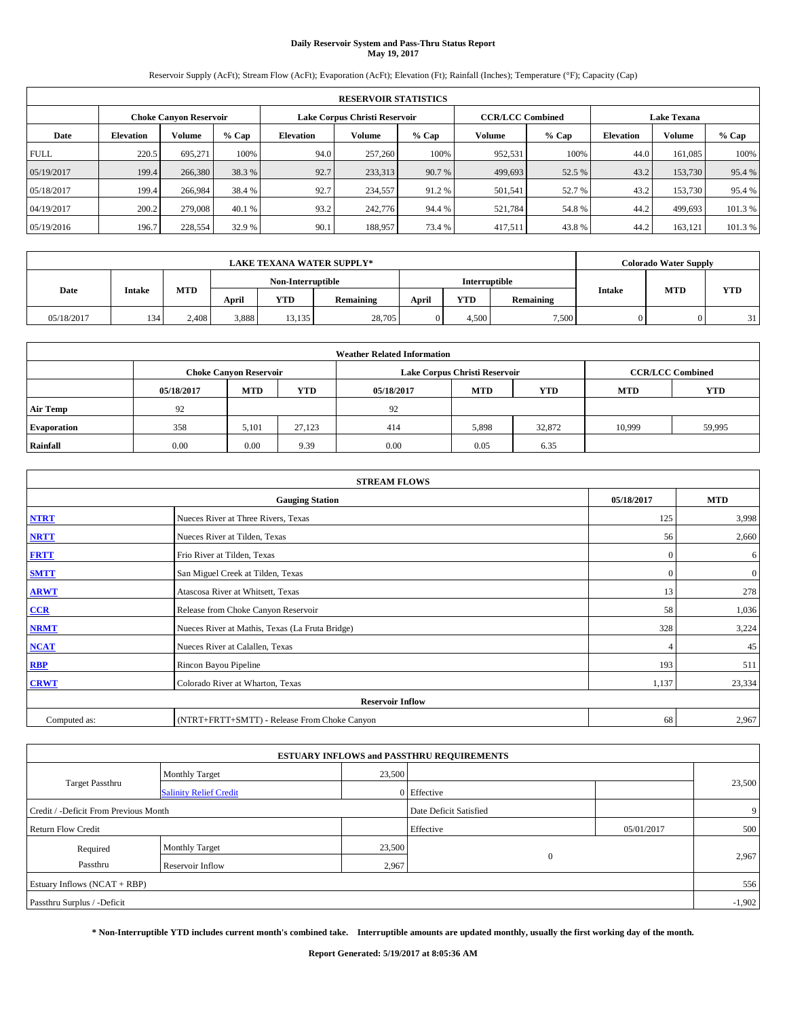# **Daily Reservoir System and Pass-Thru Status Report May 19, 2017**

Reservoir Supply (AcFt); Stream Flow (AcFt); Evaporation (AcFt); Elevation (Ft); Rainfall (Inches); Temperature (°F); Capacity (Cap)

|             | <b>RESERVOIR STATISTICS</b> |                               |         |           |                               |         |                                               |         |                  |               |         |  |
|-------------|-----------------------------|-------------------------------|---------|-----------|-------------------------------|---------|-----------------------------------------------|---------|------------------|---------------|---------|--|
|             |                             | <b>Choke Canyon Reservoir</b> |         |           | Lake Corpus Christi Reservoir |         | <b>CCR/LCC Combined</b><br><b>Lake Texana</b> |         |                  |               |         |  |
| Date        | <b>Elevation</b>            | Volume                        | $%$ Cap | Elevation | Volume                        | $%$ Cap | Volume                                        | $%$ Cap | <b>Elevation</b> | <b>Volume</b> | % Cap   |  |
| <b>FULL</b> | 220.5                       | 695.271                       | 100%    | 94.0      | 257,260                       | 100%    | 952,531                                       | 100%    | 44.0             | 161.085       | 100%    |  |
| 05/19/2017  | 199.4                       | 266,380                       | 38.3 %  | 92.7      | 233,313                       | 90.7 %  | 499,693                                       | 52.5 %  | 43.2             | 153,730       | 95.4 %  |  |
| 05/18/2017  | 199.4                       | 266,984                       | 38.4 %  | 92.7      | 234,557                       | 91.2 %  | 501,541                                       | 52.7 %  | 43.2             | 153,730       | 95.4 %  |  |
| 04/19/2017  | 200.2                       | 279,008                       | 40.1 %  | 93.2      | 242,776                       | 94.4 %  | 521,784                                       | 54.8%   | 44.2             | 499,693       | 101.3 % |  |
| 05/19/2016  | 196.7                       | 228,554                       | 32.9 %  | 90.1      | 188,957                       | 73.4 %  | 417,511                                       | 43.8%   | 44.2             | 163,121       | 101.3 % |  |

|            |               |            |                                    |        | <b>LAKE TEXANA WATER SUPPLY*</b>                                             |            |       | <b>Colorado Water Supply</b> |    |
|------------|---------------|------------|------------------------------------|--------|------------------------------------------------------------------------------|------------|-------|------------------------------|----|
|            |               |            | Interruptible<br>Non-Interruptible |        |                                                                              |            |       |                              |    |
| Date       | <b>Intake</b> | <b>MTD</b> | April                              | YTD    | <b>MTD</b><br><b>Intake</b><br><b>YTD</b><br>April<br>Remaining<br>Remaining | <b>YTD</b> |       |                              |    |
| 05/18/2017 | 134           | 2.408      | 3,888                              | 13,135 | 28,705                                                                       | 4.500      | 7.500 |                              | 31 |

| <b>Weather Related Information</b> |            |                                                                                  |        |      |                               |        |                         |        |  |  |
|------------------------------------|------------|----------------------------------------------------------------------------------|--------|------|-------------------------------|--------|-------------------------|--------|--|--|
|                                    |            | <b>Choke Canyon Reservoir</b>                                                    |        |      | Lake Corpus Christi Reservoir |        | <b>CCR/LCC Combined</b> |        |  |  |
|                                    | 05/18/2017 | <b>YTD</b><br><b>MTD</b><br><b>MTD</b><br><b>YTD</b><br><b>MTD</b><br>05/18/2017 |        |      |                               |        |                         |        |  |  |
| <b>Air Temp</b>                    | 92         |                                                                                  |        | 92   |                               |        |                         |        |  |  |
| <b>Evaporation</b>                 | 358        | 5,101                                                                            | 27.123 | 414  | 5,898                         | 32,872 | 10.999                  | 59,995 |  |  |
| Rainfall                           | 0.00       | 0.00                                                                             | 9.39   | 0.00 | 0.05                          | 6.35   |                         |        |  |  |

|              | <b>STREAM FLOWS</b>                                                                                                                                                                                                                                                                                                                                                                               |                |              |  |  |
|--------------|---------------------------------------------------------------------------------------------------------------------------------------------------------------------------------------------------------------------------------------------------------------------------------------------------------------------------------------------------------------------------------------------------|----------------|--------------|--|--|
|              | <b>Gauging Station</b><br>Nueces River at Three Rivers, Texas<br>Nueces River at Tilden, Texas<br>Frio River at Tilden, Texas<br>San Miguel Creek at Tilden, Texas<br>Atascosa River at Whitsett, Texas<br>Release from Choke Canyon Reservoir<br>Nueces River at Mathis, Texas (La Fruta Bridge)<br>Nueces River at Calallen, Texas<br>Rincon Bayou Pipeline<br>Colorado River at Wharton, Texas |                |              |  |  |
| <b>NTRT</b>  |                                                                                                                                                                                                                                                                                                                                                                                                   | 125            | 3,998        |  |  |
| <b>NRTT</b>  |                                                                                                                                                                                                                                                                                                                                                                                                   | 56             | 2,660        |  |  |
| <b>FRTT</b>  |                                                                                                                                                                                                                                                                                                                                                                                                   | $\mathbf{0}$   | 6            |  |  |
| <b>SMTT</b>  |                                                                                                                                                                                                                                                                                                                                                                                                   | $\mathbf{0}$   | $\mathbf{0}$ |  |  |
| <b>ARWT</b>  |                                                                                                                                                                                                                                                                                                                                                                                                   | 13             | 278          |  |  |
| CCR          |                                                                                                                                                                                                                                                                                                                                                                                                   | 58             | 1,036        |  |  |
| <b>NRMT</b>  |                                                                                                                                                                                                                                                                                                                                                                                                   | 328            | 3,224        |  |  |
| <b>NCAT</b>  |                                                                                                                                                                                                                                                                                                                                                                                                   | $\overline{4}$ | 45           |  |  |
| RBP          |                                                                                                                                                                                                                                                                                                                                                                                                   | 193            | 511          |  |  |
| <b>CRWT</b>  |                                                                                                                                                                                                                                                                                                                                                                                                   | 1,137          | 23,334       |  |  |
|              | <b>Reservoir Inflow</b>                                                                                                                                                                                                                                                                                                                                                                           |                |              |  |  |
| Computed as: | (NTRT+FRTT+SMTT) - Release From Choke Canyon                                                                                                                                                                                                                                                                                                                                                      | 68             | 2,967        |  |  |

| <b>ESTUARY INFLOWS and PASSTHRU REQUIREMENTS</b> |                               |        |                        |            |        |  |  |  |  |  |
|--------------------------------------------------|-------------------------------|--------|------------------------|------------|--------|--|--|--|--|--|
|                                                  | <b>Monthly Target</b>         | 23,500 |                        |            |        |  |  |  |  |  |
| <b>Target Passthru</b>                           | <b>Salinity Relief Credit</b> |        | 0 Effective            |            | 23,500 |  |  |  |  |  |
| Credit / -Deficit From Previous Month            |                               |        | Date Deficit Satisfied |            | 9      |  |  |  |  |  |
| <b>Return Flow Credit</b>                        |                               |        | Effective              | 05/01/2017 | 500    |  |  |  |  |  |
| Required                                         | <b>Monthly Target</b>         | 23,500 |                        |            |        |  |  |  |  |  |
| Passthru                                         | <b>Reservoir Inflow</b>       | 2,967  | $\mathbf{0}$           |            | 2,967  |  |  |  |  |  |
| Estuary Inflows (NCAT + RBP)                     |                               |        |                        |            |        |  |  |  |  |  |
| Passthru Surplus / -Deficit                      |                               |        |                        |            |        |  |  |  |  |  |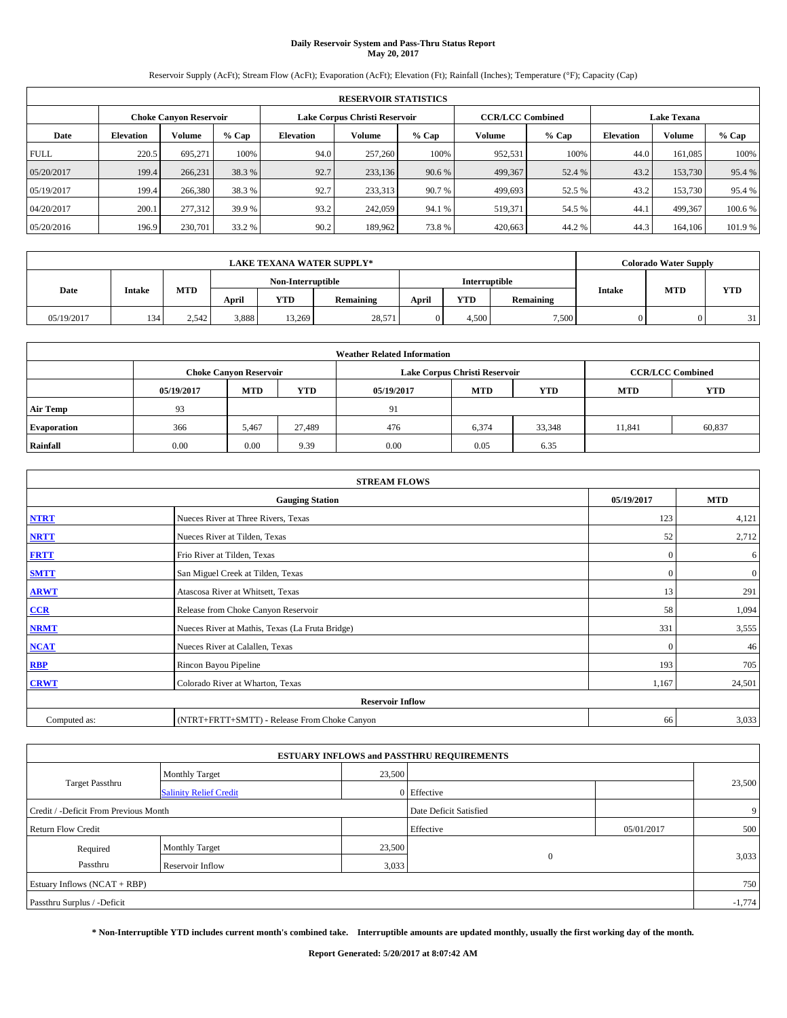# **Daily Reservoir System and Pass-Thru Status Report May 20, 2017**

Reservoir Supply (AcFt); Stream Flow (AcFt); Evaporation (AcFt); Elevation (Ft); Rainfall (Inches); Temperature (°F); Capacity (Cap)

|                               | <b>RESERVOIR STATISTICS</b> |         |         |                  |                               |         |                         |         |                    |               |         |  |
|-------------------------------|-----------------------------|---------|---------|------------------|-------------------------------|---------|-------------------------|---------|--------------------|---------------|---------|--|
| <b>Choke Canyon Reservoir</b> |                             |         |         |                  | Lake Corpus Christi Reservoir |         | <b>CCR/LCC Combined</b> |         | <b>Lake Texana</b> |               |         |  |
| Date                          | <b>Elevation</b>            | Volume  | $%$ Cap | <b>Elevation</b> | Volume                        | $%$ Cap | Volume                  | $%$ Cap | <b>Elevation</b>   | <b>Volume</b> | % Cap   |  |
| <b>FULL</b>                   | 220.5                       | 695.271 | 100%    | 94.0             | 257,260                       | 100%    | 952,531                 | 100%    | 44.0               | 161.085       | 100%    |  |
| 05/20/2017                    | 199.4                       | 266,231 | 38.3 %  | 92.7             | 233,136                       | 90.6 %  | 499,367                 | 52.4 %  | 43.2               | 153,730       | 95.4 %  |  |
| 05/19/2017                    | 199.4                       | 266,380 | 38.3 %  | 92.7             | 233.313                       | 90.7 %  | 499,693                 | 52.5 %  | 43.2               | 153,730       | 95.4 %  |  |
| 04/20/2017                    | 200.1                       | 277.312 | 39.9 %  | 93.2             | 242,059                       | 94.1 %  | 519,371                 | 54.5 %  | 44.1               | 499.367       | 100.6%  |  |
| 05/20/2016                    | 196.9                       | 230,701 | 33.2 %  | 90.2             | 189,962                       | 73.8%   | 420,663                 | 44.2%   | 44.3               | 164,106       | 101.9 % |  |

|            | <b>LAKE TEXANA WATER SUPPLY*</b><br>Non-Interruptible |       |       |            |           |               |            |           |               | <b>Colorado Water Supply</b> |            |
|------------|-------------------------------------------------------|-------|-------|------------|-----------|---------------|------------|-----------|---------------|------------------------------|------------|
|            |                                                       |       |       |            |           | Interruptible |            |           |               |                              |            |
| Date       | <b>Intake</b>                                         | MTD   | April | <b>YTD</b> | Remaining | April         | <b>YTD</b> | Remaining | <b>Intake</b> | <b>MTD</b>                   | <b>YTD</b> |
| 05/19/2017 | 134                                                   | 2.542 | 3,888 | 13.269     | 28,571    |               | 4.500      | 7.500     |               |                              | 31         |

|                    | <b>Weather Related Information</b> |                               |            |      |                               |                         |        |        |  |  |  |  |
|--------------------|------------------------------------|-------------------------------|------------|------|-------------------------------|-------------------------|--------|--------|--|--|--|--|
|                    |                                    | <b>Choke Canyon Reservoir</b> |            |      | Lake Corpus Christi Reservoir | <b>CCR/LCC Combined</b> |        |        |  |  |  |  |
|                    | 05/19/2017                         | <b>MTD</b>                    | <b>YTD</b> |      |                               |                         |        |        |  |  |  |  |
| <b>Air Temp</b>    | 93                                 |                               |            | 91   |                               |                         |        |        |  |  |  |  |
| <b>Evaporation</b> | 366                                | 5,467                         | 27,489     | 476  | 6,374                         | 33,348                  | 11.841 | 60,837 |  |  |  |  |
| Rainfall           | 0.00                               | 0.00                          | 9.39       | 0.00 | 0.05                          | 6.35                    |        |        |  |  |  |  |

| <b>STREAM FLOWS</b> |                                                 |              |                |  |  |  |  |  |
|---------------------|-------------------------------------------------|--------------|----------------|--|--|--|--|--|
|                     | <b>Gauging Station</b>                          | 05/19/2017   | <b>MTD</b>     |  |  |  |  |  |
| <b>NTRT</b>         | Nueces River at Three Rivers, Texas             | 123          | 4,121          |  |  |  |  |  |
| <b>NRTT</b>         | Nueces River at Tilden, Texas                   | 52           | 2,712          |  |  |  |  |  |
| <b>FRTT</b>         | Frio River at Tilden, Texas                     | $\mathbf{0}$ | 6              |  |  |  |  |  |
| <b>SMTT</b>         | San Miguel Creek at Tilden, Texas               | $\mathbf{0}$ | $\overline{0}$ |  |  |  |  |  |
| <b>ARWT</b>         | Atascosa River at Whitsett, Texas               | 13           | 291            |  |  |  |  |  |
| CCR                 | Release from Choke Canyon Reservoir             | 58           | 1,094          |  |  |  |  |  |
| <b>NRMT</b>         | Nueces River at Mathis, Texas (La Fruta Bridge) | 331          | 3,555          |  |  |  |  |  |
| <b>NCAT</b>         | Nueces River at Calallen, Texas                 | $\Omega$     | 46             |  |  |  |  |  |
| <b>RBP</b>          | Rincon Bayou Pipeline                           | 193          | 705            |  |  |  |  |  |
| <b>CRWT</b>         | Colorado River at Wharton, Texas                | 1,167        | 24,501         |  |  |  |  |  |
|                     |                                                 |              |                |  |  |  |  |  |
| Computed as:        | (NTRT+FRTT+SMTT) - Release From Choke Canyon    | 66           | 3,033          |  |  |  |  |  |

|                                       |                               |        | <b>ESTUARY INFLOWS and PASSTHRU REQUIREMENTS</b> |            |          |
|---------------------------------------|-------------------------------|--------|--------------------------------------------------|------------|----------|
|                                       | <b>Monthly Target</b>         | 23,500 |                                                  |            |          |
| <b>Target Passthru</b>                | <b>Salinity Relief Credit</b> |        | 0 Effective                                      |            | 23,500   |
| Credit / -Deficit From Previous Month |                               |        | Date Deficit Satisfied                           |            | 9        |
| <b>Return Flow Credit</b>             |                               |        | Effective                                        | 05/01/2017 | 500      |
| Required                              | <b>Monthly Target</b>         | 23,500 |                                                  |            |          |
| Passthru                              | <b>Reservoir Inflow</b>       | 3,033  | $\Omega$                                         |            | 3,033    |
| Estuary Inflows (NCAT + RBP)          |                               |        |                                                  |            | 750      |
| Passthru Surplus / -Deficit           |                               |        |                                                  |            | $-1,774$ |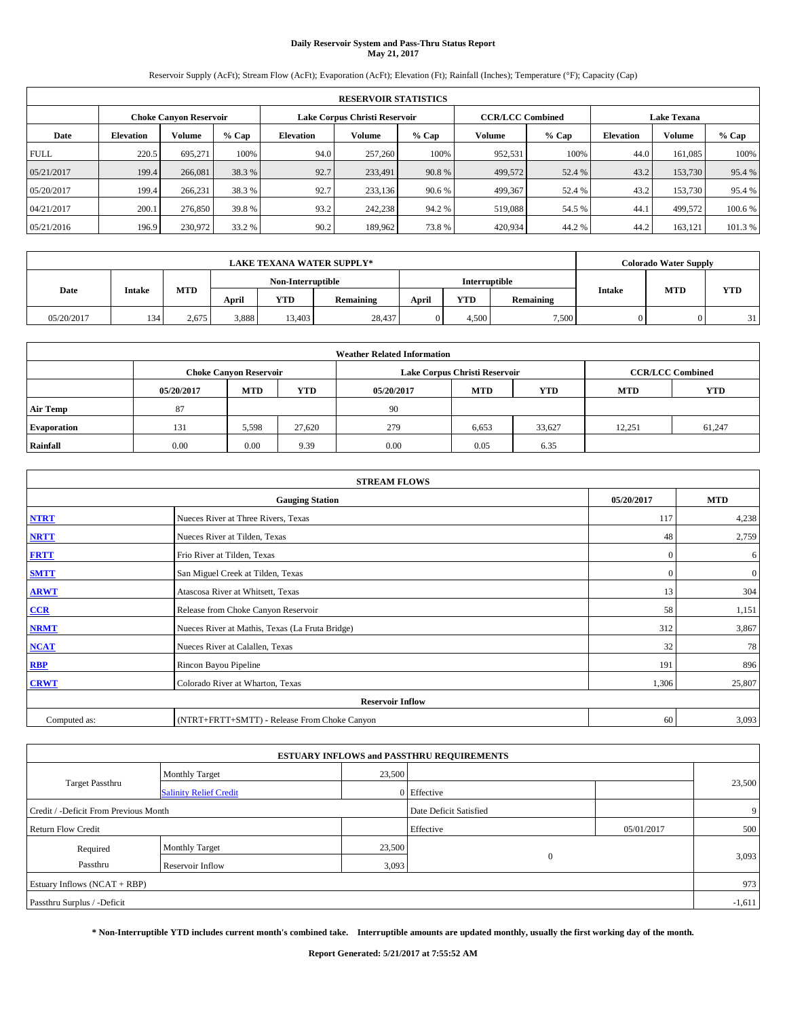# **Daily Reservoir System and Pass-Thru Status Report May 21, 2017**

Reservoir Supply (AcFt); Stream Flow (AcFt); Evaporation (AcFt); Elevation (Ft); Rainfall (Inches); Temperature (°F); Capacity (Cap)

|             | <b>RESERVOIR STATISTICS</b> |                               |         |                               |         |         |                         |         |                    |               |         |  |  |
|-------------|-----------------------------|-------------------------------|---------|-------------------------------|---------|---------|-------------------------|---------|--------------------|---------------|---------|--|--|
|             |                             | <b>Choke Canyon Reservoir</b> |         | Lake Corpus Christi Reservoir |         |         | <b>CCR/LCC Combined</b> |         | <b>Lake Texana</b> |               |         |  |  |
| Date        | <b>Elevation</b>            | Volume                        | $%$ Cap | Elevation                     | Volume  | $%$ Cap | Volume                  | $%$ Cap | <b>Elevation</b>   | <b>Volume</b> | % Cap   |  |  |
| <b>FULL</b> | 220.5                       | 695.271                       | 100%    | 94.0                          | 257,260 | 100%    | 952,531                 | 100%    | 44.0               | 161.085       | 100%    |  |  |
| 05/21/2017  | 199.4                       | 266,081                       | 38.3 %  | 92.7                          | 233,491 | 90.8%   | 499,572                 | 52.4 %  | 43.2               | 153,730       | 95.4 %  |  |  |
| 05/20/2017  | 199.4                       | 266,231                       | 38.3 %  | 92.7                          | 233,136 | 90.6 %  | 499,367                 | 52.4 %  | 43.2               | 153,730       | 95.4 %  |  |  |
| 04/21/2017  | 200.1                       | 276,850                       | 39.8%   | 93.2                          | 242,238 | 94.2%   | 519.088                 | 54.5 %  | 44.1               | 499.572       | 100.6 % |  |  |
| 05/21/2016  | 196.9                       | 230,972                       | 33.2 %  | 90.2                          | 189,962 | 73.8%   | 420,934                 | 44.2%   | 44.2               | 163.121       | 101.3 % |  |  |

|            | <b>LAKE TEXANA WATER SUPPLY*</b> |            |       |                   |           |       |                      |           |               | <b>Colorado Water Supply</b> |            |
|------------|----------------------------------|------------|-------|-------------------|-----------|-------|----------------------|-----------|---------------|------------------------------|------------|
|            |                                  |            |       | Non-Interruptible |           |       | <b>Interruptible</b> |           |               | <b>MTD</b>                   |            |
| Date       | <b>Intake</b>                    | <b>MTD</b> | April | YTD               | Remaining | April | <b>YTD</b>           | Remaining | <b>Intake</b> |                              | <b>YTD</b> |
| 05/20/2017 | 134                              | 2.675      | 3,888 | 13.403            | 28.437    |       | 4.500                | 7.500     |               |                              | 31         |

|                    | <b>Weather Related Information</b> |                                                                                  |        |      |                               |                         |        |        |  |  |  |  |
|--------------------|------------------------------------|----------------------------------------------------------------------------------|--------|------|-------------------------------|-------------------------|--------|--------|--|--|--|--|
|                    |                                    | <b>Choke Canyon Reservoir</b>                                                    |        |      | Lake Corpus Christi Reservoir | <b>CCR/LCC Combined</b> |        |        |  |  |  |  |
|                    | 05/20/2017                         | <b>YTD</b><br><b>MTD</b><br><b>MTD</b><br><b>YTD</b><br><b>MTD</b><br>05/20/2017 |        |      |                               |                         |        |        |  |  |  |  |
| <b>Air Temp</b>    | 87                                 |                                                                                  |        | 90   |                               |                         |        |        |  |  |  |  |
| <b>Evaporation</b> | 131                                | 5,598                                                                            | 27,620 | 279  | 6,653                         | 33,627                  | 12,251 | 61,247 |  |  |  |  |
| Rainfall           | 0.00                               | 0.00                                                                             | 9.39   | 0.00 | 0.05                          | 6.35                    |        |        |  |  |  |  |

| <b>STREAM FLOWS</b> |                                                 |              |                  |  |  |  |  |  |
|---------------------|-------------------------------------------------|--------------|------------------|--|--|--|--|--|
|                     | <b>Gauging Station</b>                          | 05/20/2017   | <b>MTD</b>       |  |  |  |  |  |
| <b>NTRT</b>         | Nueces River at Three Rivers, Texas             | 117          | 4,238            |  |  |  |  |  |
| <b>NRTT</b>         | Nueces River at Tilden, Texas                   | 48           | 2,759            |  |  |  |  |  |
| <b>FRTT</b>         | Frio River at Tilden, Texas                     | $\mathbf{0}$ | 6                |  |  |  |  |  |
| <b>SMTT</b>         | San Miguel Creek at Tilden, Texas               | $\mathbf{0}$ | $\boldsymbol{0}$ |  |  |  |  |  |
| <b>ARWT</b>         | Atascosa River at Whitsett, Texas               | 13           | 304              |  |  |  |  |  |
| $CCR$               | Release from Choke Canyon Reservoir             | 58           | 1,151            |  |  |  |  |  |
| <b>NRMT</b>         | Nueces River at Mathis, Texas (La Fruta Bridge) | 312          | 3,867            |  |  |  |  |  |
| <b>NCAT</b>         | Nueces River at Calallen, Texas                 | 32           | 78               |  |  |  |  |  |
| RBP                 | Rincon Bayou Pipeline                           | 191          | 896              |  |  |  |  |  |
| <b>CRWT</b>         | Colorado River at Wharton, Texas                | 1,306        | 25,807           |  |  |  |  |  |
|                     | <b>Reservoir Inflow</b>                         |              |                  |  |  |  |  |  |
| Computed as:        | (NTRT+FRTT+SMTT) - Release From Choke Canyon    | 60           | 3,093            |  |  |  |  |  |

|                                       |                               |        | <b>ESTUARY INFLOWS and PASSTHRU REQUIREMENTS</b> |            |          |
|---------------------------------------|-------------------------------|--------|--------------------------------------------------|------------|----------|
|                                       | <b>Monthly Target</b>         | 23,500 |                                                  |            |          |
| <b>Target Passthru</b>                | <b>Salinity Relief Credit</b> |        | 0 Effective                                      |            | 23,500   |
| Credit / -Deficit From Previous Month |                               |        | Date Deficit Satisfied                           |            | 9        |
| <b>Return Flow Credit</b>             |                               |        | Effective                                        | 05/01/2017 | 500      |
| Required                              | <b>Monthly Target</b>         | 23,500 |                                                  |            |          |
| Passthru                              | Reservoir Inflow              | 3,093  | $\Omega$                                         |            | 3,093    |
| Estuary Inflows (NCAT + RBP)          |                               |        |                                                  |            | 973      |
| Passthru Surplus / -Deficit           |                               |        |                                                  |            | $-1,611$ |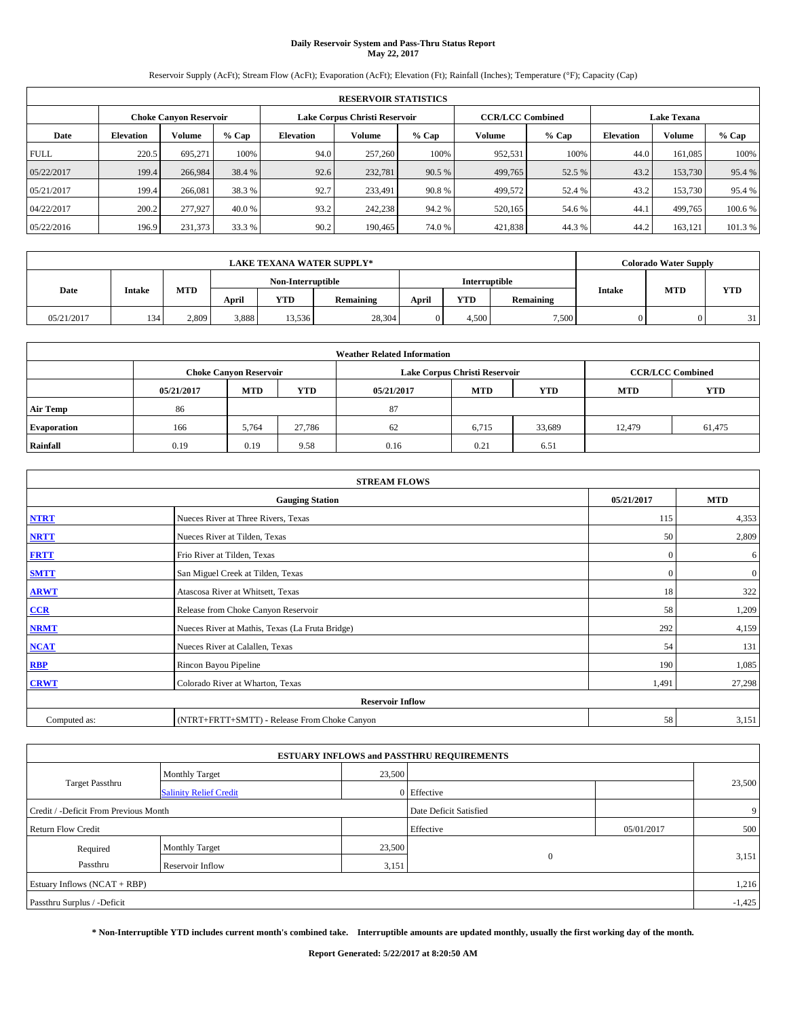# **Daily Reservoir System and Pass-Thru Status Report May 22, 2017**

Reservoir Supply (AcFt); Stream Flow (AcFt); Evaporation (AcFt); Elevation (Ft); Rainfall (Inches); Temperature (°F); Capacity (Cap)

|             | <b>RESERVOIR STATISTICS</b> |                               |         |                               |         |         |                         |         |                    |               |         |  |  |
|-------------|-----------------------------|-------------------------------|---------|-------------------------------|---------|---------|-------------------------|---------|--------------------|---------------|---------|--|--|
|             |                             | <b>Choke Canyon Reservoir</b> |         | Lake Corpus Christi Reservoir |         |         | <b>CCR/LCC Combined</b> |         | <b>Lake Texana</b> |               |         |  |  |
| Date        | <b>Elevation</b>            | Volume                        | $%$ Cap | Elevation                     | Volume  | $%$ Cap | Volume                  | $%$ Cap | <b>Elevation</b>   | <b>Volume</b> | % Cap   |  |  |
| <b>FULL</b> | 220.5                       | 695.271                       | 100%    | 94.0                          | 257,260 | 100%    | 952,531                 | 100%    | 44.0               | 161.085       | 100%    |  |  |
| 05/22/2017  | 199.4                       | 266,984                       | 38.4 %  | 92.6                          | 232,781 | 90.5 %  | 499,765                 | 52.5 %  | 43.2               | 153,730       | 95.4 %  |  |  |
| 05/21/2017  | 199.4                       | 266,081                       | 38.3 %  | 92.7                          | 233.491 | 90.8%   | 499,572                 | 52.4 %  | 43.2               | 153,730       | 95.4 %  |  |  |
| 04/22/2017  | 200.2                       | 277,927                       | 40.0 %  | 93.2                          | 242,238 | 94.2%   | 520,165                 | 54.6 %  | 44.1               | 499,765       | 100.6 % |  |  |
| 05/22/2016  | 196.9                       | 231,373                       | 33.3 %  | 90.2                          | 190,465 | 74.0%   | 421,838                 | 44.3%   | 44.2               | 163,121       | 101.3 % |  |  |

|            | <b>LAKE TEXANA WATER SUPPLY*</b> |            |       |                   |           |       |               |           |               | <b>Colorado Water Supply</b> |            |
|------------|----------------------------------|------------|-------|-------------------|-----------|-------|---------------|-----------|---------------|------------------------------|------------|
|            |                                  |            |       | Non-Interruptible |           |       | Interruptible |           |               | <b>MTD</b>                   |            |
| Date       | <b>Intake</b>                    | <b>MTD</b> | April | YTD               | Remaining | April | <b>YTD</b>    | Remaining | <b>Intake</b> |                              | <b>YTD</b> |
| 05/21/2017 | 134                              | 2.809      | 3,888 | 13.536            | 28,304    |       | 4.500         | 7.500     |               |                              | 31         |

|                    | <b>Weather Related Information</b> |                                                                                  |        |      |                               |                         |        |        |  |  |  |  |
|--------------------|------------------------------------|----------------------------------------------------------------------------------|--------|------|-------------------------------|-------------------------|--------|--------|--|--|--|--|
|                    |                                    | <b>Choke Canyon Reservoir</b>                                                    |        |      | Lake Corpus Christi Reservoir | <b>CCR/LCC Combined</b> |        |        |  |  |  |  |
|                    | 05/21/2017                         | <b>YTD</b><br><b>MTD</b><br><b>MTD</b><br><b>YTD</b><br><b>MTD</b><br>05/21/2017 |        |      |                               |                         |        |        |  |  |  |  |
| <b>Air Temp</b>    | 86                                 |                                                                                  |        | 87   |                               |                         |        |        |  |  |  |  |
| <b>Evaporation</b> | 166                                | 5,764                                                                            | 27,786 | 62   | 6,715                         | 33,689                  | 12.479 | 61,475 |  |  |  |  |
| Rainfall           | 0.19                               | 0.19                                                                             | 9.58   | 0.16 | 0.21                          | 6.51                    |        |        |  |  |  |  |

| <b>STREAM FLOWS</b> |                                                 |              |              |  |  |  |  |  |  |
|---------------------|-------------------------------------------------|--------------|--------------|--|--|--|--|--|--|
|                     | <b>Gauging Station</b>                          | 05/21/2017   | <b>MTD</b>   |  |  |  |  |  |  |
| <b>NTRT</b>         | Nueces River at Three Rivers, Texas             | 115          | 4,353        |  |  |  |  |  |  |
| <b>NRTT</b>         | Nueces River at Tilden, Texas                   | 50           | 2,809        |  |  |  |  |  |  |
| <b>FRTT</b>         | Frio River at Tilden, Texas                     | $\mathbf{0}$ | 6            |  |  |  |  |  |  |
| <b>SMTT</b>         | San Miguel Creek at Tilden, Texas               | $\mathbf{0}$ | $\mathbf{0}$ |  |  |  |  |  |  |
| <b>ARWT</b>         | Atascosa River at Whitsett, Texas               | 18           | 322          |  |  |  |  |  |  |
| $CCR$               | Release from Choke Canyon Reservoir             | 58           | 1,209        |  |  |  |  |  |  |
| <b>NRMT</b>         | Nueces River at Mathis, Texas (La Fruta Bridge) | 292          | 4,159        |  |  |  |  |  |  |
| <b>NCAT</b>         | Nueces River at Calallen, Texas                 | 54           | 131          |  |  |  |  |  |  |
| RBP                 | Rincon Bayou Pipeline                           | 190          | 1,085        |  |  |  |  |  |  |
| <b>CRWT</b>         | Colorado River at Wharton, Texas                | 1,491        | 27,298       |  |  |  |  |  |  |
|                     | <b>Reservoir Inflow</b>                         |              |              |  |  |  |  |  |  |
| Computed as:        | (NTRT+FRTT+SMTT) - Release From Choke Canyon    | 58           | 3,151        |  |  |  |  |  |  |

| <b>ESTUARY INFLOWS and PASSTHRU REQUIREMENTS</b> |                               |        |                        |            |          |  |  |  |  |  |
|--------------------------------------------------|-------------------------------|--------|------------------------|------------|----------|--|--|--|--|--|
|                                                  | <b>Monthly Target</b>         | 23,500 |                        |            |          |  |  |  |  |  |
| <b>Target Passthru</b>                           | <b>Salinity Relief Credit</b> |        | 0 Effective            |            | 23,500   |  |  |  |  |  |
| Credit / -Deficit From Previous Month            |                               |        | Date Deficit Satisfied |            | 9        |  |  |  |  |  |
| <b>Return Flow Credit</b>                        |                               |        | Effective              | 05/01/2017 | 500      |  |  |  |  |  |
| Required                                         | <b>Monthly Target</b>         | 23,500 |                        |            |          |  |  |  |  |  |
| Passthru                                         | <b>Reservoir Inflow</b>       | 3,151  | $\Omega$               |            | 3,151    |  |  |  |  |  |
| Estuary Inflows (NCAT + RBP)                     |                               |        |                        |            | 1,216    |  |  |  |  |  |
| Passthru Surplus / -Deficit                      |                               |        |                        |            | $-1,425$ |  |  |  |  |  |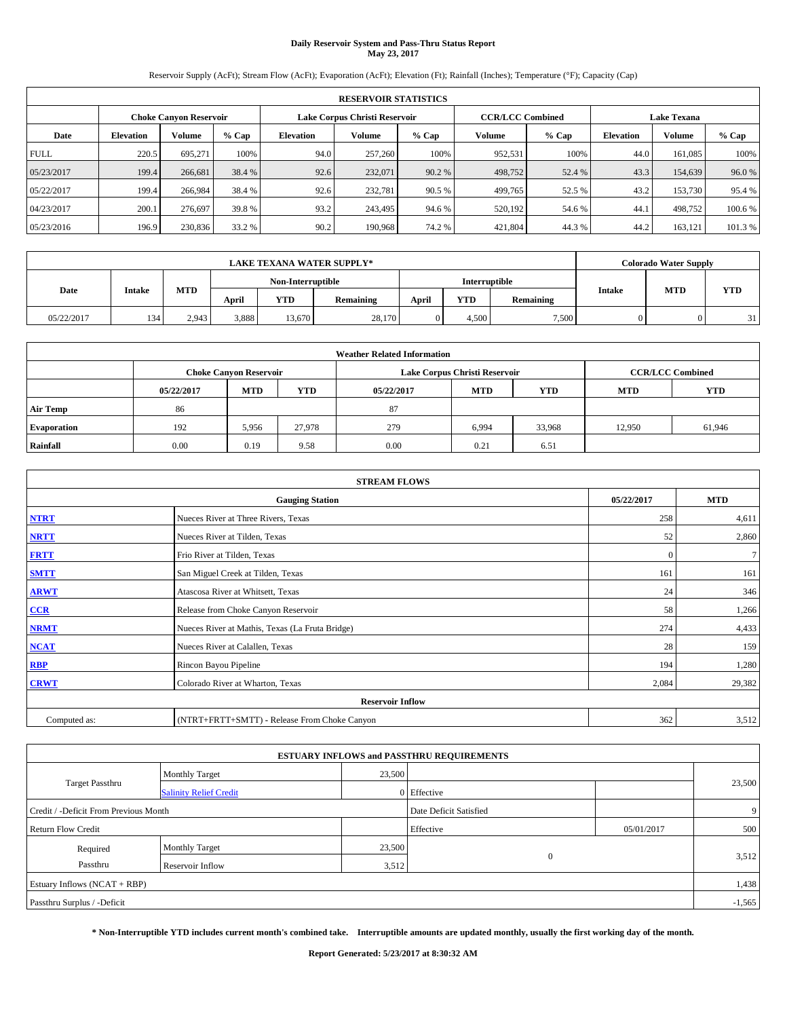# **Daily Reservoir System and Pass-Thru Status Report May 23, 2017**

Reservoir Supply (AcFt); Stream Flow (AcFt); Evaporation (AcFt); Elevation (Ft); Rainfall (Inches); Temperature (°F); Capacity (Cap)

|             | <b>RESERVOIR STATISTICS</b> |                               |         |           |                               |         |                         |         |                  |                    |         |  |
|-------------|-----------------------------|-------------------------------|---------|-----------|-------------------------------|---------|-------------------------|---------|------------------|--------------------|---------|--|
|             |                             | <b>Choke Canyon Reservoir</b> |         |           | Lake Corpus Christi Reservoir |         | <b>CCR/LCC Combined</b> |         |                  | <b>Lake Texana</b> |         |  |
| Date        | <b>Elevation</b>            | Volume                        | $%$ Cap | Elevation | Volume                        | $%$ Cap | Volume                  | $%$ Cap | <b>Elevation</b> | <b>Volume</b>      | % Cap   |  |
| <b>FULL</b> | 220.5                       | 695.271                       | 100%    | 94.0      | 257,260                       | 100%    | 952,531                 | 100%    | 44.0             | 161.085            | 100%    |  |
| 05/23/2017  | 199.4                       | 266,681                       | 38.4 %  | 92.6      | 232,071                       | 90.2 %  | 498,752                 | 52.4 %  | 43.3             | 154,639            | 96.0%   |  |
| 05/22/2017  | 199.4                       | 266,984                       | 38.4 %  | 92.6      | 232,781                       | 90.5 %  | 499,765                 | 52.5 %  | 43.2             | 153,730            | 95.4 %  |  |
| 04/23/2017  | 200.1                       | 276.697                       | 39.8%   | 93.2      | 243,495                       | 94.6 %  | 520,192                 | 54.6 %  | 44.1             | 498,752            | 100.6%  |  |
| 05/23/2016  | 196.9                       | 230,836                       | 33.2 %  | 90.2      | 190,968                       | 74.2 %  | 421,804                 | 44.3%   | 44.2             | 163,121            | 101.3 % |  |

| <b>LAKE TEXANA WATER SUPPLY*</b> |               |            |       |                   |           |       | <b>Colorado Water Supply</b> |           |               |            |            |
|----------------------------------|---------------|------------|-------|-------------------|-----------|-------|------------------------------|-----------|---------------|------------|------------|
|                                  |               |            |       | Non-Interruptible |           |       | Interruptible                |           |               | <b>MTD</b> |            |
| Date                             | <b>Intake</b> | <b>MTD</b> | April | YTD               | Remaining | April | <b>YTD</b>                   | Remaining | <b>Intake</b> |            | <b>YTD</b> |
| 05/22/2017                       | 134           | 2.943      | 3,888 | 13.670            | 28,170    |       | 4.500                        | 7.500     |               |            | 31         |

| <b>Weather Related Information</b> |            |                               |            |            |                               |                         |            |            |  |  |  |
|------------------------------------|------------|-------------------------------|------------|------------|-------------------------------|-------------------------|------------|------------|--|--|--|
|                                    |            | <b>Choke Canyon Reservoir</b> |            |            | Lake Corpus Christi Reservoir | <b>CCR/LCC Combined</b> |            |            |  |  |  |
|                                    | 05/22/2017 | <b>MTD</b>                    | <b>YTD</b> | 05/22/2017 | <b>MTD</b>                    | <b>YTD</b>              | <b>MTD</b> | <b>YTD</b> |  |  |  |
| <b>Air Temp</b>                    | 86         |                               |            | 87         |                               |                         |            |            |  |  |  |
| <b>Evaporation</b>                 | 192        | 5,956                         | 27,978     | 279        | 6,994                         | 33,968                  | 12.950     | 61,946     |  |  |  |
| Rainfall                           | 0.00       | 0.19                          | 9.58       | 0.00       | 0.21                          | 6.51                    |            |            |  |  |  |

| <b>STREAM FLOWS</b> |                                                 |              |        |  |  |  |  |  |
|---------------------|-------------------------------------------------|--------------|--------|--|--|--|--|--|
|                     | <b>Gauging Station</b>                          |              |        |  |  |  |  |  |
| <b>NTRT</b>         | Nueces River at Three Rivers, Texas             | 258          | 4,611  |  |  |  |  |  |
| <b>NRTT</b>         | Nueces River at Tilden, Texas                   | 52           | 2,860  |  |  |  |  |  |
| <b>FRTT</b>         | Frio River at Tilden, Texas                     | $\mathbf{0}$ | $\tau$ |  |  |  |  |  |
| <b>SMTT</b>         | San Miguel Creek at Tilden, Texas               | 161          | 161    |  |  |  |  |  |
| <b>ARWT</b>         | Atascosa River at Whitsett, Texas               | 24           | 346    |  |  |  |  |  |
| $CCR$               | Release from Choke Canyon Reservoir             | 58           | 1,266  |  |  |  |  |  |
| <b>NRMT</b>         | Nueces River at Mathis, Texas (La Fruta Bridge) | 274          | 4,433  |  |  |  |  |  |
| <b>NCAT</b>         | Nueces River at Calallen, Texas                 | 28           | 159    |  |  |  |  |  |
| <b>RBP</b>          | Rincon Bayou Pipeline                           | 194          | 1,280  |  |  |  |  |  |
| <b>CRWT</b>         | Colorado River at Wharton, Texas                | 2,084        | 29,382 |  |  |  |  |  |
|                     | <b>Reservoir Inflow</b>                         |              |        |  |  |  |  |  |
| Computed as:        | (NTRT+FRTT+SMTT) - Release From Choke Canyon    | 362          | 3,512  |  |  |  |  |  |

| <b>ESTUARY INFLOWS and PASSTHRU REQUIREMENTS</b> |                               |        |                        |            |          |  |  |  |  |  |
|--------------------------------------------------|-------------------------------|--------|------------------------|------------|----------|--|--|--|--|--|
|                                                  | <b>Monthly Target</b>         | 23,500 |                        |            |          |  |  |  |  |  |
| Target Passthru                                  | <b>Salinity Relief Credit</b> |        | 0 Effective            |            | 23,500   |  |  |  |  |  |
| Credit / -Deficit From Previous Month            |                               |        | Date Deficit Satisfied |            | 9        |  |  |  |  |  |
| <b>Return Flow Credit</b>                        |                               |        | Effective              | 05/01/2017 | 500      |  |  |  |  |  |
| Required                                         | Monthly Target                | 23,500 |                        |            |          |  |  |  |  |  |
| Passthru                                         | <b>Reservoir Inflow</b>       | 3,512  | $\Omega$               |            | 3,512    |  |  |  |  |  |
| Estuary Inflows (NCAT + RBP)                     |                               |        |                        |            | 1,438    |  |  |  |  |  |
| Passthru Surplus / -Deficit                      |                               |        |                        |            | $-1,565$ |  |  |  |  |  |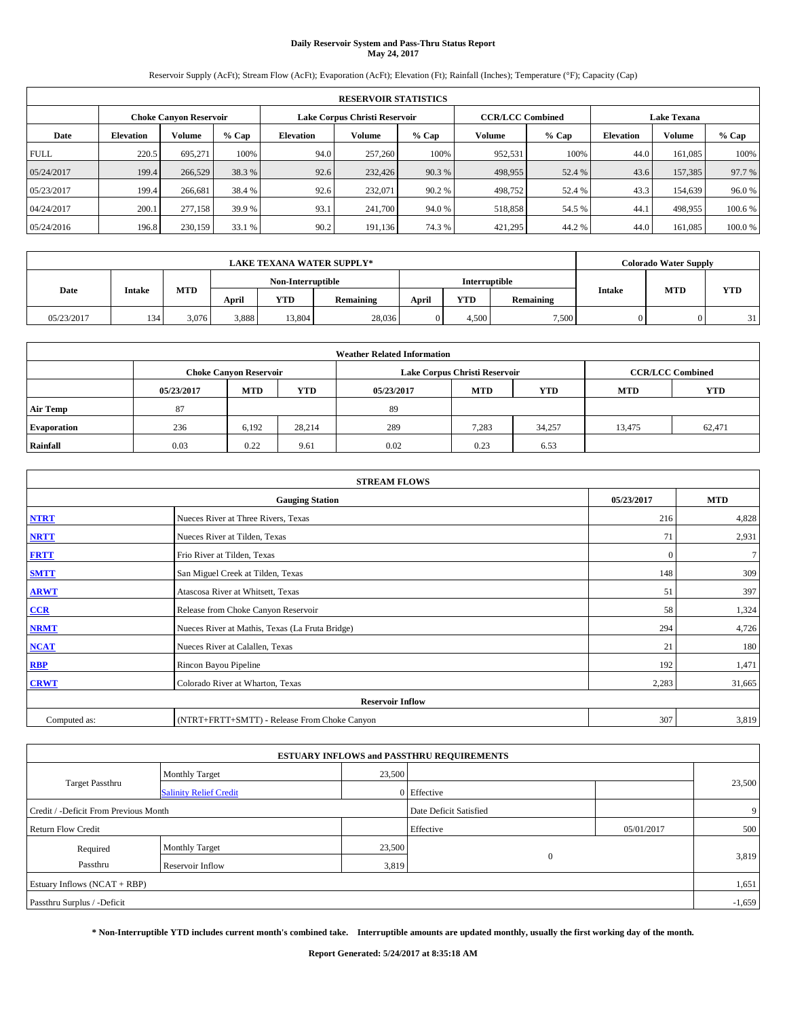# **Daily Reservoir System and Pass-Thru Status Report May 24, 2017**

Reservoir Supply (AcFt); Stream Flow (AcFt); Evaporation (AcFt); Elevation (Ft); Rainfall (Inches); Temperature (°F); Capacity (Cap)

|             | <b>RESERVOIR STATISTICS</b> |                               |         |           |                               |         |                         |         |                  |                    |        |  |
|-------------|-----------------------------|-------------------------------|---------|-----------|-------------------------------|---------|-------------------------|---------|------------------|--------------------|--------|--|
|             |                             | <b>Choke Canyon Reservoir</b> |         |           | Lake Corpus Christi Reservoir |         | <b>CCR/LCC Combined</b> |         |                  | <b>Lake Texana</b> |        |  |
| Date        | <b>Elevation</b>            | Volume                        | $%$ Cap | Elevation | Volume                        | $%$ Cap | Volume                  | $%$ Cap | <b>Elevation</b> | <b>Volume</b>      | % Cap  |  |
| <b>FULL</b> | 220.5                       | 695.271                       | 100%    | 94.0      | 257,260                       | 100%    | 952,531                 | 100%    | 44.0             | 161.085            | 100%   |  |
| 05/24/2017  | 199.4                       | 266,529                       | 38.3 %  | 92.6      | 232,426                       | 90.3 %  | 498,955                 | 52.4 %  | 43.6             | 157,385            | 97.7 % |  |
| 05/23/2017  | 199.4                       | 266,681                       | 38.4 %  | 92.6      | 232,071                       | 90.2 %  | 498,752                 | 52.4 %  | 43.3             | 154.639            | 96.0%  |  |
| 04/24/2017  | 200.1                       | 277,158                       | 39.9 %  | 93.1      | 241,700                       | 94.0 %  | 518,858                 | 54.5 %  | 44.1             | 498,955            | 100.6% |  |
| 05/24/2016  | 196.8                       | 230,159                       | 33.1 %  | 90.2      | 191,136                       | 74.3 %  | 421,295                 | 44.2 %  | 44.0             | 161,085            | 100.0% |  |

| <b>LAKE TEXANA WATER SUPPLY*</b> |               |            |       |                   |           |       | <b>Colorado Water Supply</b> |           |               |            |            |
|----------------------------------|---------------|------------|-------|-------------------|-----------|-------|------------------------------|-----------|---------------|------------|------------|
|                                  |               |            |       | Non-Interruptible |           |       | Interruptible                |           |               | <b>MTD</b> |            |
| Date                             | <b>Intake</b> | <b>MTD</b> | April | YTD               | Remaining | April | <b>YTD</b>                   | Remaining | <b>Intake</b> |            | <b>YTD</b> |
| 05/23/2017                       | 134           | 3.076      | 3,888 | 13.804            | 28,036    |       | 4.500                        | 7.500     |               |            | 31         |

| <b>Weather Related Information</b> |            |                               |            |            |                               |                         |            |            |  |  |  |
|------------------------------------|------------|-------------------------------|------------|------------|-------------------------------|-------------------------|------------|------------|--|--|--|
|                                    |            | <b>Choke Canyon Reservoir</b> |            |            | Lake Corpus Christi Reservoir | <b>CCR/LCC Combined</b> |            |            |  |  |  |
|                                    | 05/23/2017 | <b>MTD</b>                    | <b>YTD</b> | 05/23/2017 | <b>MTD</b>                    | <b>YTD</b>              | <b>MTD</b> | <b>YTD</b> |  |  |  |
| <b>Air Temp</b>                    | 87         |                               |            | 89         |                               |                         |            |            |  |  |  |
| <b>Evaporation</b>                 | 236        | 6,192                         | 28,214     | 289        | 7,283                         | 34,257                  | 13,475     | 62,471     |  |  |  |
| Rainfall                           | 0.03       | 0.22                          | 9.61       | 0.02       | 0.23                          | 6.53                    |            |            |  |  |  |

| <b>STREAM FLOWS</b> |                                                 |              |        |  |  |  |  |  |  |
|---------------------|-------------------------------------------------|--------------|--------|--|--|--|--|--|--|
|                     | <b>Gauging Station</b>                          |              |        |  |  |  |  |  |  |
| <b>NTRT</b>         | Nueces River at Three Rivers, Texas             | 216          | 4,828  |  |  |  |  |  |  |
| <b>NRTT</b>         | Nueces River at Tilden, Texas                   | 71           | 2,931  |  |  |  |  |  |  |
| <b>FRTT</b>         | Frio River at Tilden, Texas                     | $\mathbf{0}$ | $\tau$ |  |  |  |  |  |  |
| <b>SMTT</b>         | San Miguel Creek at Tilden, Texas               | 148          | 309    |  |  |  |  |  |  |
| <b>ARWT</b>         | Atascosa River at Whitsett, Texas               | 51           | 397    |  |  |  |  |  |  |
| $CCR$               | Release from Choke Canyon Reservoir             | 58           | 1,324  |  |  |  |  |  |  |
| <b>NRMT</b>         | Nueces River at Mathis, Texas (La Fruta Bridge) | 294          | 4,726  |  |  |  |  |  |  |
| <b>NCAT</b>         | Nueces River at Calallen, Texas                 | 21           | 180    |  |  |  |  |  |  |
| <b>RBP</b>          | Rincon Bayou Pipeline                           | 192          | 1,471  |  |  |  |  |  |  |
| <b>CRWT</b>         | Colorado River at Wharton, Texas                | 2,283        | 31,665 |  |  |  |  |  |  |
|                     | <b>Reservoir Inflow</b>                         |              |        |  |  |  |  |  |  |
| Computed as:        | (NTRT+FRTT+SMTT) - Release From Choke Canyon    | 307          | 3,819  |  |  |  |  |  |  |

| <b>ESTUARY INFLOWS and PASSTHRU REQUIREMENTS</b> |                               |        |                        |            |          |  |  |  |  |  |
|--------------------------------------------------|-------------------------------|--------|------------------------|------------|----------|--|--|--|--|--|
|                                                  | <b>Monthly Target</b>         | 23,500 |                        |            |          |  |  |  |  |  |
| <b>Target Passthru</b>                           | <b>Salinity Relief Credit</b> |        | 0 Effective            |            | 23,500   |  |  |  |  |  |
| Credit / -Deficit From Previous Month            |                               |        | Date Deficit Satisfied |            | 9        |  |  |  |  |  |
| <b>Return Flow Credit</b>                        |                               |        | Effective              | 05/01/2017 | 500      |  |  |  |  |  |
| Required                                         | <b>Monthly Target</b>         | 23,500 |                        |            |          |  |  |  |  |  |
| Passthru                                         | <b>Reservoir Inflow</b>       | 3,819  | $\Omega$               |            | 3,819    |  |  |  |  |  |
| Estuary Inflows (NCAT + RBP)                     |                               |        |                        |            | 1,651    |  |  |  |  |  |
| Passthru Surplus / -Deficit                      |                               |        |                        |            | $-1,659$ |  |  |  |  |  |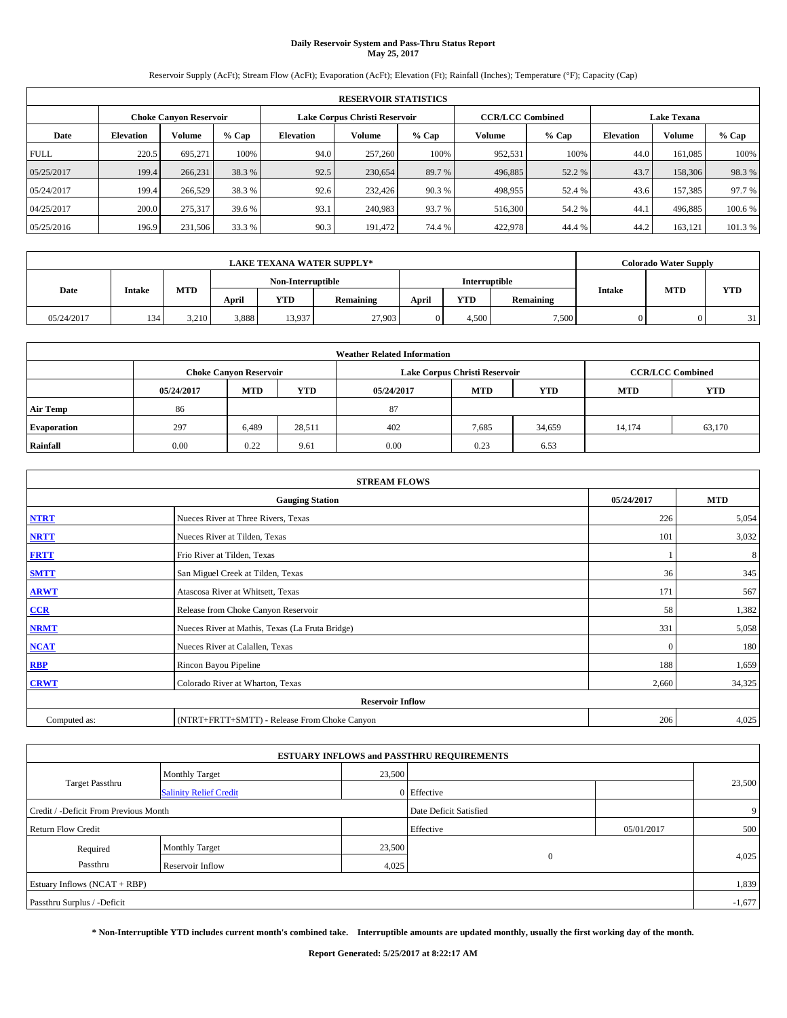# **Daily Reservoir System and Pass-Thru Status Report May 25, 2017**

Reservoir Supply (AcFt); Stream Flow (AcFt); Evaporation (AcFt); Elevation (Ft); Rainfall (Inches); Temperature (°F); Capacity (Cap)

|             | <b>RESERVOIR STATISTICS</b>   |         |         |           |                               |         |                         |         |                    |               |         |
|-------------|-------------------------------|---------|---------|-----------|-------------------------------|---------|-------------------------|---------|--------------------|---------------|---------|
|             | <b>Choke Canyon Reservoir</b> |         |         |           | Lake Corpus Christi Reservoir |         | <b>CCR/LCC Combined</b> |         | <b>Lake Texana</b> |               |         |
| Date        | <b>Elevation</b>              | Volume  | $%$ Cap | Elevation | Volume                        | $%$ Cap | Volume                  | $%$ Cap | <b>Elevation</b>   | <b>Volume</b> | % Cap   |
| <b>FULL</b> | 220.5                         | 695.271 | 100%    | 94.0      | 257,260                       | 100%    | 952,531                 | 100%    | 44.0               | 161.085       | 100%    |
| 05/25/2017  | 199.4                         | 266.231 | 38.3 %  | 92.5      | 230,654                       | 89.7 %  | 496,885                 | 52.2 %  | 43.7               | 158,306       | 98.3%   |
| 05/24/2017  | 199.4                         | 266,529 | 38.3 %  | 92.6      | 232,426                       | 90.3 %  | 498,955                 | 52.4 %  | 43.6               | 157.385       | 97.7 %  |
| 04/25/2017  | 200.0                         | 275,317 | 39.6 %  | 93.1      | 240,983                       | 93.7 %  | 516,300                 | 54.2 %  | 44.1               | 496,885       | 100.6%  |
| 05/25/2016  | 196.9                         | 231,506 | 33.3 %  | 90.3      | 191.472                       | 74.4 %  | 422,978                 | 44.4 %  | 44.2               | 163,121       | 101.3 % |

|            | <b>LAKE TEXANA WATER SUPPLY*</b> |            |                   |        |           |       |               |           |               |            | <b>Colorado Water Supply</b> |  |  |
|------------|----------------------------------|------------|-------------------|--------|-----------|-------|---------------|-----------|---------------|------------|------------------------------|--|--|
|            |                                  |            | Non-Interruptible |        |           |       | Interruptible |           |               |            |                              |  |  |
| Date       | <b>Intake</b>                    | <b>MTD</b> | April             | YTD    | Remaining | April | <b>YTD</b>    | Remaining | <b>Intake</b> | <b>MTD</b> | <b>YTD</b>                   |  |  |
| 05/24/2017 | 134                              | 3.210      | 3,888             | 13.937 | 27.903    |       | 4.500         | 7.500     |               |            | 31                           |  |  |

| <b>Weather Related Information</b> |            |                                                                                  |        |      |                               |                         |        |            |  |  |  |
|------------------------------------|------------|----------------------------------------------------------------------------------|--------|------|-------------------------------|-------------------------|--------|------------|--|--|--|
|                                    |            | <b>Choke Canyon Reservoir</b>                                                    |        |      | Lake Corpus Christi Reservoir | <b>CCR/LCC Combined</b> |        |            |  |  |  |
|                                    | 05/24/2017 | <b>YTD</b><br><b>MTD</b><br><b>MTD</b><br><b>YTD</b><br><b>MTD</b><br>05/24/2017 |        |      |                               |                         |        | <b>YTD</b> |  |  |  |
| <b>Air Temp</b>                    | 86         |                                                                                  |        | 87   |                               |                         |        |            |  |  |  |
| <b>Evaporation</b>                 | 297        | 6,489                                                                            | 28,511 | 402  | 7,685                         | 34,659                  | 14,174 | 63,170     |  |  |  |
| Rainfall                           | 0.00       | 0.22                                                                             | 9.61   | 0.00 | 0.23                          | 6.53                    |        |            |  |  |  |

| <b>STREAM FLOWS</b>     |                                                 |            |            |  |  |  |  |  |  |
|-------------------------|-------------------------------------------------|------------|------------|--|--|--|--|--|--|
|                         | <b>Gauging Station</b>                          | 05/24/2017 | <b>MTD</b> |  |  |  |  |  |  |
| <b>NTRT</b>             | Nueces River at Three Rivers, Texas             | 226        | 5,054      |  |  |  |  |  |  |
| <b>NRTT</b>             | Nueces River at Tilden, Texas                   | 101        | 3,032      |  |  |  |  |  |  |
| <b>FRTT</b>             | Frio River at Tilden, Texas                     |            | 8          |  |  |  |  |  |  |
| <b>SMTT</b>             | San Miguel Creek at Tilden, Texas               | 36         | 345        |  |  |  |  |  |  |
| <b>ARWT</b>             | Atascosa River at Whitsett, Texas               | 171        | 567        |  |  |  |  |  |  |
| $CCR$                   | Release from Choke Canyon Reservoir             | 58         | 1,382      |  |  |  |  |  |  |
| <b>NRMT</b>             | Nueces River at Mathis, Texas (La Fruta Bridge) | 331        | 5,058      |  |  |  |  |  |  |
| <b>NCAT</b>             | Nueces River at Calallen, Texas                 | $\Omega$   | 180        |  |  |  |  |  |  |
| <b>RBP</b>              | Rincon Bayou Pipeline                           | 188        | 1,659      |  |  |  |  |  |  |
| <b>CRWT</b>             | Colorado River at Wharton, Texas                | 2,660      | 34,325     |  |  |  |  |  |  |
| <b>Reservoir Inflow</b> |                                                 |            |            |  |  |  |  |  |  |
| Computed as:            | (NTRT+FRTT+SMTT) - Release From Choke Canyon    | 206        | 4,025      |  |  |  |  |  |  |

| <b>ESTUARY INFLOWS and PASSTHRU REQUIREMENTS</b> |                               |        |                        |            |        |  |  |  |  |  |
|--------------------------------------------------|-------------------------------|--------|------------------------|------------|--------|--|--|--|--|--|
|                                                  | <b>Monthly Target</b>         | 23,500 |                        |            |        |  |  |  |  |  |
| <b>Target Passthru</b>                           | <b>Salinity Relief Credit</b> |        | 0 Effective            |            | 23,500 |  |  |  |  |  |
| Credit / -Deficit From Previous Month            |                               |        | Date Deficit Satisfied |            | 9      |  |  |  |  |  |
| <b>Return Flow Credit</b>                        |                               |        | Effective              | 05/01/2017 | 500    |  |  |  |  |  |
| Required                                         | <b>Monthly Target</b>         | 23,500 |                        |            |        |  |  |  |  |  |
| Passthru                                         | <b>Reservoir Inflow</b>       | 4,025  | $\Omega$               |            | 4,025  |  |  |  |  |  |
| Estuary Inflows (NCAT + RBP)                     |                               |        |                        |            |        |  |  |  |  |  |
| Passthru Surplus / -Deficit                      |                               |        |                        |            |        |  |  |  |  |  |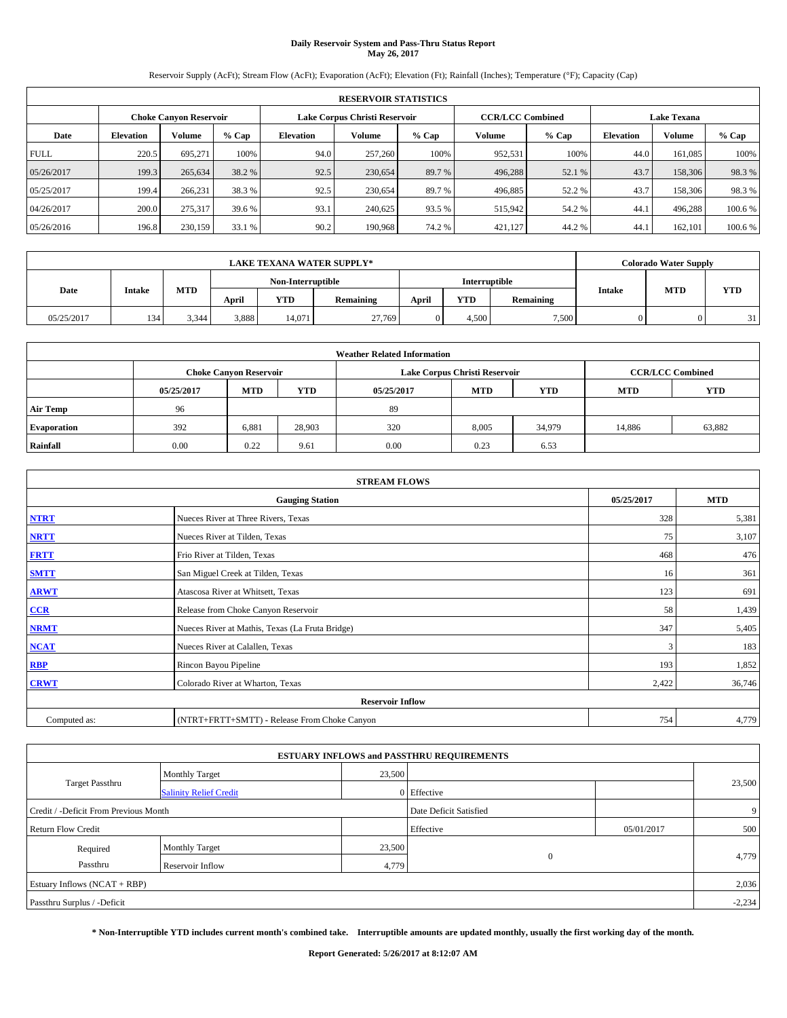# **Daily Reservoir System and Pass-Thru Status Report May 26, 2017**

Reservoir Supply (AcFt); Stream Flow (AcFt); Evaporation (AcFt); Elevation (Ft); Rainfall (Inches); Temperature (°F); Capacity (Cap)

|             | <b>RESERVOIR STATISTICS</b>   |         |         |           |                               |         |                         |         |                  |                    |         |  |
|-------------|-------------------------------|---------|---------|-----------|-------------------------------|---------|-------------------------|---------|------------------|--------------------|---------|--|
|             | <b>Choke Canyon Reservoir</b> |         |         |           | Lake Corpus Christi Reservoir |         | <b>CCR/LCC Combined</b> |         |                  | <b>Lake Texana</b> |         |  |
| Date        | <b>Elevation</b>              | Volume  | $%$ Cap | Elevation | Volume                        | $%$ Cap | Volume                  | $%$ Cap | <b>Elevation</b> | <b>Volume</b>      | % Cap   |  |
| <b>FULL</b> | 220.5                         | 695.271 | 100%    | 94.0      | 257,260                       | 100%    | 952,531                 | 100%    | 44.0             | 161.085            | 100%    |  |
| 05/26/2017  | 199.3                         | 265,634 | 38.2 %  | 92.5      | 230,654                       | 89.7 %  | 496,288                 | 52.1 %  | 43.7             | 158,306            | 98.3%   |  |
| 05/25/2017  | 199.4                         | 266.231 | 38.3 %  | 92.5      | 230,654                       | 89.7 %  | 496,885                 | 52.2 %  | 43.7             | 158,306            | 98.3%   |  |
| 04/26/2017  | 200.0                         | 275,317 | 39.6 %  | 93.1      | 240,625                       | 93.5 %  | 515,942                 | 54.2 %  | 44.1             | 496,288            | 100.6%  |  |
| 05/26/2016  | 196.8                         | 230,159 | 33.1 %  | 90.2      | 190,968                       | 74.2 %  | 421,127                 | 44.2 %  | 44.              | 162,101            | 100.6 % |  |

|            | <b>LAKE TEXANA WATER SUPPLY*</b> |            |       |                   |           |       |               |           |               |            | <b>Colorado Water Supply</b> |
|------------|----------------------------------|------------|-------|-------------------|-----------|-------|---------------|-----------|---------------|------------|------------------------------|
|            |                                  |            |       | Non-Interruptible |           |       | Interruptible |           |               |            |                              |
| Date       | <b>Intake</b>                    | <b>MTD</b> | April | YTD               | Remaining | April | <b>YTD</b>    | Remaining | <b>Intake</b> | <b>MTD</b> | <b>YTD</b>                   |
| 05/25/2017 | 134                              | 3.344      | 3,888 | 14.071            | 27,769    |       | 4.500         | 7.500     |               |            | 31                           |

| <b>Weather Related Information</b> |            |                                                                                  |        |      |                               |                         |        |            |  |  |  |
|------------------------------------|------------|----------------------------------------------------------------------------------|--------|------|-------------------------------|-------------------------|--------|------------|--|--|--|
|                                    |            | <b>Choke Canyon Reservoir</b>                                                    |        |      | Lake Corpus Christi Reservoir | <b>CCR/LCC Combined</b> |        |            |  |  |  |
|                                    | 05/25/2017 | <b>YTD</b><br><b>MTD</b><br><b>MTD</b><br><b>YTD</b><br><b>MTD</b><br>05/25/2017 |        |      |                               |                         |        | <b>YTD</b> |  |  |  |
| <b>Air Temp</b>                    | 96         |                                                                                  |        | 89   |                               |                         |        |            |  |  |  |
| <b>Evaporation</b>                 | 392        | 6,881                                                                            | 28,903 | 320  | 8,005                         | 34,979                  | 14,886 | 63,882     |  |  |  |
| Rainfall                           | 0.00       | 0.22                                                                             | 9.61   | 0.00 | 0.23                          | 6.53                    |        |            |  |  |  |

| <b>STREAM FLOWS</b> |                                                 |            |            |  |  |  |  |  |  |
|---------------------|-------------------------------------------------|------------|------------|--|--|--|--|--|--|
|                     | <b>Gauging Station</b>                          | 05/25/2017 | <b>MTD</b> |  |  |  |  |  |  |
| <b>NTRT</b>         | Nueces River at Three Rivers, Texas             | 328        | 5,381      |  |  |  |  |  |  |
| <b>NRTT</b>         | Nueces River at Tilden, Texas                   | 75         | 3,107      |  |  |  |  |  |  |
| <b>FRTT</b>         | Frio River at Tilden, Texas                     | 468        | 476        |  |  |  |  |  |  |
| <b>SMTT</b>         | San Miguel Creek at Tilden, Texas               | 16         | 361        |  |  |  |  |  |  |
| <b>ARWT</b>         | Atascosa River at Whitsett, Texas               | 123        | 691        |  |  |  |  |  |  |
| $CCR$               | Release from Choke Canyon Reservoir             | 58         | 1,439      |  |  |  |  |  |  |
| <b>NRMT</b>         | Nueces River at Mathis, Texas (La Fruta Bridge) | 347        | 5,405      |  |  |  |  |  |  |
| <b>NCAT</b>         | Nueces River at Calallen, Texas                 | 3          | 183        |  |  |  |  |  |  |
| <b>RBP</b>          | Rincon Bayou Pipeline                           | 193        | 1,852      |  |  |  |  |  |  |
| <b>CRWT</b>         | Colorado River at Wharton, Texas                | 2,422      | 36,746     |  |  |  |  |  |  |
|                     |                                                 |            |            |  |  |  |  |  |  |
| Computed as:        | (NTRT+FRTT+SMTT) - Release From Choke Canyon    |            |            |  |  |  |  |  |  |

|                                       |                               |                        | <b>ESTUARY INFLOWS and PASSTHRU REQUIREMENTS</b> |     |        |  |  |  |
|---------------------------------------|-------------------------------|------------------------|--------------------------------------------------|-----|--------|--|--|--|
|                                       | <b>Monthly Target</b>         | 23,500                 |                                                  |     |        |  |  |  |
| <b>Target Passthru</b>                | <b>Salinity Relief Credit</b> |                        | 0 Effective                                      |     | 23,500 |  |  |  |
| Credit / -Deficit From Previous Month |                               | Date Deficit Satisfied |                                                  | 9   |        |  |  |  |
| <b>Return Flow Credit</b>             |                               | Effective              | 05/01/2017                                       | 500 |        |  |  |  |
| Required                              | <b>Monthly Target</b>         | 23,500                 |                                                  |     |        |  |  |  |
| Passthru                              | <b>Reservoir Inflow</b>       | 4,779                  | $\mathbf{0}$                                     |     | 4,779  |  |  |  |
| Estuary Inflows (NCAT + RBP)          |                               |                        |                                                  |     | 2,036  |  |  |  |
| Passthru Surplus / -Deficit           |                               |                        |                                                  |     |        |  |  |  |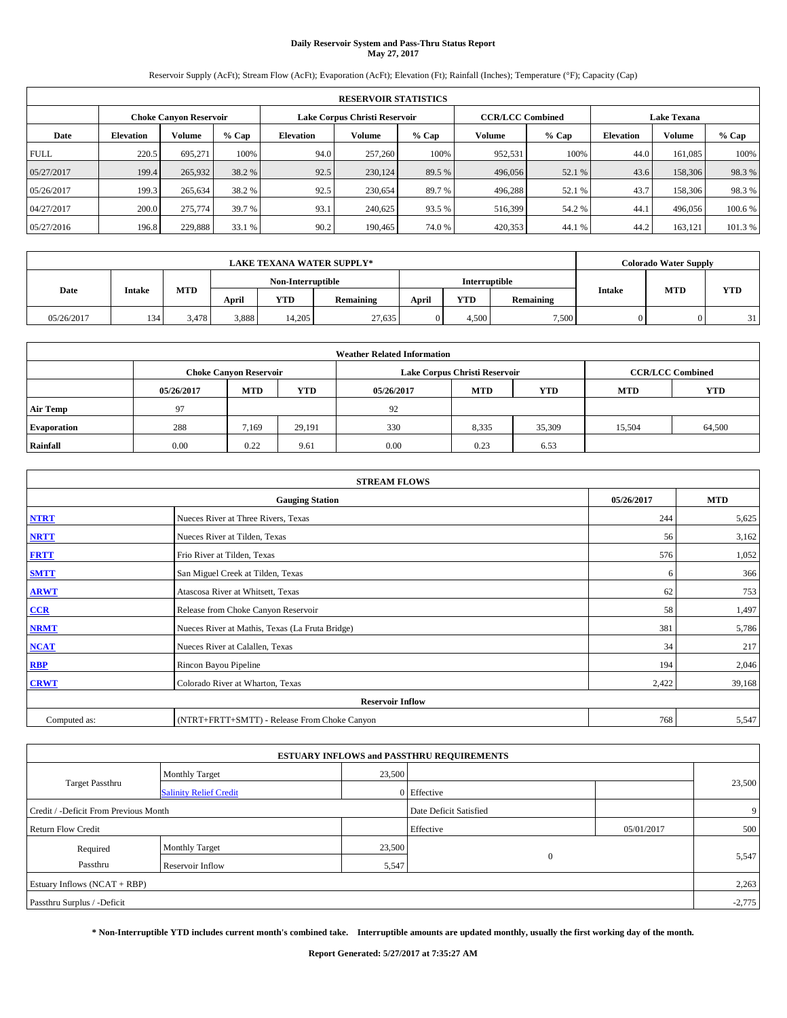## **Daily Reservoir System and Pass-Thru Status Report May 27, 2017**

Reservoir Supply (AcFt); Stream Flow (AcFt); Evaporation (AcFt); Elevation (Ft); Rainfall (Inches); Temperature (°F); Capacity (Cap)

|             | <b>RESERVOIR STATISTICS</b> |                        |         |                  |                               |         |                         |         |                    |               |         |
|-------------|-----------------------------|------------------------|---------|------------------|-------------------------------|---------|-------------------------|---------|--------------------|---------------|---------|
|             |                             | Choke Canvon Reservoir |         |                  | Lake Corpus Christi Reservoir |         | <b>CCR/LCC Combined</b> |         | <b>Lake Texana</b> |               |         |
| Date        | <b>Elevation</b>            | Volume                 | $%$ Cap | <b>Elevation</b> | Volume                        | $%$ Cap | Volume                  | $%$ Cap | <b>Elevation</b>   | <b>Volume</b> | % Cap   |
| <b>FULL</b> | 220.5                       | 695.271                | 100%    | 94.0             | 257,260                       | 100%    | 952,531                 | 100%    | 44.0               | 161.085       | 100%    |
| 05/27/2017  | 199.4                       | 265,932                | 38.2 %  | 92.5             | 230,124                       | 89.5 %  | 496,056                 | 52.1 %  | 43.6               | 158,306       | 98.3%   |
| 05/26/2017  | 199.3                       | 265,634                | 38.2 %  | 92.5             | 230,654                       | 89.7 %  | 496,288                 | 52.1 %  | 43.7               | 158,306       | 98.3%   |
| 04/27/2017  | 200.0                       | 275,774                | 39.7 %  | 93.1             | 240,625                       | 93.5 %  | 516,399                 | 54.2 %  | 44.1               | 496,056       | 100.6 % |
| 05/27/2016  | 196.8                       | 229,888                | 33.1 %  | 90.2             | 190,465                       | 74.0%   | 420,353                 | 44.1 %  | 44.2               | 163,121       | 101.3 % |

|            | <b>LAKE TEXANA WATER SUPPLY*</b> |            |       |                   |           |       |               |           |               |            | <b>Colorado Water Supply</b> |
|------------|----------------------------------|------------|-------|-------------------|-----------|-------|---------------|-----------|---------------|------------|------------------------------|
|            |                                  |            |       | Non-Interruptible |           |       | Interruptible |           |               |            |                              |
| Date       | <b>Intake</b>                    | <b>MTD</b> | April | <b>YTD</b>        | Remaining | April | <b>YTD</b>    | Remaining | <b>Intake</b> | <b>MTD</b> | <b>YTD</b>                   |
| 05/26/2017 | 134                              | 3,478      | 3,888 | 14.205            | 27.635    |       | 4.500         | 7.500     |               |            | 31                           |

| <b>Weather Related Information</b> |            |                               |            |            |                               |                         |            |            |  |
|------------------------------------|------------|-------------------------------|------------|------------|-------------------------------|-------------------------|------------|------------|--|
|                                    |            | <b>Choke Canyon Reservoir</b> |            |            | Lake Corpus Christi Reservoir | <b>CCR/LCC Combined</b> |            |            |  |
|                                    | 05/26/2017 | <b>MTD</b>                    | <b>YTD</b> | 05/26/2017 | <b>MTD</b>                    | <b>YTD</b>              | <b>MTD</b> | <b>YTD</b> |  |
| <b>Air Temp</b>                    | 97         |                               |            | 92         |                               |                         |            |            |  |
| <b>Evaporation</b>                 | 288        | 7,169                         | 29,191     | 330        | 8,335                         | 35,309                  | 15.504     | 64,500     |  |
| Rainfall                           | 0.00       | 0.22                          | 9.61       | 0.00       | 0.23                          | 6.53                    |            |            |  |

| <b>STREAM FLOWS</b> |                                                 |            |        |  |  |  |  |  |  |
|---------------------|-------------------------------------------------|------------|--------|--|--|--|--|--|--|
|                     | 05/26/2017                                      | <b>MTD</b> |        |  |  |  |  |  |  |
| <b>NTRT</b>         | Nueces River at Three Rivers, Texas             | 244        | 5,625  |  |  |  |  |  |  |
| <b>NRTT</b>         | Nueces River at Tilden, Texas                   | 56         | 3,162  |  |  |  |  |  |  |
| <b>FRTT</b>         | Frio River at Tilden, Texas                     | 576        | 1,052  |  |  |  |  |  |  |
| <b>SMTT</b>         | San Miguel Creek at Tilden, Texas               | 6          | 366    |  |  |  |  |  |  |
| <b>ARWT</b>         | Atascosa River at Whitsett, Texas               | 62         | 753    |  |  |  |  |  |  |
| CCR                 | Release from Choke Canyon Reservoir             | 58         | 1,497  |  |  |  |  |  |  |
| <b>NRMT</b>         | Nueces River at Mathis, Texas (La Fruta Bridge) | 381        | 5,786  |  |  |  |  |  |  |
| <b>NCAT</b>         | Nueces River at Calallen, Texas                 | 34         | 217    |  |  |  |  |  |  |
| <b>RBP</b>          | Rincon Bayou Pipeline                           | 194        | 2,046  |  |  |  |  |  |  |
| <b>CRWT</b>         | Colorado River at Wharton, Texas                | 2,422      | 39,168 |  |  |  |  |  |  |
|                     | <b>Reservoir Inflow</b>                         |            |        |  |  |  |  |  |  |
| Computed as:        | (NTRT+FRTT+SMTT) - Release From Choke Canyon    |            |        |  |  |  |  |  |  |

|                                       |                               |        | <b>ESTUARY INFLOWS and PASSTHRU REQUIREMENTS</b> |            |        |  |  |
|---------------------------------------|-------------------------------|--------|--------------------------------------------------|------------|--------|--|--|
|                                       | <b>Monthly Target</b>         | 23,500 |                                                  |            |        |  |  |
| <b>Target Passthru</b>                | <b>Salinity Relief Credit</b> |        | 0 Effective                                      |            | 23,500 |  |  |
| Credit / -Deficit From Previous Month |                               |        | Date Deficit Satisfied                           |            | 9      |  |  |
| <b>Return Flow Credit</b>             |                               |        | Effective                                        | 05/01/2017 | 500    |  |  |
| Required                              | <b>Monthly Target</b>         | 23,500 |                                                  |            |        |  |  |
| Passthru                              | <b>Reservoir Inflow</b>       | 5,547  | $\Omega$                                         |            | 5,547  |  |  |
| Estuary Inflows (NCAT + RBP)          |                               |        |                                                  |            | 2,263  |  |  |
| Passthru Surplus / -Deficit           |                               |        |                                                  |            |        |  |  |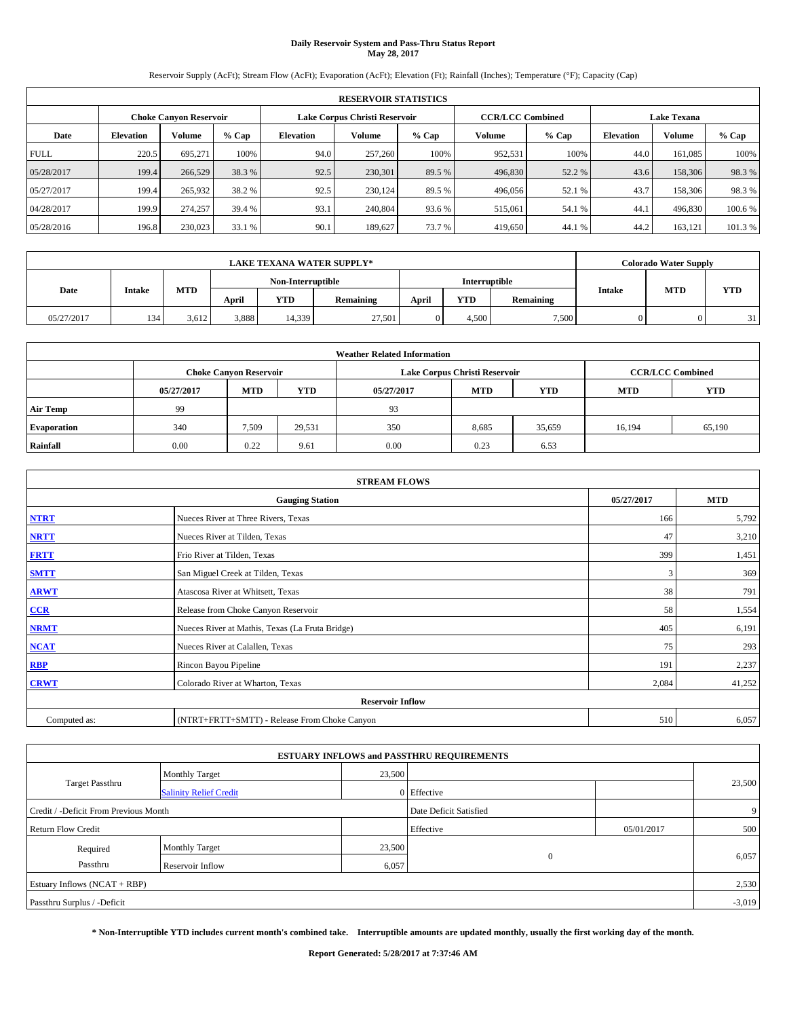# **Daily Reservoir System and Pass-Thru Status Report May 28, 2017**

Reservoir Supply (AcFt); Stream Flow (AcFt); Evaporation (AcFt); Elevation (Ft); Rainfall (Inches); Temperature (°F); Capacity (Cap)

|             | <b>RESERVOIR STATISTICS</b> |                               |         |           |                               |         |                         |         |                  |                    |         |  |
|-------------|-----------------------------|-------------------------------|---------|-----------|-------------------------------|---------|-------------------------|---------|------------------|--------------------|---------|--|
|             |                             | <b>Choke Canyon Reservoir</b> |         |           | Lake Corpus Christi Reservoir |         | <b>CCR/LCC Combined</b> |         |                  | <b>Lake Texana</b> |         |  |
| Date        | <b>Elevation</b>            | Volume                        | $%$ Cap | Elevation | Volume                        | $%$ Cap | Volume                  | $%$ Cap | <b>Elevation</b> | <b>Volume</b>      | % Cap   |  |
| <b>FULL</b> | 220.5                       | 695.271                       | 100%    | 94.0      | 257,260                       | 100%    | 952,531                 | 100%    | 44.0             | 161.085            | 100%    |  |
| 05/28/2017  | 199.4                       | 266,529                       | 38.3 %  | 92.5      | 230,301                       | 89.5 %  | 496,830                 | 52.2 %  | 43.6             | 158,306            | 98.3%   |  |
| 05/27/2017  | 199.4                       | 265,932                       | 38.2 %  | 92.5      | 230.124                       | 89.5 %  | 496,056                 | 52.1 %  | 43.7             | 158,306            | 98.3%   |  |
| 04/28/2017  | 199.9                       | 274,257                       | 39.4 %  | 93.1      | 240,804                       | 93.6 %  | 515,061                 | 54.1 %  | 44.1             | 496,830            | 100.6%  |  |
| 05/28/2016  | 196.8                       | 230,023                       | 33.1 %  | 90.1      | 189,627                       | 73.7 %  | 419,650                 | 44.1 %  | 44.2             | 163,121            | 101.3 % |  |

| <b>LAKE TEXANA WATER SUPPLY*</b> |               |       |       |                   |           |       |               |           |               | <b>Colorado Water Supply</b> |            |
|----------------------------------|---------------|-------|-------|-------------------|-----------|-------|---------------|-----------|---------------|------------------------------|------------|
|                                  |               |       |       | Non-Interruptible |           |       | Interruptible |           |               |                              |            |
| Date                             | <b>Intake</b> | MTD   | April | YTD               | Remaining | April | <b>YTD</b>    | Remaining | <b>Intake</b> | <b>MTD</b>                   | <b>YTD</b> |
| 05/27/2017                       | 134           | 3.612 | 3,888 | 14,339            | 27.501    |       | 4.500         | 7.500     |               |                              | 31         |

| <b>Weather Related Information</b> |            |                               |            |            |                               |                         |        |        |  |
|------------------------------------|------------|-------------------------------|------------|------------|-------------------------------|-------------------------|--------|--------|--|
|                                    |            | <b>Choke Canyon Reservoir</b> |            |            | Lake Corpus Christi Reservoir | <b>CCR/LCC Combined</b> |        |        |  |
|                                    | 05/27/2017 | <b>MTD</b>                    | <b>YTD</b> | 05/27/2017 | <b>MTD</b>                    | <b>YTD</b>              |        |        |  |
| <b>Air Temp</b>                    | 99         |                               |            | 93         |                               |                         |        |        |  |
| <b>Evaporation</b>                 | 340        | 7,509                         | 29,531     | 350        | 8,685                         | 35,659                  | 16,194 | 65,190 |  |
| Rainfall                           | 0.00       | 0.22                          | 9.61       | 0.00       | 0.23                          | 6.53                    |        |        |  |

| <b>STREAM FLOWS</b> |                                                 |            |        |  |  |  |  |  |  |
|---------------------|-------------------------------------------------|------------|--------|--|--|--|--|--|--|
|                     | 05/27/2017                                      | <b>MTD</b> |        |  |  |  |  |  |  |
| <b>NTRT</b>         | Nueces River at Three Rivers, Texas             | 166        | 5,792  |  |  |  |  |  |  |
| <b>NRTT</b>         | Nueces River at Tilden, Texas                   | 47         | 3,210  |  |  |  |  |  |  |
| <b>FRTT</b>         | Frio River at Tilden, Texas                     | 399        | 1,451  |  |  |  |  |  |  |
| <b>SMTT</b>         | San Miguel Creek at Tilden, Texas               | 3          | 369    |  |  |  |  |  |  |
| <b>ARWT</b>         | Atascosa River at Whitsett, Texas               | 38         | 791    |  |  |  |  |  |  |
| $CCR$               | Release from Choke Canyon Reservoir             | 58         | 1,554  |  |  |  |  |  |  |
| <b>NRMT</b>         | Nueces River at Mathis, Texas (La Fruta Bridge) | 405        | 6,191  |  |  |  |  |  |  |
| <b>NCAT</b>         | Nueces River at Calallen, Texas                 | 75         | 293    |  |  |  |  |  |  |
| <b>RBP</b>          | Rincon Bayou Pipeline                           | 191        | 2,237  |  |  |  |  |  |  |
| <b>CRWT</b>         | Colorado River at Wharton, Texas                | 2,084      | 41,252 |  |  |  |  |  |  |
|                     |                                                 |            |        |  |  |  |  |  |  |
| Computed as:        | 510                                             | 6,057      |        |  |  |  |  |  |  |

|                                       |                               |        | <b>ESTUARY INFLOWS and PASSTHRU REQUIREMENTS</b> |            |        |  |  |  |
|---------------------------------------|-------------------------------|--------|--------------------------------------------------|------------|--------|--|--|--|
|                                       | <b>Monthly Target</b>         | 23,500 |                                                  |            |        |  |  |  |
| Target Passthru                       | <b>Salinity Relief Credit</b> |        | 0 Effective                                      |            | 23,500 |  |  |  |
| Credit / -Deficit From Previous Month |                               |        | Date Deficit Satisfied                           |            | 9      |  |  |  |
| <b>Return Flow Credit</b>             |                               |        | Effective                                        | 05/01/2017 | 500    |  |  |  |
| Required                              | Monthly Target                | 23,500 |                                                  |            |        |  |  |  |
| Passthru                              | <b>Reservoir Inflow</b>       | 6,057  | $\Omega$                                         |            | 6,057  |  |  |  |
| Estuary Inflows (NCAT + RBP)          |                               |        |                                                  |            |        |  |  |  |
| Passthru Surplus / -Deficit           |                               |        |                                                  |            |        |  |  |  |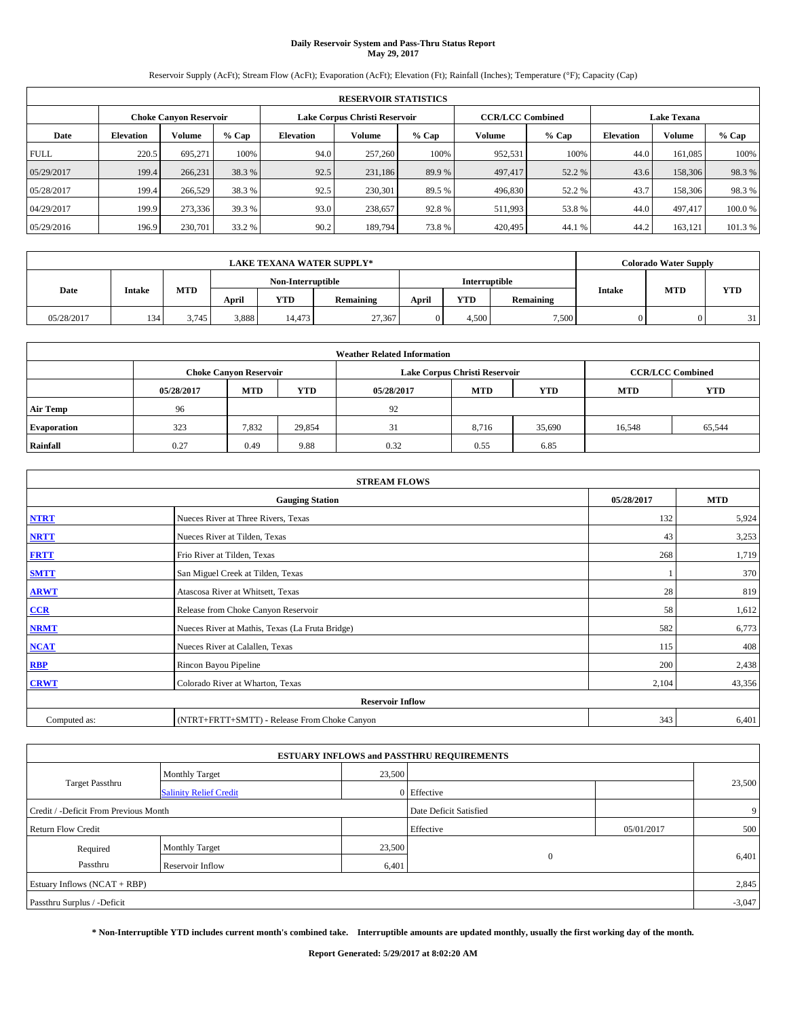# **Daily Reservoir System and Pass-Thru Status Report May 29, 2017**

Reservoir Supply (AcFt); Stream Flow (AcFt); Evaporation (AcFt); Elevation (Ft); Rainfall (Inches); Temperature (°F); Capacity (Cap)

|             | <b>RESERVOIR STATISTICS</b> |                               |         |           |                               |         |                         |         |                  |                    |         |
|-------------|-----------------------------|-------------------------------|---------|-----------|-------------------------------|---------|-------------------------|---------|------------------|--------------------|---------|
|             |                             | <b>Choke Canyon Reservoir</b> |         |           | Lake Corpus Christi Reservoir |         | <b>CCR/LCC Combined</b> |         |                  | <b>Lake Texana</b> |         |
| Date        | <b>Elevation</b>            | Volume                        | $%$ Cap | Elevation | Volume                        | $%$ Cap | Volume                  | $%$ Cap | <b>Elevation</b> | <b>Volume</b>      | % Cap   |
| <b>FULL</b> | 220.5                       | 695.271                       | 100%    | 94.0      | 257,260                       | 100%    | 952,531                 | 100%    | 44.0             | 161.085            | 100%    |
| 05/29/2017  | 199.4                       | 266.231                       | 38.3 %  | 92.5      | 231,186                       | 89.9 %  | 497,417                 | 52.2 %  | 43.6             | 158,306            | 98.3%   |
| 05/28/2017  | 199.4                       | 266,529                       | 38.3 %  | 92.5      | 230,301                       | 89.5 %  | 496,830                 | 52.2 %  | 43.7             | 158,306            | 98.3%   |
| 04/29/2017  | 199.9                       | 273,336                       | 39.3 %  | 93.0      | 238,657                       | 92.8%   | 511,993                 | 53.8%   | 44.0             | 497,417            | 100.0%  |
| 05/29/2016  | 196.9                       | 230,701                       | 33.2 %  | 90.2      | 189,794                       | 73.8%   | 420,495                 | 44.1 %  | 44.2             | 163,121            | 101.3 % |

| <b>LAKE TEXANA WATER SUPPLY*</b> |               |            |       |                   |           |       |               |           |               | <b>Colorado Water Supply</b> |            |
|----------------------------------|---------------|------------|-------|-------------------|-----------|-------|---------------|-----------|---------------|------------------------------|------------|
|                                  |               |            |       | Non-Interruptible |           |       | Interruptible |           |               |                              |            |
| Date                             | <b>Intake</b> | <b>MTD</b> | April | YTD               | Remaining | April | <b>YTD</b>    | Remaining | <b>Intake</b> | <b>MTD</b>                   | <b>YTD</b> |
| 05/28/2017                       | 134           | 3.745      | 3,888 | 14.473            | 27,367    |       | 4.500         | 7.500     |               |                              | 31         |

| <b>Weather Related Information</b> |            |                               |            |            |                                        |                         |        |        |  |
|------------------------------------|------------|-------------------------------|------------|------------|----------------------------------------|-------------------------|--------|--------|--|
|                                    |            | <b>Choke Canyon Reservoir</b> |            |            | Lake Corpus Christi Reservoir          | <b>CCR/LCC Combined</b> |        |        |  |
|                                    | 05/28/2017 | <b>MTD</b>                    | <b>YTD</b> | 05/28/2017 | <b>MTD</b><br><b>YTD</b><br><b>MTD</b> |                         |        |        |  |
| <b>Air Temp</b>                    | 96         |                               |            | 92         |                                        |                         |        |        |  |
| <b>Evaporation</b>                 | 323        | 7,832                         | 29,854     | 31         | 8,716                                  | 35,690                  | 16,548 | 65,544 |  |
| Rainfall                           | 0.27       | 0.49                          | 9.88       | 0.32       | 0.55                                   | 6.85                    |        |        |  |

| <b>STREAM FLOWS</b> |                                                 |            |        |  |  |  |  |  |  |
|---------------------|-------------------------------------------------|------------|--------|--|--|--|--|--|--|
|                     | 05/28/2017                                      | <b>MTD</b> |        |  |  |  |  |  |  |
| <b>NTRT</b>         | Nueces River at Three Rivers, Texas             | 132        | 5,924  |  |  |  |  |  |  |
| <b>NRTT</b>         | Nueces River at Tilden, Texas                   | 43         | 3,253  |  |  |  |  |  |  |
| <b>FRTT</b>         | Frio River at Tilden, Texas                     | 268        | 1,719  |  |  |  |  |  |  |
| <b>SMTT</b>         | San Miguel Creek at Tilden, Texas               |            | 370    |  |  |  |  |  |  |
| <b>ARWT</b>         | Atascosa River at Whitsett, Texas               | 28         | 819    |  |  |  |  |  |  |
| $CCR$               | Release from Choke Canyon Reservoir             | 58         | 1,612  |  |  |  |  |  |  |
| <b>NRMT</b>         | Nueces River at Mathis, Texas (La Fruta Bridge) | 582        | 6,773  |  |  |  |  |  |  |
| <b>NCAT</b>         | Nueces River at Calallen, Texas                 | 115        | 408    |  |  |  |  |  |  |
| <b>RBP</b>          | Rincon Bayou Pipeline                           | 200        | 2,438  |  |  |  |  |  |  |
| <b>CRWT</b>         | Colorado River at Wharton, Texas                | 2,104      | 43,356 |  |  |  |  |  |  |
|                     |                                                 |            |        |  |  |  |  |  |  |
| Computed as:        | 343                                             | 6,401      |        |  |  |  |  |  |  |

| <b>ESTUARY INFLOWS and PASSTHRU REQUIREMENTS</b> |                               |        |                        |            |          |  |  |  |  |  |
|--------------------------------------------------|-------------------------------|--------|------------------------|------------|----------|--|--|--|--|--|
|                                                  | <b>Monthly Target</b>         | 23,500 |                        |            |          |  |  |  |  |  |
| Target Passthru                                  | <b>Salinity Relief Credit</b> |        | 0 Effective            |            | 23,500   |  |  |  |  |  |
| Credit / -Deficit From Previous Month            |                               |        | Date Deficit Satisfied |            | 9        |  |  |  |  |  |
| <b>Return Flow Credit</b>                        |                               |        | Effective              | 05/01/2017 | 500      |  |  |  |  |  |
| Required                                         | Monthly Target                | 23,500 |                        |            |          |  |  |  |  |  |
| Passthru                                         | <b>Reservoir Inflow</b>       | 6,401  | $\Omega$               |            | 6,401    |  |  |  |  |  |
| Estuary Inflows (NCAT + RBP)                     |                               |        |                        |            |          |  |  |  |  |  |
| Passthru Surplus / -Deficit                      |                               |        |                        |            | $-3,047$ |  |  |  |  |  |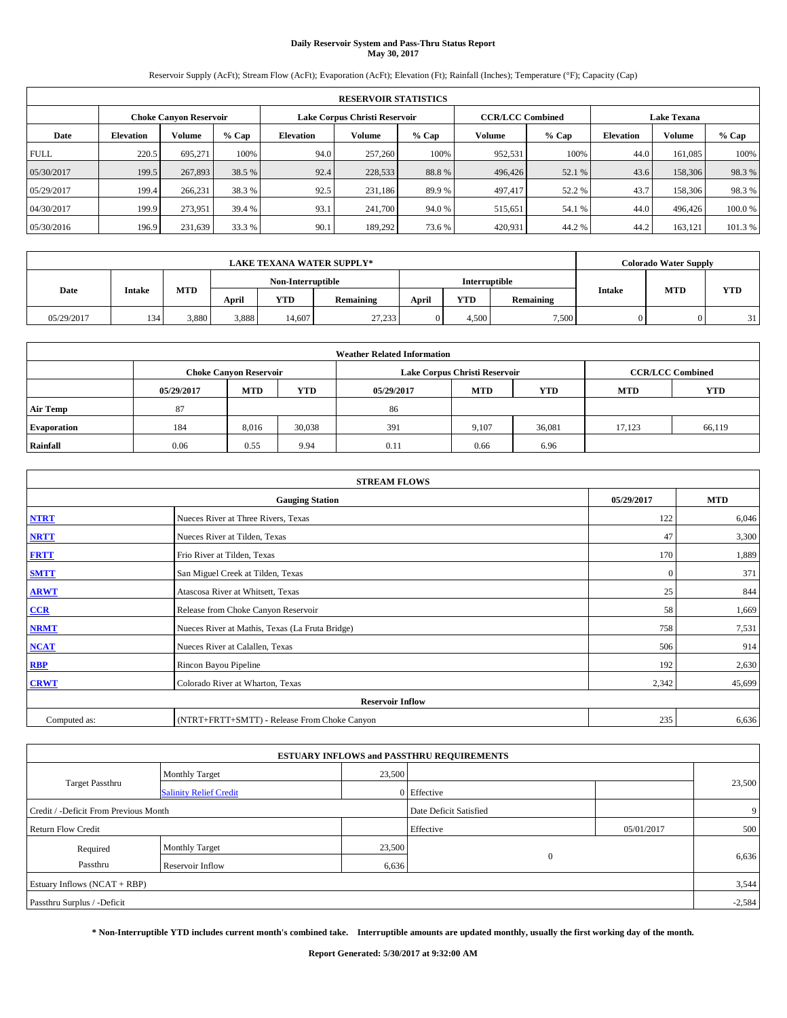# **Daily Reservoir System and Pass-Thru Status Report May 30, 2017**

Reservoir Supply (AcFt); Stream Flow (AcFt); Evaporation (AcFt); Elevation (Ft); Rainfall (Inches); Temperature (°F); Capacity (Cap)

|             | <b>RESERVOIR STATISTICS</b> |                               |         |                  |                               |         |                         |         |                  |                    |         |  |
|-------------|-----------------------------|-------------------------------|---------|------------------|-------------------------------|---------|-------------------------|---------|------------------|--------------------|---------|--|
|             |                             | <b>Choke Canyon Reservoir</b> |         |                  | Lake Corpus Christi Reservoir |         | <b>CCR/LCC Combined</b> |         |                  | <b>Lake Texana</b> |         |  |
| Date        | <b>Elevation</b>            | Volume                        | $%$ Cap | <b>Elevation</b> | Volume                        | $%$ Cap | Volume                  | $%$ Cap | <b>Elevation</b> | <b>Volume</b>      | % Cap   |  |
| <b>FULL</b> | 220.5                       | 695.271                       | 100%    | 94.0             | 257,260                       | 100%    | 952,531                 | 100%    | 44.0             | 161.085            | 100%    |  |
| 05/30/2017  | 199.5                       | 267,893                       | 38.5 %  | 92.4             | 228,533                       | 88.8%   | 496,426                 | 52.1 %  | 43.6             | 158,306            | 98.3%   |  |
| 05/29/2017  | 199.4                       | 266,231                       | 38.3 %  | 92.5             | 231.186                       | 89.9%   | 497,417                 | 52.2 %  | 43.7             | 158,306            | 98.3%   |  |
| 04/30/2017  | 199.9                       | 273.951                       | 39.4 %  | 93.1             | 241,700                       | 94.0%   | 515,651                 | 54.1 %  | 44.0             | 496,426            | 100.0%  |  |
| 05/30/2016  | 196.9                       | 231,639                       | 33.3 %  | 90.1             | 189.292                       | 73.6 %  | 420,931                 | 44.2%   | 44.2             | 163.121            | 101.3 % |  |

|            |               | <b>LAKE TEXANA WATER SUPPLY*</b> |       |                   |           |       |               |           | <b>Colorado Water Supply</b> |            |            |
|------------|---------------|----------------------------------|-------|-------------------|-----------|-------|---------------|-----------|------------------------------|------------|------------|
|            |               |                                  |       | Non-Interruptible |           |       | Interruptible |           |                              | <b>MTD</b> |            |
| Date       | <b>Intake</b> | <b>MTD</b>                       | April | YTD               | Remaining | April | <b>YTD</b>    | Remaining | <b>Intake</b>                |            | <b>YTD</b> |
| 05/29/2017 | 134           | 3.880                            | 3,888 | 14.607            | 27,233    |       | 4.500         | 7.500     |                              |            | 31         |

| <b>Weather Related Information</b> |            |                               |            |            |                               |                         |            |            |  |  |
|------------------------------------|------------|-------------------------------|------------|------------|-------------------------------|-------------------------|------------|------------|--|--|
|                                    |            | <b>Choke Canyon Reservoir</b> |            |            | Lake Corpus Christi Reservoir | <b>CCR/LCC Combined</b> |            |            |  |  |
|                                    | 05/29/2017 | <b>MTD</b>                    | <b>YTD</b> | 05/29/2017 | <b>MTD</b>                    | <b>YTD</b>              | <b>MTD</b> | <b>YTD</b> |  |  |
| <b>Air Temp</b>                    | 87         |                               |            | 86         |                               |                         |            |            |  |  |
| <b>Evaporation</b>                 | 184        | 8,016                         | 30,038     | 391        | 9,107                         | 36,081                  | 17.123     | 66,119     |  |  |
| Rainfall                           | 0.06       | 0.55                          | 9.94       | 0.11       | 0.66                          | 6.96                    |            |            |  |  |

| <b>STREAM FLOWS</b> |                                                 |            |            |  |  |  |  |  |  |
|---------------------|-------------------------------------------------|------------|------------|--|--|--|--|--|--|
|                     | <b>Gauging Station</b>                          | 05/29/2017 | <b>MTD</b> |  |  |  |  |  |  |
| <b>NTRT</b>         | Nueces River at Three Rivers, Texas             | 122        | 6,046      |  |  |  |  |  |  |
| <b>NRTT</b>         | Nueces River at Tilden, Texas                   | 47         | 3,300      |  |  |  |  |  |  |
| <b>FRTT</b>         | Frio River at Tilden, Texas                     | 170        | 1,889      |  |  |  |  |  |  |
| <b>SMTT</b>         | San Miguel Creek at Tilden, Texas               | $\bf{0}$   | 371        |  |  |  |  |  |  |
| <b>ARWT</b>         | Atascosa River at Whitsett, Texas               | 25         | 844        |  |  |  |  |  |  |
| $CCR$               | Release from Choke Canyon Reservoir             | 58         | 1,669      |  |  |  |  |  |  |
| <b>NRMT</b>         | Nueces River at Mathis, Texas (La Fruta Bridge) | 758        | 7,531      |  |  |  |  |  |  |
| <b>NCAT</b>         | Nueces River at Calallen, Texas                 | 506        | 914        |  |  |  |  |  |  |
| RBP                 | Rincon Bayou Pipeline                           | 192        | 2,630      |  |  |  |  |  |  |
| <b>CRWT</b>         | Colorado River at Wharton, Texas                | 2,342      | 45,699     |  |  |  |  |  |  |
|                     | <b>Reservoir Inflow</b>                         |            |            |  |  |  |  |  |  |
| Computed as:        | (NTRT+FRTT+SMTT) - Release From Choke Canyon    | 235        | 6,636      |  |  |  |  |  |  |

| <b>ESTUARY INFLOWS and PASSTHRU REQUIREMENTS</b> |                               |        |                        |            |                |  |  |  |  |  |
|--------------------------------------------------|-------------------------------|--------|------------------------|------------|----------------|--|--|--|--|--|
|                                                  | <b>Monthly Target</b>         | 23,500 |                        |            |                |  |  |  |  |  |
| Target Passthru                                  | <b>Salinity Relief Credit</b> |        | 0 Effective            |            | 23,500         |  |  |  |  |  |
| Credit / -Deficit From Previous Month            |                               |        | Date Deficit Satisfied |            | 9 <sup>1</sup> |  |  |  |  |  |
| <b>Return Flow Credit</b>                        |                               |        | Effective              | 05/01/2017 | 500            |  |  |  |  |  |
| Required                                         | Monthly Target                | 23,500 |                        |            |                |  |  |  |  |  |
| Passthru                                         | <b>Reservoir Inflow</b>       | 6,636  | $\Omega$               |            | 6,636          |  |  |  |  |  |
| Estuary Inflows (NCAT + RBP)                     |                               |        |                        |            |                |  |  |  |  |  |
| Passthru Surplus / -Deficit                      |                               |        |                        |            | $-2,584$       |  |  |  |  |  |